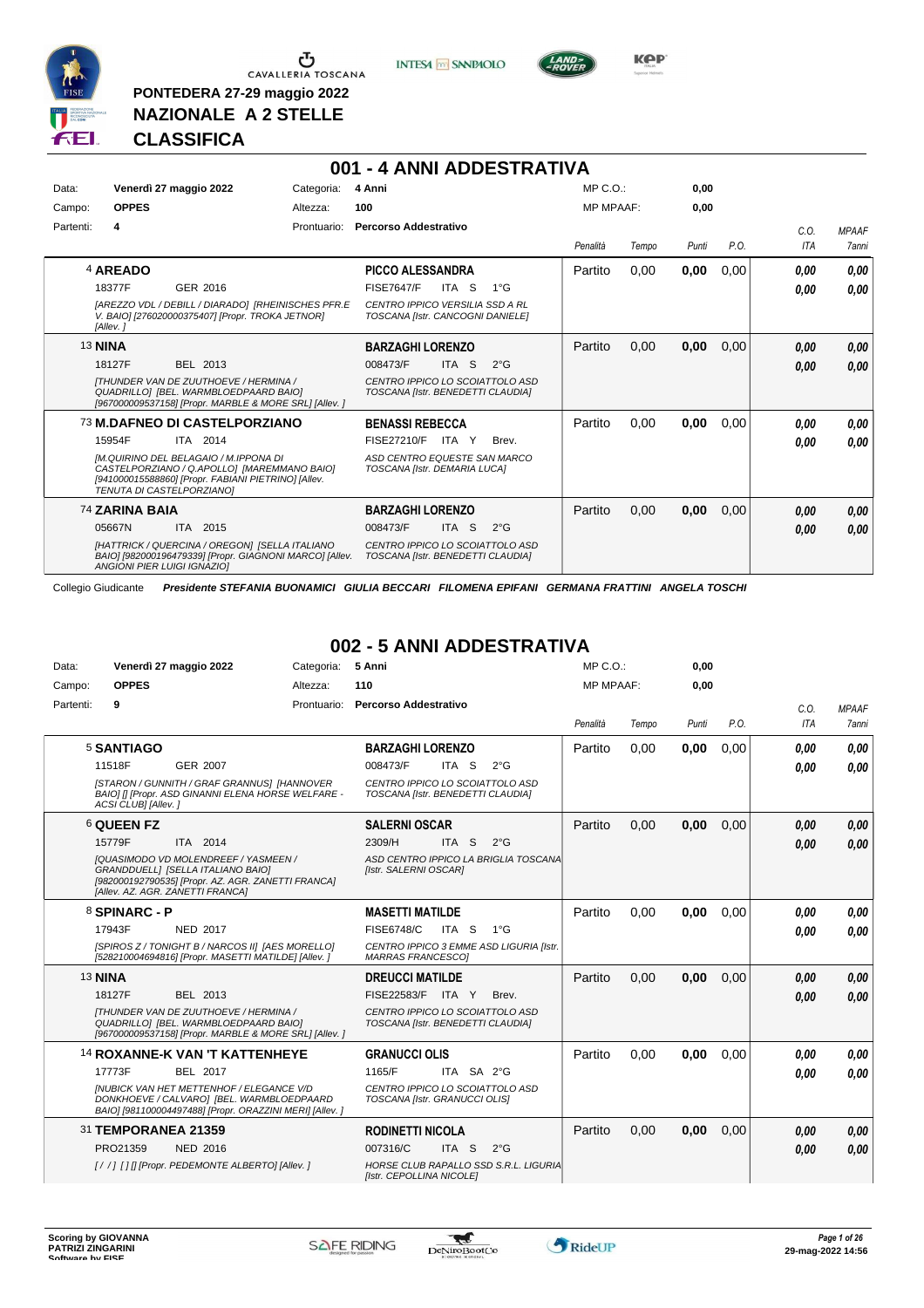

**PONTEDERA 27-29 maggio 2022 NAZIONALE A 2 STELLE**

**INTESA** M SANPAOLO

**001 - 4 ANNI ADDESTRATIVA**



**Kep** 

#### **CLASSIFICA**

| Data:     | Venerdì 27 maggio 2022                                                                                                                                                                                                          | Categoria:  | 4 Anni                                                                                                                         |               | MP C.O.          |       | 0.00  |      |              |                              |
|-----------|---------------------------------------------------------------------------------------------------------------------------------------------------------------------------------------------------------------------------------|-------------|--------------------------------------------------------------------------------------------------------------------------------|---------------|------------------|-------|-------|------|--------------|------------------------------|
| Campo:    | <b>OPPES</b>                                                                                                                                                                                                                    | Altezza:    | 100                                                                                                                            |               | <b>MP MPAAF:</b> |       | 0.00  |      |              |                              |
| Partenti: | 4                                                                                                                                                                                                                               | Prontuario: | Percorso Addestrativo                                                                                                          |               | Penalità         | Tempo | Punti | P.O. | C.0.<br>ITA  | <b>MPAAF</b><br><b>7anni</b> |
|           | 4 AREADO<br>18377F<br>GER 2016<br>[AREZZO VDL / DEBILL / DIARADO] [RHEINISCHES PFR.E                                                                                                                                            |             | <b>PICCO ALESSANDRA</b><br><b>FISE7647/F</b><br>ITA<br>-S<br><b>CENTRO IPPICO VERSILIA SSD A RL</b>                            | $1^{\circ}G$  | Partito          | 0,00  | 0,00  | 0,00 | 0,00<br>0.00 | 0,00<br>0.00                 |
|           | V. BAIO] [276020000375407] [Propr. TROKA JETNOR]<br>[Allev.]<br><b>13 NINA</b>                                                                                                                                                  |             | TOSCANA [Istr. CANCOGNI DANIELE]<br><b>BARZAGHI LORENZO</b>                                                                    |               | Partito          | 0,00  | 0,00  | 0,00 | 0.00         | 0,00                         |
|           | 18127F<br>BEL 2013<br>ITHUNDER VAN DE ZUUTHOEVE / HERMINA /<br>QUADRILLO] [BEL. WARMBLOEDPAARD BAIO]<br>[967000009537158] [Propr. MARBLE & MORE SRL] [Allev. ]                                                                  |             | 008473/F<br>ITA S<br>CENTRO IPPICO LO SCOIATTOLO ASD<br>TOSCANA [Istr. BENEDETTI CLAUDIA]                                      | $2^{\circ}G$  |                  |       |       |      | 0.00         | 0.00                         |
|           | 73 M.DAFNEO DI CASTELPORZIANO<br>15954F<br>ITA 2014<br>[M.QUIRINO DEL BELAGAIO / M.IPPONA DI<br>CASTELPORZIANO / Q.APOLLO] [MAREMMANO BAIO]<br>[941000015588860] [Propr. FABIANI PIETRINO] [Allev.<br>TENUTA DI CASTELPORZIANO] |             | <b>BENASSI REBECCA</b><br>FISE27210/F<br>ITA Y<br>ASD CENTRO EQUESTE SAN MARCO<br>TOSCANA [Istr. DEMARIA LUCA]                 | Brev.         | Partito          | 0,00  | 0,00  | 0,00 | 0.00<br>0.00 | 0,00<br>0.00                 |
|           | 74 ZARINA BAIA<br>05667N<br><b>ITA</b><br>2015<br>[HATTRICK / QUERCINA / OREGON] [SELLA ITALIANO<br>BAIO] [982000196479339] [Propr. GIAGNONI MARCO] [Allev.<br>ANGIONI PIER LUIGI IGNAZIOI                                      |             | <b>BARZAGHI LORENZO</b><br>008473/F<br><b>ITA</b><br>S<br>CENTRO IPPICO LO SCOIATTOLO ASD<br>TOSCANA [Istr. BENEDETTI CLAUDIA] | $2^{\circ}$ G | Partito          | 0,00  | 0,00  | 0,00 | 0,00<br>0,00 | 0,00<br>0.00                 |

Collegio Giudicante *Presidente STEFANIA BUONAMICI GIULIA BECCARI FILOMENA EPIFANI GERMANA FRATTINI ANGELA TOSCHI*

# **002 - 5 ANNI ADDESTRATIVA**

| Data:          | Venerdì 27 maggio 2022                                                                                                                                                     | Categoria:  | 5 Anni                                                               | $MP C. O.$ :     |       | 0,00  |      |            |              |
|----------------|----------------------------------------------------------------------------------------------------------------------------------------------------------------------------|-------------|----------------------------------------------------------------------|------------------|-------|-------|------|------------|--------------|
| Campo:         | <b>OPPES</b>                                                                                                                                                               | Altezza:    | 110                                                                  | <b>MP MPAAF:</b> |       | 0,00  |      |            |              |
| Partenti:      | 9                                                                                                                                                                          | Prontuario: | Percorso Addestrativo                                                |                  |       |       |      | C.O.       | <b>MPAAF</b> |
|                |                                                                                                                                                                            |             |                                                                      | Penalità         | Tempo | Punti | P.O. | <b>ITA</b> | <b>7anni</b> |
|                | 5 SANTIAGO                                                                                                                                                                 |             | <b>BARZAGHI LORENZO</b>                                              | Partito          | 0.00  | 0,00  | 0,00 | 0.00       | 0.00         |
|                | 11518F<br><b>GER 2007</b>                                                                                                                                                  |             | 008473/F<br>ITA S<br>$2^{\circ}$ G                                   |                  |       |       |      | 0.00       | 0.00         |
|                | <b>ISTARON / GUNNITH / GRAF GRANNUS] [HANNOVER</b><br>BAIO] [] [Propr. ASD GINANNI ELENA HORSE WELFARE -<br>ACSI CLUBI [Allev.]                                            |             | CENTRO IPPICO LO SCOIATTOLO ASD<br>TOSCANA [Istr. BENEDETTI CLAUDIA] |                  |       |       |      |            |              |
|                | <b>6 QUEEN FZ</b>                                                                                                                                                          |             | <b>SALERNI OSCAR</b>                                                 | Partito          | 0.00  | 0,00  | 0,00 | 0.00       | 0,00         |
|                | ITA 2014<br>15779F                                                                                                                                                         |             | 2309/H<br>ITA <sub>S</sub><br>$2^{\circ}G$                           |                  |       |       |      | 0.00       | 0,00         |
|                | <b>IQUASIMODO VD MOLENDREEF / YASMEEN /</b><br>GRANDDUELLI [SELLA ITALIANO BAIO]<br>[982000192790535] [Propr. AZ. AGR. ZANETTI FRANCA]<br>[Allev. AZ. AGR. ZANETTI FRANCA] |             | ASD CENTRO IPPICO LA BRIGLIA TOSCANA<br>[Istr. SALERNI OSCAR]        |                  |       |       |      |            |              |
|                | 8 SPINARC - P                                                                                                                                                              |             | <b>MASETTI MATILDE</b>                                               | Partito          | 0,00  | 0,00  | 0,00 | 0.00       | 0.00         |
|                | <b>NED 2017</b><br>17943F                                                                                                                                                  |             | <b>FISE6748/C</b><br>ITA S<br>1°G                                    |                  |       |       |      | 0.00       | 0.00         |
|                | [SPIROS Z / TONIGHT B / NARCOS II] [AES MORELLO]<br>[528210004694816] [Propr. MASETTI MATILDE] [Allev.]                                                                    |             | CENTRO IPPICO 3 EMME ASD LIGURIA [Istr.<br><b>MARRAS FRANCESCOI</b>  |                  |       |       |      |            |              |
| <b>13 NINA</b> |                                                                                                                                                                            |             | <b>DREUCCI MATILDE</b>                                               | Partito          | 0.00  | 0,00  | 0.00 | 0,00       | 0,00         |
|                | BEL 2013<br>18127F                                                                                                                                                         |             | <b>FISE22583/F</b><br>ITA Y<br>Brev.                                 |                  |       |       |      | 0.00       | 0,00         |
|                | ITHUNDER VAN DE ZUUTHOEVE / HERMINA /<br>QUADRILLO] [BEL. WARMBLOEDPAARD BAIO]<br>[967000009537158] [Propr. MARBLE & MORE SRL] [Allev. ]                                   |             | CENTRO IPPICO LO SCOIATTOLO ASD<br>TOSCANA [Istr. BENEDETTI CLAUDIA] |                  |       |       |      |            |              |
|                | <b>14 ROXANNE-K VAN 'T KATTENHEYE</b>                                                                                                                                      |             | <b>GRANUCCI OLIS</b>                                                 | Partito          | 0,00  | 0,00  | 0,00 | 0.00       | 0.00         |
|                | 17773F<br><b>BEL 2017</b>                                                                                                                                                  |             | 1165/F<br>ITA SA 2°G                                                 |                  |       |       |      | 0.00       | 0.00         |
|                | <b>INUBICK VAN HET METTENHOF / ELEGANCE V/D</b><br>DONKHOEVE / CALVARO] [BEL. WARMBLOEDPAARD<br>BAIO] [981100004497488] [Propr. ORAZZINI MERI] [Allev. ]                   |             | CENTRO IPPICO LO SCOIATTOLO ASD<br>TOSCANA [Istr. GRANUCCI OLIS]     |                  |       |       |      |            |              |
|                | 31 TEMPORANEA 21359                                                                                                                                                        |             | <b>RODINETTI NICOLA</b>                                              | Partito          | 0.00  | 0.00  | 0.00 | 0.00       | 0,00         |
|                | PRO21359<br>NED 2016                                                                                                                                                       |             | 007316/C<br>ITA S<br>$2^{\circ}G$                                    |                  |       |       |      | 0.00       | 0.00         |
|                | [//] [1] [Propr. PEDEMONTE ALBERTO] [Allev.]                                                                                                                               |             | HORSE CLUB RAPALLO SSD S.R.L. LIGURIA<br>[Istr. CEPOLLINA NICOLE]    |                  |       |       |      |            |              |

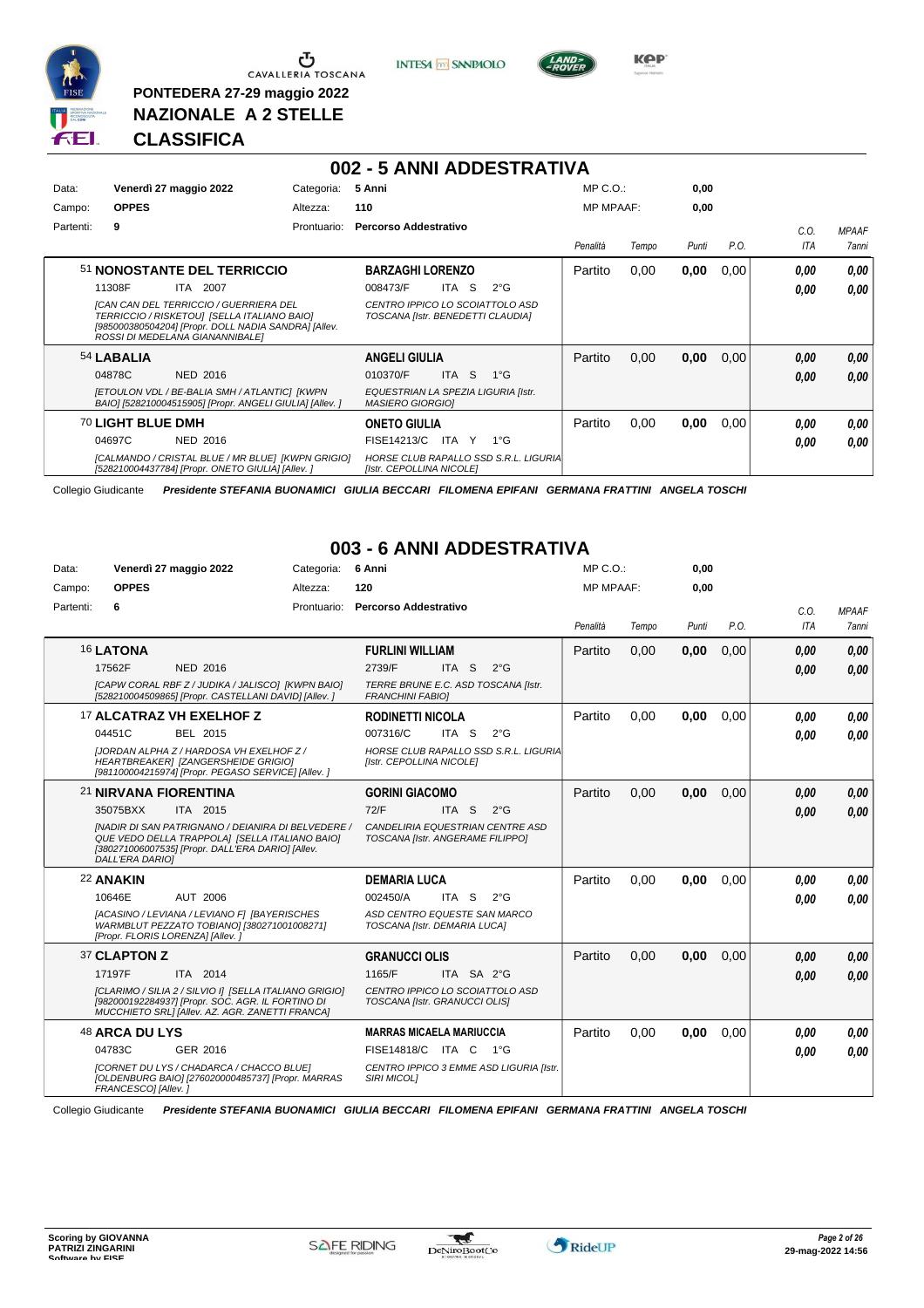

 $\sigma$  CAVALLERIA TOSCANA

**PONTEDERA 27-29 maggio 2022 NAZIONALE A 2 STELLE**





**CLASSIFICA**

|           |                                                                                                                                                                                  |             | 002 - 5 ANNI ADDESTRATIVA                                            |                  |       |       |      |            |              |
|-----------|----------------------------------------------------------------------------------------------------------------------------------------------------------------------------------|-------------|----------------------------------------------------------------------|------------------|-------|-------|------|------------|--------------|
| Data:     | Venerdì 27 maggio 2022                                                                                                                                                           | Categoria:  | 5 Anni                                                               | $MP C. O.$ :     |       | 0,00  |      |            |              |
| Campo:    | <b>OPPES</b>                                                                                                                                                                     | Altezza:    | 110                                                                  | <b>MP MPAAF:</b> |       | 0,00  |      |            |              |
| Partenti: | 9                                                                                                                                                                                | Prontuario: | <b>Percorso Addestrativo</b>                                         |                  |       |       |      | C.O.       | <b>MPAAF</b> |
|           |                                                                                                                                                                                  |             |                                                                      | Penalità         | Tempo | Punti | P.O. | <b>ITA</b> | <b>7anni</b> |
|           | 51 NONOSTANTE DEL TERRICCIO                                                                                                                                                      |             | <b>BARZAGHI LORENZO</b>                                              | Partito          | 0,00  | 0,00  | 0,00 | 0.00       | 0.00         |
|           | 11308F<br>ITA<br>2007                                                                                                                                                            |             | ITA S<br>$2^{\circ}$ G<br>008473/F                                   |                  |       |       |      | 0.00       | 0.00         |
|           | [CAN CAN DEL TERRICCIO / GUERRIERA DEL<br>TERRICCIO / RISKETOU] [SELLA ITALIANO BAIO]<br>[985000380504204] [Propr. DOLL NADIA SANDRA] [Allev.<br>ROSSI DI MEDELANA GIANANNIBALE] |             | CENTRO IPPICO LO SCOIATTOLO ASD<br>TOSCANA [Istr. BENEDETTI CLAUDIA] |                  |       |       |      |            |              |
|           | 54 LABALIA                                                                                                                                                                       |             | <b>ANGELI GIULIA</b>                                                 | Partito          | 0,00  | 0,00  | 0,00 | 0,00       | 0,00         |
|           | 04878C<br><b>NED 2016</b>                                                                                                                                                        |             | 010370/F<br>ITA S<br>$1^{\circ}G$                                    |                  |       |       |      | 0,00       | 0,00         |
|           | <b>IETOULON VDL / BE-BALIA SMH / ATLANTICI IKWPN</b><br>BAIO] [528210004515905] [Propr. ANGELI GIULIA] [Allev. ]                                                                 |             | EQUESTRIAN LA SPEZIA LIGURIA [Istr.<br><b>MASIERO GIORGIOI</b>       |                  |       |       |      |            |              |
|           | 70 LIGHT BLUE DMH                                                                                                                                                                |             | <b>ONETO GIULIA</b>                                                  | Partito          | 0,00  | 0,00  | 0,00 | 0.00       | 0,00         |
|           | 04697C<br><b>NED 2016</b>                                                                                                                                                        |             | FISE14213/C<br>$1^{\circ}G$<br>ITA Y                                 |                  |       |       |      | 0.00       | 0.00         |
|           | [CALMANDO / CRISTAL BLUE / MR BLUE] [KWPN GRIGIO]<br>[528210004437784] [Propr. ONETO GIULIA] [Allev. ]                                                                           |             | HORSE CLUB RAPALLO SSD S.R.L. LIGURIA<br>[Istr. CEPOLLINA NICOLE]    |                  |       |       |      |            |              |

Collegio Giudicante *Presidente STEFANIA BUONAMICI GIULIA BECCARI FILOMENA EPIFANI GERMANA FRATTINI ANGELA TOSCHI*

#### **003 - 6 ANNI ADDESTRATIVA**

| Data:     | Venerdì 27 maggio 2022           |                                                                                                                                                                | Categoria:  | 6 Anni                                                               |                  |                                         | $MP C. O.$ :     |       | 0,00  |      |            |              |
|-----------|----------------------------------|----------------------------------------------------------------------------------------------------------------------------------------------------------------|-------------|----------------------------------------------------------------------|------------------|-----------------------------------------|------------------|-------|-------|------|------------|--------------|
| Campo:    | <b>OPPES</b>                     |                                                                                                                                                                | Altezza:    | 120                                                                  |                  |                                         | <b>MP MPAAF:</b> |       | 0,00  |      |            |              |
| Partenti: | 6                                |                                                                                                                                                                | Prontuario: | Percorso Addestrativo                                                |                  |                                         |                  |       |       |      | C.O.       | <b>MPAAF</b> |
|           |                                  |                                                                                                                                                                |             |                                                                      |                  |                                         | Penalità         | Tempo | Punti | P.O. | <b>ITA</b> | <b>7anni</b> |
|           | 16 LATONA                        |                                                                                                                                                                |             | <b>FURLINI WILLIAM</b>                                               |                  |                                         | Partito          | 0.00  | 0,00  | 0,00 | 0,00       | 0,00         |
|           | 17562F                           | NED 2016                                                                                                                                                       |             | 2739/F                                                               | ITA <sub>S</sub> | $2^{\circ}$ G                           |                  |       |       |      | 0.00       | 0.00         |
|           |                                  | [CAPW CORAL RBF Z / JUDIKA / JALISCO] [KWPN BAIO]<br>[528210004509865] [Propr. CASTELLANI DAVID] [Allev.]                                                      |             | TERRE BRUNE E.C. ASD TOSCANA [Istr.<br><b>FRANCHINI FABIOI</b>       |                  |                                         |                  |       |       |      |            |              |
|           |                                  | 17 ALCATRAZ VH EXELHOF Z                                                                                                                                       |             | <b>RODINETTI NICOLA</b>                                              |                  |                                         | Partito          | 0.00  | 0.00  | 0.00 | 0.00       | 0.00         |
|           | 04451C                           | BEL 2015                                                                                                                                                       |             | 007316/C                                                             | ITA S            | $2^{\circ}$ G                           |                  |       |       |      | 0.00       | 0.00         |
|           |                                  | [JORDAN ALPHA Z / HARDOSA VH EXELHOF Z /<br>HEARTBREAKER] [ZANGERSHEIDE GRIGIO]<br>[981100004215974] [Propr. PEGASO SERVICE] [Allev. ]                         |             | [Istr. CEPOLLINA NICOLE]                                             |                  | HORSE CLUB RAPALLO SSD S.R.L. LIGURIA   |                  |       |       |      |            |              |
|           | 21 NIRVANA FIORENTINA            |                                                                                                                                                                |             | <b>GORINI GIACOMO</b>                                                |                  |                                         | Partito          | 0.00  | 0,00  | 0.00 | 0,00       | 0,00         |
|           | 35075BXX                         | ITA 2015                                                                                                                                                       |             | 72/F                                                                 | ITA <sub>S</sub> | $2^{\circ}$ G                           |                  |       |       |      | 0.00       | 0,00         |
|           | <b>DALL'ERA DARIOI</b>           | INADIR DI SAN PATRIGNANO / DEIANIRA DI BELVEDERE /<br>QUE VEDO DELLA TRAPPOLA] [SELLA ITALIANO BAIO]<br>[380271006007535] [Propr. DALL'ERA DARIO] [Allev.      |             | CANDELIRIA EQUESTRIAN CENTRE ASD<br>TOSCANA [Istr. ANGERAME FILIPPO] |                  |                                         |                  |       |       |      |            |              |
|           | 22 ANAKIN                        |                                                                                                                                                                |             | <b>DEMARIA LUCA</b>                                                  |                  |                                         | Partito          | 0.00  | 0,00  | 0.00 | 0.00       | 0.00         |
|           | 10646E                           | AUT 2006                                                                                                                                                       |             | 002450/A                                                             | ITA S            | $2^{\circ}$ G                           |                  |       |       |      | 0.00       | 0.00         |
|           | [Propr. FLORIS LORENZA] [Allev.] | [ACASINO / LEVIANA / LEVIANO F] [BAYERISCHES<br>WARMBLUT PEZZATO TOBIANO] [380271001008271]                                                                    |             | ASD CENTRO EQUESTE SAN MARCO<br>TOSCANA [Istr. DEMARIA LUCA]         |                  |                                         |                  |       |       |      |            |              |
|           | 37 CLAPTON Z                     |                                                                                                                                                                |             | <b>GRANUCCI OLIS</b>                                                 |                  |                                         | Partito          | 0.00  | 0,00  | 0,00 | 0,00       | 0.00         |
|           | 17197F                           | ITA 2014                                                                                                                                                       |             | 1165/F                                                               | ITA SA 2°G       |                                         |                  |       |       |      | 0.00       | 0.00         |
|           |                                  | [CLARIMO / SILIA 2 / SILVIO I] [SELLA ITALIANO GRIGIO]<br>[982000192284937] [Propr. SOC. AGR. IL FORTINO DI<br>MUCCHIETO SRLI [Allev. AZ. AGR. ZANETTI FRANCA] |             | CENTRO IPPICO LO SCOIATTOLO ASD<br>TOSCANA [Istr. GRANUCCI OLIS]     |                  |                                         |                  |       |       |      |            |              |
|           | 48 ARCA DU LYS                   |                                                                                                                                                                |             | <b>MARRAS MICAELA MARIUCCIA</b>                                      |                  |                                         | Partito          | 0,00  | 0,00  | 0.00 | 0.00       | 0.00         |
|           | 04783C                           | GER 2016                                                                                                                                                       |             | FISE14818/C ITA C 1°G                                                |                  |                                         |                  |       |       |      | 0,00       | 0.00         |
|           | FRANCESCO] [Allev.]              | [CORNET DU LYS / CHADARCA / CHACCO BLUE]<br>[OLDENBURG BAIO] [276020000485737] [Propr. MARRAS                                                                  |             | <b>SIRI MICOLI</b>                                                   |                  | CENTRO IPPICO 3 EMME ASD LIGURIA [Istr. |                  |       |       |      |            |              |

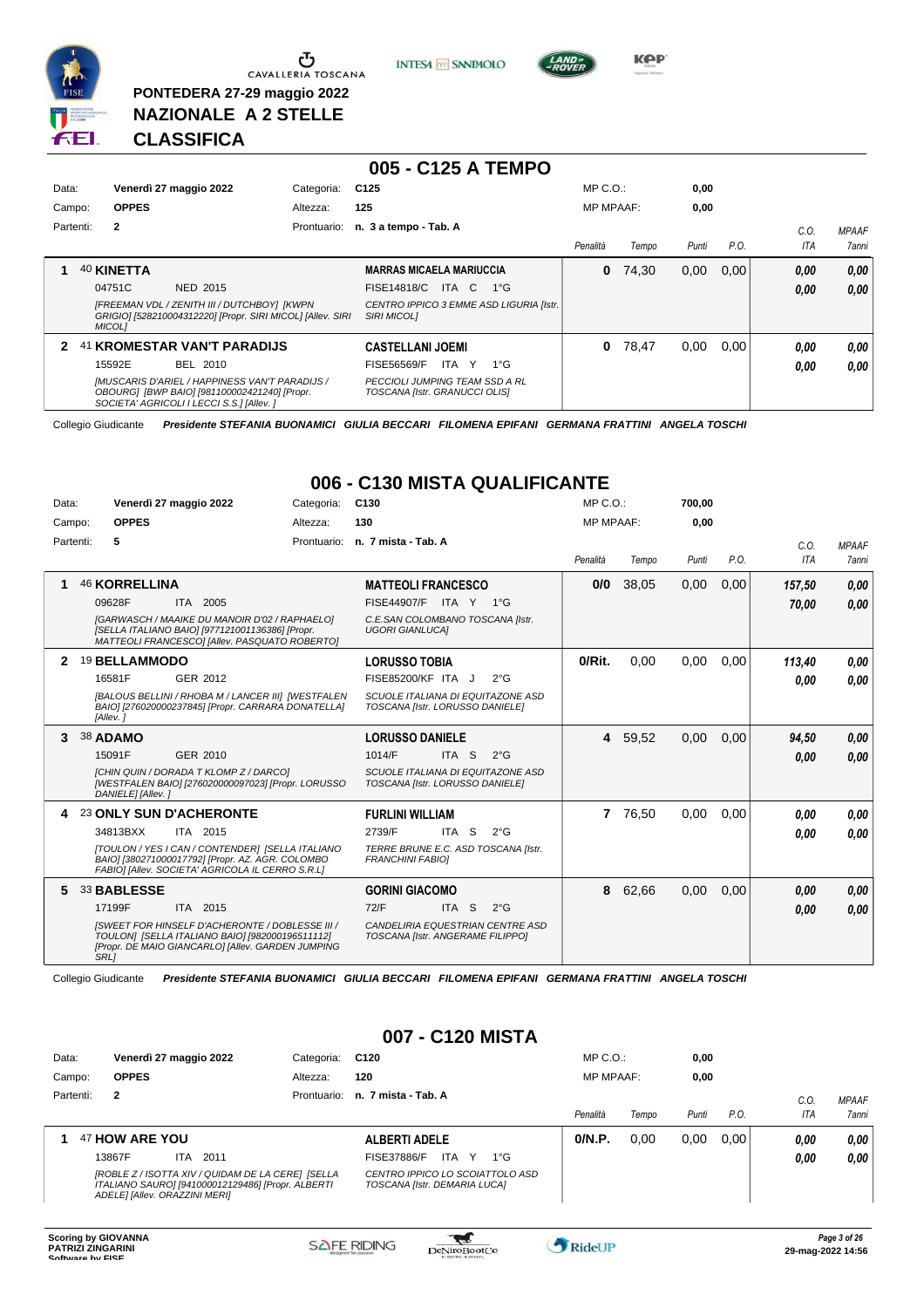

<u>ა</u> CAVALLERIA TOSCANA

**PONTEDERA 27-29 maggio 2022 NAZIONALE A 2 STELLE**

**INTESA** M SANPAOLO



**Kep** 

# **CLASSIFICA**

| Data:  |           |               | Venerdì 27 maggio 2022                                                                                                                      | Categoria:  | C <sub>125</sub>                                                |              | $MP C. O.$ :     |       | 0,00  |      |      |              |
|--------|-----------|---------------|---------------------------------------------------------------------------------------------------------------------------------------------|-------------|-----------------------------------------------------------------|--------------|------------------|-------|-------|------|------|--------------|
| Campo: |           | <b>OPPES</b>  |                                                                                                                                             | Altezza:    | 125                                                             |              | <b>MP MPAAF:</b> |       | 0,00  |      |      |              |
|        | Partenti: | $\mathbf{2}$  |                                                                                                                                             | Prontuario: | n. 3 a tempo - Tab. A                                           |              |                  |       |       |      | C.O. | <b>MPAAF</b> |
|        |           |               |                                                                                                                                             |             |                                                                 |              | Penalità         | Tempo | Punti | P.O. | ITA  | 7anni        |
|        |           | 40 KINETTA    |                                                                                                                                             |             | <b>MARRAS MICAELA MARIUCCIA</b>                                 |              | 0                | 74.30 | 0,00  | 0.00 | 0,00 | 0,00         |
|        |           | 04751C        | NED 2015                                                                                                                                    |             | FISE14818/C<br>ITA C                                            | $1^{\circ}G$ |                  |       |       |      | 0,00 | 0.00         |
|        |           | <b>MICOLI</b> | [FREEMAN VDL / ZENITH III / DUTCHBOY] [KWPN]<br>GRIGIO] [528210004312220] [Propr. SIRI MICOL] [Allev. SIRI                                  |             | CENTRO IPPICO 3 EMME ASD LIGURIA [Istr.<br><b>SIRI MICOLI</b>   |              |                  |       |       |      |      |              |
| 2      |           |               | 41 KROMESTAR VAN'T PARADIJS                                                                                                                 |             | <b>CASTELLANI JOEMI</b>                                         |              | 0                | 78,47 | 0,00  | 0.00 | 0.00 | 0,00         |
|        |           | 15592E        | BEL 2010                                                                                                                                    |             | ITA Y<br><b>FISE56569/F</b>                                     | $1^{\circ}G$ |                  |       |       |      | 0,00 | 0,00         |
|        |           |               | [MUSCARIS D'ARIEL / HAPPINESS VAN'T PARADIJS /<br>OBOURG1 [BWP BAIO] [981100002421240] [Propr.<br>SOCIETA' AGRICOLI I LECCI S.S.] [Allev. ] |             | PECCIOLI JUMPING TEAM SSD A RL<br>TOSCANA [Istr. GRANUCCI OLIS] |              |                  |       |       |      |      |              |

**005 - C125 A TEMPO**

Collegio Giudicante *Presidente STEFANIA BUONAMICI GIULIA BECCARI FILOMENA EPIFANI GERMANA FRATTINI ANGELA TOSCHI*

#### **006 - C130 MISTA QUALIFICANTE** MP C.O.:

| Data:     | Venerdì 27 maggio 2022                                                                                                                                                                                      | Categoria:  | C <sub>130</sub>                                                                                                                              | $MP C. O.$ :     |         | 700,00 |      |                    |                              |
|-----------|-------------------------------------------------------------------------------------------------------------------------------------------------------------------------------------------------------------|-------------|-----------------------------------------------------------------------------------------------------------------------------------------------|------------------|---------|--------|------|--------------------|------------------------------|
| Campo:    | <b>OPPES</b>                                                                                                                                                                                                | Altezza:    | 130                                                                                                                                           | <b>MP MPAAF:</b> |         | 0,00   |      |                    |                              |
| Partenti: | 5                                                                                                                                                                                                           | Prontuario: | n. 7 mista - Tab. A                                                                                                                           | Penalità         | Tempo   | Punti  | P.O. | C.O.<br><b>ITA</b> | <b>MPAAF</b><br><b>7anni</b> |
|           | <b>46 KORRELLINA</b><br>09628F<br>ITA 2005<br><b>IGARWASCH / MAAIKE DU MANOIR D'02 / RAPHAELOI</b><br>[SELLA ITALIANO BAIO] [977121001136386] [Propr.<br>MATTEOLI FRANCESCO] [Allev. PASQUATO ROBERTO]      |             | <b>MATTEOLI FRANCESCO</b><br>FISE44907/F ITA Y 1°G<br>C.E.SAN COLOMBANO TOSCANA [Istr.<br><b>UGORI GIANLUCAI</b>                              | 0/0              | 38,05   | 0,00   | 0,00 | 157,50<br>70.00    | 0,00<br>0.00                 |
| 2         | <b>19 BELLAMMODO</b><br>16581F<br>GER 2012<br>[BALOUS BELLINI / RHOBA M / LANCER III] [WESTFALEN<br>BAIO] [276020000237845] [Propr. CARRARA DONATELLA]<br>[Allev.]                                          |             | <b>LORUSSO TOBIA</b><br>FISE85200/KF ITA J<br>$2^{\circ}$ G<br>SCUOLE ITALIANA DI EQUITAZONE ASD<br>TOSCANA [Istr. LORUSSO DANIELE]           | 0/Rit.           | 0.00    | 0,00   | 0.00 | 113,40<br>0.00     | 0.00<br>0.00                 |
| 3         | 38 ADAMO<br>GER 2010<br>15091F<br>[CHIN QUIN / DORADA T KLOMP Z / DARCO]<br>[WESTFALEN BAIO] [276020000097023] [Propr. LORUSSO<br>DANIELE] [Allev.]                                                         |             | <b>LORUSSO DANIELE</b><br>ITA <sub>S</sub><br>1014/F<br>$2^{\circ}$ G<br>SCUOLE ITALIANA DI EQUITAZONE ASD<br>TOSCANA [Istr. LORUSSO DANIELE] |                  | 4 59,52 | 0,00   | 0.00 | 94,50<br>0.00      | 0,00<br>0.00                 |
| 4         | 23 ONLY SUN D'ACHERONTE<br>34813BXX<br>ITA 2015<br>[TOULON / YES I CAN / CONTENDER] [SELLA ITALIANO<br>BAIO] [380271000017792] [Propr. AZ. AGR. COLOMBO<br>FABIO] [Allev. SOCIETA' AGRICOLA IL CERRO S.R.L] |             | <b>FURLINI WILLIAM</b><br>2739/F<br>ITA S<br>$2^{\circ}$ G<br>TERRE BRUNE E.C. ASD TOSCANA [Istr.<br><b>FRANCHINI FABIOI</b>                  |                  | 7 76,50 | 0.00   | 0.00 | 0.00<br>0.00       | 0.00<br>0.00                 |
| 5         | 33 BABLESSE<br>17199F<br>ITA 2015<br>ISWEET FOR HINSELF D'ACHERONTE / DOBLESSE III /<br>TOULON] [SELLA ITALIANO BAIO] [982000196511112]<br>[Propr. DE MAIO GIANCARLO] [Allev. GARDEN JUMPING<br><b>SRL1</b> |             | <b>GORINI GIACOMO</b><br>72/F<br>ITA <sub>S</sub><br>$2^{\circ}$ G<br>CANDELIRIA EQUESTRIAN CENTRE ASD<br>TOSCANA [Istr. ANGERAME FILIPPO]    | 8                | 62,66   | 0,00   | 0,00 | 0,00<br>0.00       | 0,00<br>0.00                 |

Collegio Giudicante *Presidente STEFANIA BUONAMICI GIULIA BECCARI FILOMENA EPIFANI GERMANA FRATTINI ANGELA TOSCHI*

#### **007 - C120 MISTA**

| Data:     | Venerdì 27 maggio 2022                                                                                                                  | Categoria: | C <sub>120</sub>                                                | $MP C. O.$ :     |       | 0,00  |      |      |              |
|-----------|-----------------------------------------------------------------------------------------------------------------------------------------|------------|-----------------------------------------------------------------|------------------|-------|-------|------|------|--------------|
| Campo:    | <b>OPPES</b>                                                                                                                            | Altezza:   | 120                                                             | <b>MP MPAAF:</b> |       | 0,00  |      |      |              |
| Partenti: | $\overline{2}$                                                                                                                          |            | Prontuario: n. 7 mista - Tab. A                                 |                  |       |       |      | C.O. | <b>MPAAF</b> |
|           |                                                                                                                                         |            |                                                                 | Penalità         | Tempo | Punti | P.O. | ITA  | 7anni        |
|           | 47 HOW ARE YOU                                                                                                                          |            | <b>ALBERTI ADELE</b>                                            | 0/N.P.           | 0.00  | 0,00  | 0.00 | 0.00 | 0,00         |
|           | 13867F<br>2011<br>ITA.                                                                                                                  |            | ITA Y<br>FISE37886/F<br>$1^{\circ}G$                            |                  |       |       |      | 0,00 | 0,00         |
|           | [ROBLE Z / ISOTTA XIV / QUIDAM DE LA CERE] [SELLA<br>ITALIANO SAURO] [941000012129486] [Propr. ALBERTI<br>ADELE] [Allev. ORAZZINI MERI] |            | CENTRO IPPICO LO SCOIATTOLO ASD<br>TOSCANA [Istr. DEMARIA LUCA] |                  |       |       |      |      |              |

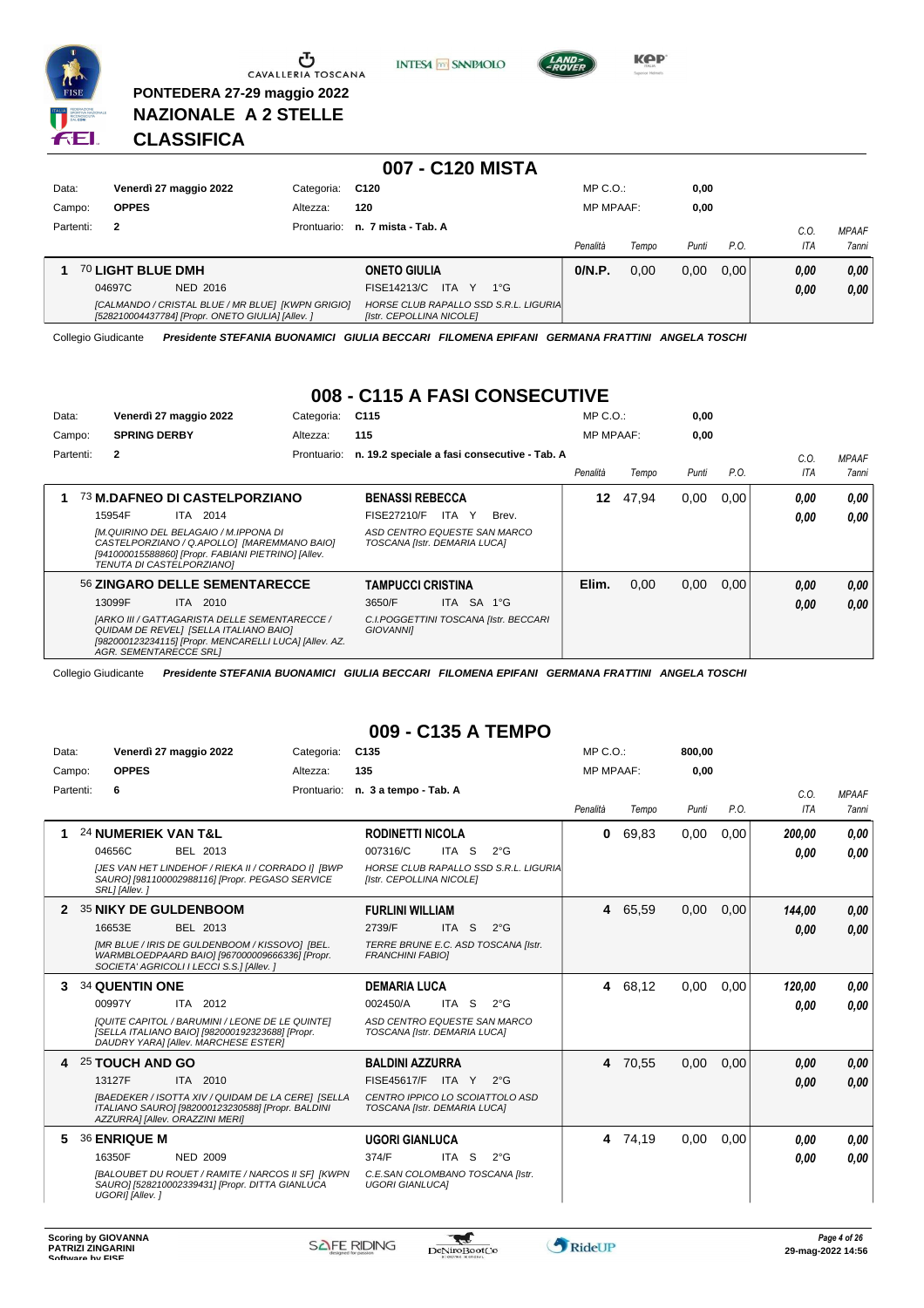

**PONTEDERA 27-29 maggio 2022 NAZIONALE A 2 STELLE**





# **CLASSIFICA**

|           |                                                                                                        |             | 007 - C120 MISTA                                                  |                  |       |       |      |      |                     |
|-----------|--------------------------------------------------------------------------------------------------------|-------------|-------------------------------------------------------------------|------------------|-------|-------|------|------|---------------------|
| Data:     | Venerdì 27 maggio 2022                                                                                 | Categoria:  | C120                                                              | $MP C. O.$ :     |       | 0,00  |      |      |                     |
| Campo:    | <b>OPPES</b>                                                                                           | Altezza:    | 120                                                               | <b>MP MPAAF:</b> |       | 0,00  |      |      |                     |
| Partenti: | $\overline{2}$                                                                                         | Prontuario: | n. 7 mista - Tab. A                                               |                  |       |       | P.O. | C.0  | <b>MPAAF</b>        |
|           |                                                                                                        |             |                                                                   | Penalità         | Tempo | Punti |      | ITA  | <i><b>7anni</b></i> |
|           | 70 LIGHT BLUE DMH                                                                                      |             | <b>ONETO GIULIA</b>                                               | 0/N.P.           | 0,00  | 0,00  | 0.00 | 0.00 | 0.00                |
|           | 04697C<br>NED 2016                                                                                     |             | FISE14213/C<br>ITA Y<br>$1^{\circ}G$                              |                  |       |       |      | 0,00 | 0,00                |
|           | [CALMANDO / CRISTAL BLUE / MR BLUE] [KWPN GRIGIO]<br>[528210004437784] [Propr. ONETO GIULIA] [Allev. ] |             | HORSE CLUB RAPALLO SSD S.R.L. LIGURIA<br>[Istr. CEPOLLINA NICOLE] |                  |       |       |      |      |                     |

Collegio Giudicante *Presidente STEFANIA BUONAMICI GIULIA BECCARI FILOMENA EPIFANI GERMANA FRATTINI ANGELA TOSCHI*

#### **008 - C115 A FASI CONSECUTIVE**

| Data:     | Venerdì 27 maggio 2022                                                                                                                                                             | Categoria:  | C <sub>115</sub>                                             |            |                                              | $MP C. O.$ :     |       | 0,00  |      |      |              |
|-----------|------------------------------------------------------------------------------------------------------------------------------------------------------------------------------------|-------------|--------------------------------------------------------------|------------|----------------------------------------------|------------------|-------|-------|------|------|--------------|
| Campo:    | <b>SPRING DERBY</b>                                                                                                                                                                | Altezza:    | 115                                                          |            |                                              | <b>MP MPAAF:</b> |       | 0.00  |      |      |              |
| Partenti: | $\overline{2}$                                                                                                                                                                     | Prontuario: |                                                              |            | n. 19.2 speciale a fasi consecutive - Tab. A |                  |       |       |      | C.O. | <b>MPAAF</b> |
|           |                                                                                                                                                                                    |             |                                                              |            |                                              | Penalità         | Tempo | Punti | P.O. | ITA  | <b>7anni</b> |
| 1         | 73 M.DAFNEO DI CASTELPORZIANO                                                                                                                                                      |             | <b>BENASSI REBECCA</b>                                       |            |                                              | 12               | 47.94 | 0,00  | 0,00 | 0.00 | 0.00         |
|           | 15954F<br>ITA 2014                                                                                                                                                                 |             | FISE27210/F                                                  | ITA Y      | Brev.                                        |                  |       |       |      | 0.00 | 0.00         |
|           | [M.QUIRINO DEL BELAGAIO / M.IPPONA DI<br>CASTELPORZIANO / Q.APOLLO] [MAREMMANO BAIO]<br>[941000015588860] [Propr. FABIANI PIETRINO] [Allev.<br>TENUTA DI CASTELPORZIANO]           |             | ASD CENTRO EQUESTE SAN MARCO<br>TOSCANA [Istr. DEMARIA LUCA] |            |                                              |                  |       |       |      |      |              |
|           | 56 ZINGARO DELLE SEMENTARECCE                                                                                                                                                      |             | <b>TAMPUCCI CRISTINA</b>                                     |            |                                              | Elim.            | 0.00  | 0,00  | 0.00 | 0.00 | 0.00         |
|           | 13099F<br>ITA 2010                                                                                                                                                                 |             | 3650/F                                                       | ITA SA 1°G |                                              |                  |       |       |      | 0.00 | 0,00         |
|           | [ARKO III / GATTAGARISTA DELLE SEMENTARECCE /<br>QUIDAM DE REVELI [SELLA ITALIANO BAIO]<br>[982000123234115] [Propr. MENCARELLI LUCA] [Allev. AZ.<br><b>AGR. SEMENTARECCE SRLI</b> |             | <b>GIOVANNII</b>                                             |            | C.I.POGGETTINI TOSCANA [Istr. BECCARI        |                  |       |       |      |      |              |

Collegio Giudicante *Presidente STEFANIA BUONAMICI GIULIA BECCARI FILOMENA EPIFANI GERMANA FRATTINI ANGELA TOSCHI*

#### **009 - C135 A TEMPO**

| Data:     | Venerdì 27 maggio 2022                                                                                                                                                                      | Categoria:  | C <sub>135</sub>                                                                                                                   | $MP C. O.$ : |         | 800,00 |      |                |                              |
|-----------|---------------------------------------------------------------------------------------------------------------------------------------------------------------------------------------------|-------------|------------------------------------------------------------------------------------------------------------------------------------|--------------|---------|--------|------|----------------|------------------------------|
| Campo:    | <b>OPPES</b>                                                                                                                                                                                | Altezza:    | 135                                                                                                                                | MP MPAAF:    |         | 0,00   |      |                |                              |
| Partenti: | 6                                                                                                                                                                                           | Prontuario: | n. 3 a tempo - Tab. A                                                                                                              | Penalità     | Tempo   | Punti  | P.O. | C.O.<br>ITA    | <b>MPAAF</b><br><b>7anni</b> |
|           | <b>24 NUMERIEK VAN T&amp;L</b><br>04656C<br>BEL 2013<br>[JES VAN HET LINDEHOF / RIEKA II / CORRADO I] [BWP<br>SAURO] [981100002988116] [Propr. PEGASO SERVICE<br>SRL] [Allev.]              |             | <b>RODINETTI NICOLA</b><br>007316/C<br>ITA S<br>$2^{\circ}$ G<br>HORSE CLUB RAPALLO SSD S.R.L. LIGURIA<br>[Istr. CEPOLLINA NICOLE] | 0            | 69,83   | 0,00   | 0,00 | 200,00<br>0,00 | 0.00<br>0,00                 |
| 2         | 35 NIKY DE GULDENBOOM<br>16653E<br>BEL 2013<br>[MR BLUE / IRIS DE GULDENBOOM / KISSOVO] [BEL.<br>WARMBLOEDPAARD BAIO] [967000009666336] [Propr.<br>SOCIETA' AGRICOLI I LECCI S.S.] [Allev.] |             | <b>FURLINI WILLIAM</b><br>2739/F<br>ITA S<br>$2^{\circ}$ G<br>TERRE BRUNE E.C. ASD TOSCANA [Istr.<br><b>FRANCHINI FABIOI</b>       | 4            | 65,59   | 0,00   | 0.00 | 144.00<br>0,00 | 0,00<br>0,00                 |
| 3         | 34 QUENTIN ONE<br>00997Y<br>ITA 2012<br>[QUITE CAPITOL / BARUMINI / LEONE DE LE QUINTE]<br>[SELLA ITALIANO BAIO] [982000192323688] [Propr.<br>DAUDRY YARA] [Allev. MARCHESE ESTER]          |             | <b>DEMARIA LUCA</b><br>ITA S<br>002450/A<br>$2^{\circ}G$<br>ASD CENTRO EQUESTE SAN MARCO<br>TOSCANA [Istr. DEMARIA LUCA]           |              | 4 68,12 | 0,00   | 0.00 | 120,00<br>0.00 | 0.00<br>0.00                 |
| 4         | 25 TOUCH AND GO<br>13127F<br>ITA 2010<br>[BAEDEKER / ISOTTA XIV / QUIDAM DE LA CERE] [SELLA<br>ITALIANO SAURO] [982000123230588] [Propr. BALDINI<br>AZZURRA] [Allev. ORAZZINI MERI]         |             | <b>BALDINI AZZURRA</b><br>FISE45617/F<br>ITA Y<br>$2^{\circ}G$<br>CENTRO IPPICO LO SCOIATTOLO ASD<br>TOSCANA [Istr. DEMARIA LUCA]  |              | 4 70,55 | 0,00   | 0,00 | 0,00<br>0,00   | 0.00<br>0.00                 |
| 5         | <b>36 ENRIQUE M</b><br>16350F<br><b>NED 2009</b><br><b>IBALOUBET DU ROUET / RAMITE / NARCOS II SFI IKWPN</b><br>SAURO] [528210002339431] [Propr. DITTA GIANLUCA<br>UGORI] [Allev.]          |             | <b>UGORI GIANLUCA</b><br>374/F<br>ITA S<br>$2^{\circ}G$<br>C.E.SAN COLOMBANO TOSCANA [Istr.<br><b>UGORI GIANLUCAI</b>              |              | 4 74,19 | 0,00   | 0,00 | 0.00<br>0,00   | 0,00<br>0,00                 |

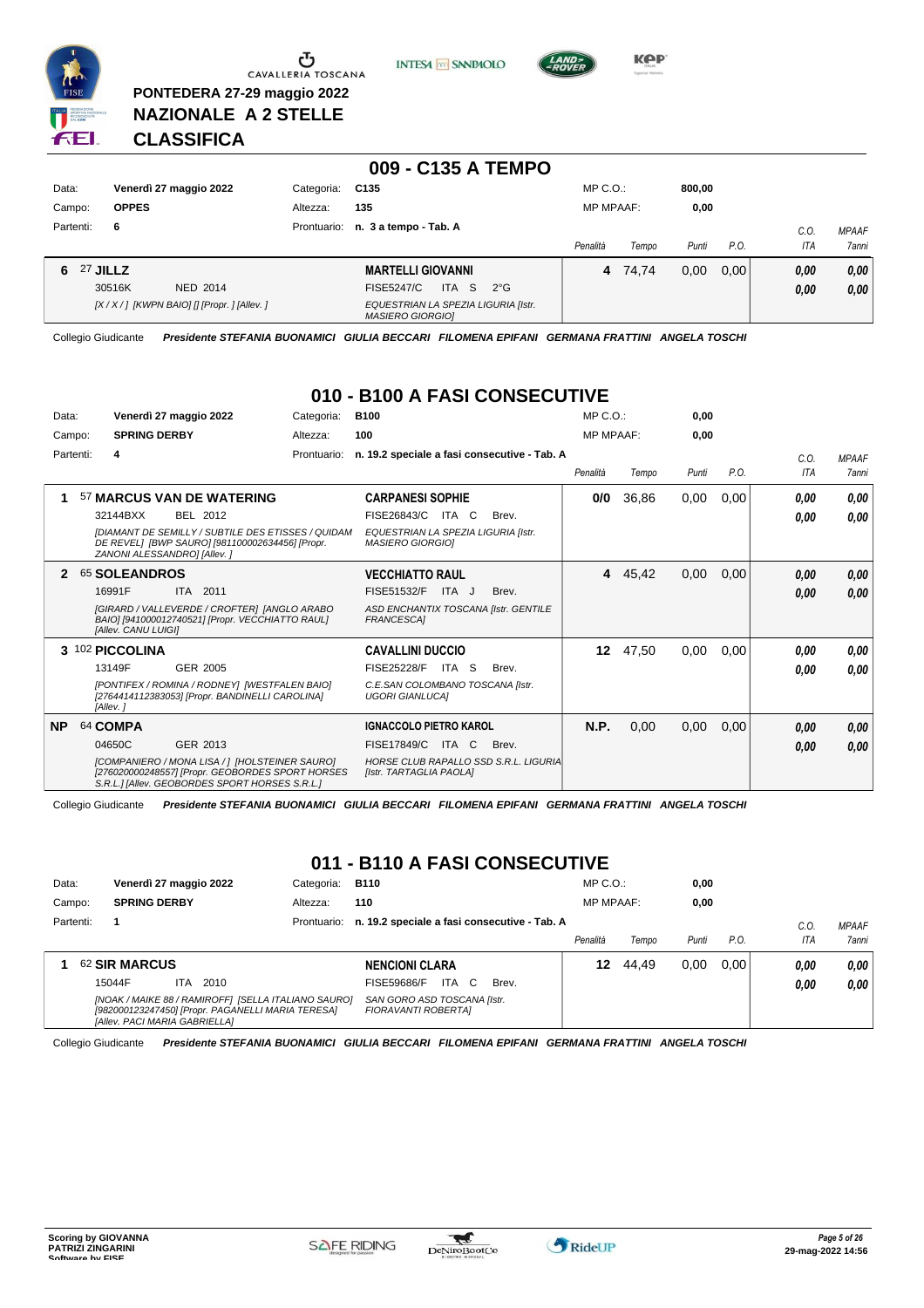

**PONTEDERA 27-29 maggio 2022 NAZIONALE A 2 STELLE**





**KOP** 

# **CLASSIFICA**

|                      |                                              |             | 009 - C135 A TEMPO                                                     |                  |         |        |      |              |                              |
|----------------------|----------------------------------------------|-------------|------------------------------------------------------------------------|------------------|---------|--------|------|--------------|------------------------------|
| Data:                | Venerdì 27 maggio 2022                       | Categoria:  | C135                                                                   | $MP C. O.$ :     |         | 800,00 |      |              |                              |
| Campo:               | <b>OPPES</b>                                 | Altezza:    | 135                                                                    | <b>MP MPAAF:</b> |         | 0,00   |      |              |                              |
| Partenti:            | 6                                            | Prontuario: | n. 3 a tempo - Tab. A                                                  | Penalità         | Tempo   | Punti  | P.O. | C.O.<br>ITA  | <b>MPAAF</b><br><b>7anni</b> |
| <b>27 JILLZ</b><br>6 | 30516K<br><b>NED 2014</b>                    |             | <b>MARTELLI GIOVANNI</b><br>ITA S<br><b>FISE5247/C</b><br>$2^{\circ}G$ |                  | 4 74.74 | 0,00   | 0.00 | 0,00<br>0,00 | 0,00<br>0,00                 |
|                      | $[X/X/$ ] [KWPN BAIO] [] [Propr. ] [Allev. ] |             | EQUESTRIAN LA SPEZIA LIGURIA [Istr.<br><b>MASIERO GIORGIOI</b>         |                  |         |        |      |              |                              |

Collegio Giudicante *Presidente STEFANIA BUONAMICI GIULIA BECCARI FILOMENA EPIFANI GERMANA FRATTINI ANGELA TOSCHI*

# **010 - B100 A FASI CONSECUTIVE**

| Data:<br>Campo: | Venerdì 27 maggio 2022<br>Categoria:<br><b>SPRING DERBY</b><br>Altezza:                                                                                                                          | <b>B100</b><br>100                                                                                                                     | $MP C. O.$ :<br><b>MP MPAAF:</b> |       | 0.00<br>0.00 |      |                    |                       |
|-----------------|--------------------------------------------------------------------------------------------------------------------------------------------------------------------------------------------------|----------------------------------------------------------------------------------------------------------------------------------------|----------------------------------|-------|--------------|------|--------------------|-----------------------|
|                 | Partenti:<br>4<br>Prontuario:                                                                                                                                                                    | n. 19.2 speciale a fasi consecutive - Tab. A                                                                                           | Penalità                         | Tempo | Punti        | P.O. | C.O.<br><b>ITA</b> | <b>MPAAF</b><br>7anni |
| 1               | 57 MARCUS VAN DE WATERING<br>32144BXX<br>BEL 2012<br><b>IDIAMANT DE SEMILLY / SUBTILE DES ETISSES / QUIDAM</b><br>DE REVEL] [BWP SAURO] [981100002634456] [Propr.<br>ZANONI ALESSANDRO] [Allev.] | <b>CARPANESI SOPHIE</b><br>FISE26843/C ITA C<br>Brev.<br>EQUESTRIAN LA SPEZIA LIGURIA [Istr.<br><b>MASIERO GIORGIOI</b>                | 0/0                              | 36,86 | 0,00         | 0,00 | 0.00<br>0.00       | 0,00<br>0,00          |
|                 | 65 SOLEANDROS<br>16991F<br>ITA 2011<br>[GIRARD / VALLEVERDE / CROFTER] [ANGLO ARABO<br>BAIO] [941000012740521] [Propr. VECCHIATTO RAUL]<br>[Allev. CANU LUIGI]                                   | <b>VECCHIATTO RAUL</b><br>FISE51532/F<br>ITA J<br>Brev.<br>ASD ENCHANTIX TOSCANA [Istr. GENTILE<br><b>FRANCESCAI</b>                   | 4                                | 45,42 | 0,00         | 0,00 | 0.00<br>0,00       | 0,00<br>0.00          |
|                 | 3 102 PICCOLINA<br>13149F<br><b>GER 2005</b><br>[PONTIFEX / ROMINA / RODNEY] [WESTFALEN BAIO]<br>[2764414112383053] [Propr. BANDINELLI CAROLINA]<br>[Allev.]                                     | <b>CAVALLINI DUCCIO</b><br><b>FISE25228/F</b><br>ITA S<br>Brev.<br>C.E.SAN COLOMBANO TOSCANA [Istr.<br><b>UGORI GIANLUCAI</b>          | 12 <sup>12</sup>                 | 47,50 | 0,00         | 0,00 | 0.00<br>0.00       | 0,00<br>0.00          |
| <b>NP</b>       | 64 COMPA<br>04650C<br>GER 2013<br>[COMPANIERO / MONA LISA / 1 [HOLSTEINER SAURO]<br>[276020000248557] [Propr. GEOBORDES SPORT HORSES<br>S.R.L.] [Allev. GEOBORDES SPORT HORSES S.R.L.]           | <b>IGNACCOLO PIETRO KAROL</b><br>FISE17849/C<br>ITA<br>C.<br>Brev.<br>HORSE CLUB RAPALLO SSD S.R.L. LIGURIA<br>[Istr. TARTAGLIA PAOLA] | N.P.                             | 0,00  | 0,00         | 0,00 | 0,00<br>0.00       | 0,00<br>0.00          |

Collegio Giudicante *Presidente STEFANIA BUONAMICI GIULIA BECCARI FILOMENA EPIFANI GERMANA FRATTINI ANGELA TOSCHI*

# **011 - B110 A FASI CONSECUTIVE**

| Data:     | Venerdì 27 maggio 2022        |      |                                                   | Categoria:                                          | <b>B110</b>                                              |           |       | $MP C. O.$ :     |       | 0,00  |      |      |                     |
|-----------|-------------------------------|------|---------------------------------------------------|-----------------------------------------------------|----------------------------------------------------------|-----------|-------|------------------|-------|-------|------|------|---------------------|
| Campo:    | <b>SPRING DERBY</b>           |      |                                                   | Altezza:                                            | 110                                                      |           |       | <b>MP MPAAF:</b> |       | 0,00  |      |      |                     |
| Partenti: |                               |      |                                                   |                                                     | Prontuario: n. 19.2 speciale a fasi consecutive - Tab. A |           |       |                  |       |       |      | C.O  | <b>MPAAF</b>        |
|           |                               |      |                                                   |                                                     |                                                          |           |       | Penalità         | Tempo | Punti | P.O. | ITA  | <i><b>7anni</b></i> |
|           | <b>62 SIR MARCUS</b>          |      |                                                   |                                                     | <b>NENCIONI CLARA</b>                                    |           |       | 12               | 44.49 | 0.00  | 0.00 | 0.00 | 0.00                |
|           | 15044F                        | ITA. | 2010                                              |                                                     | FISE59686/F                                              | ITA<br>C. | Brev. |                  |       |       |      | 0.00 | 0.00                |
|           | [Allev. PACI MARIA GABRIELLA] |      | [982000123247450] [Propr. PAGANELLI MARIA TERESA] | [NOAK / MAIKE 88 / RAMIROFF] [SELLA ITALIANO SAURO] | SAN GORO ASD TOSCANA [Istr.<br>FIORAVANTI ROBERTAI       |           |       |                  |       |       |      |      |                     |

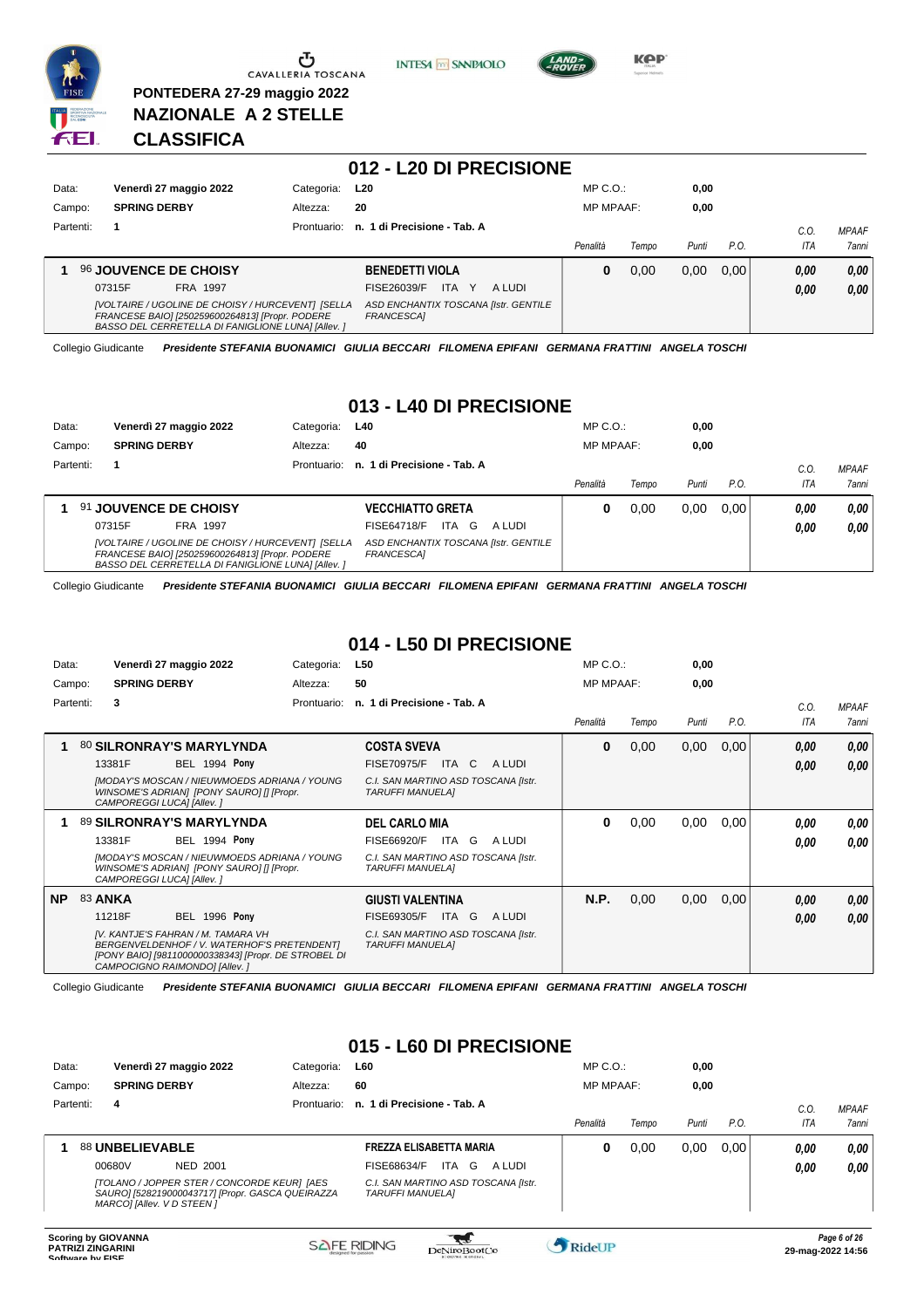

**PONTEDERA 27-29 maggio 2022 NAZIONALE A 2 STELLE**





**KPP** 

# **CLASSIFICA**

|           |                                                                                                                                                            |             | 012 - L20 DI PRECISIONE                                   |                  |       |       |      |      |              |
|-----------|------------------------------------------------------------------------------------------------------------------------------------------------------------|-------------|-----------------------------------------------------------|------------------|-------|-------|------|------|--------------|
| Data:     | Venerdì 27 maggio 2022                                                                                                                                     | Categoria:  | L20                                                       | $MP C. O.$ :     |       | 0,00  |      |      |              |
| Campo:    | <b>SPRING DERBY</b>                                                                                                                                        | Altezza:    | 20                                                        | <b>MP MPAAF:</b> |       | 0,00  |      |      |              |
| Partenti: |                                                                                                                                                            | Prontuario: | n. 1 di Precisione - Tab. A                               |                  |       |       |      | C.O. | <b>MPAAF</b> |
|           |                                                                                                                                                            |             |                                                           | Penalità         | Tempo | Punti | P.O. | ITA  | 7anni        |
|           | <b>96 JOUVENCE DE CHOISY</b>                                                                                                                               |             | <b>BENEDETTI VIOLA</b>                                    | 0                | 0.00  | 0.00  | 0.00 | 0,00 | 0,00         |
|           | FRA 1997<br>07315F                                                                                                                                         |             | <b>ITA</b><br>FISE26039/F<br>Y<br>A LUDI                  |                  |       |       |      | 0,00 | 0,00         |
|           | [VOLTAIRE / UGOLINE DE CHOISY / HURCEVENT] [SELLA<br>FRANCESE BAIO] [250259600264813] [Propr. PODERE<br>BASSO DEL CERRETELLA DI FANIGLIONE LUNA] [Allev. ] |             | ASD ENCHANTIX TOSCANA [Istr. GENTILE<br><b>FRANCESCAI</b> |                  |       |       |      |      |              |

Collegio Giudicante *Presidente STEFANIA BUONAMICI GIULIA BECCARI FILOMENA EPIFANI GERMANA FRATTINI ANGELA TOSCHI*

#### **013 - L40 DI PRECISIONE**

| Data:     | Venerdì 27 maggio 2022                                                                                                                                     | Categoria:  | L40                                                | $MP C. O.$ :     |       | 0,00  |      |            |              |
|-----------|------------------------------------------------------------------------------------------------------------------------------------------------------------|-------------|----------------------------------------------------|------------------|-------|-------|------|------------|--------------|
| Campo:    | <b>SPRING DERBY</b>                                                                                                                                        | Altezza:    | 40                                                 | <b>MP MPAAF:</b> |       | 0,00  |      |            |              |
| Partenti: |                                                                                                                                                            | Prontuario: | n. 1 di Precisione - Tab. A                        |                  |       |       |      | C.O.       | <b>MPAAF</b> |
|           |                                                                                                                                                            |             |                                                    | Penalità         | Tempo | Punti | P.O. | <b>ITA</b> | <b>7anni</b> |
|           | 91 JOUVENCE DE CHOISY                                                                                                                                      |             | <b>VECCHIATTO GRETA</b>                            | 0                | 0.00  | 0.00  | 0.00 | 0.00       | 0.00         |
|           | 07315F<br>FRA 1997                                                                                                                                         |             | <b>ITA</b><br>FISE64718/F<br>G<br>A LUDI           |                  |       |       |      | 0.00       | 0.00         |
|           | [VOLTAIRE / UGOLINE DE CHOISY / HURCEVENT] [SELLA<br>FRANCESE BAIO] [250259600264813] [Propr. PODERE<br>BASSO DEL CERRETELLA DI FANIGLIONE LUNAI [Allev. ] |             | ASD ENCHANTIX TOSCANA [Istr. GENTILE<br>FRANCESCA] |                  |       |       |      |            |              |

Collegio Giudicante *Presidente STEFANIA BUONAMICI GIULIA BECCARI FILOMENA EPIFANI GERMANA FRATTINI ANGELA TOSCHI*

#### **014 - L50 DI PRECISIONE**

| Data:     |                |                           | Venerdì 27 maggio 2022                                                                                                                                                     | Categoria:  | L50                                                            |       |        | $MP C. O.$ :     |       | 0,00  |      |      |              |
|-----------|----------------|---------------------------|----------------------------------------------------------------------------------------------------------------------------------------------------------------------------|-------------|----------------------------------------------------------------|-------|--------|------------------|-------|-------|------|------|--------------|
| Campo:    |                | <b>SPRING DERBY</b>       |                                                                                                                                                                            | Altezza:    | 50                                                             |       |        | <b>MP MPAAF:</b> |       | 0,00  |      |      |              |
|           | Partenti:      | 3                         |                                                                                                                                                                            | Prontuario: | n. 1 di Precisione - Tab. A                                    |       |        |                  |       |       |      | C.O. | <b>MPAAF</b> |
|           |                |                           |                                                                                                                                                                            |             |                                                                |       |        | Penalità         | Tempo | Punti | P.O. | ITA  | <b>7anni</b> |
|           |                |                           | 80 SILRONRAY'S MARYLYNDA                                                                                                                                                   |             | <b>COSTA SVEVA</b>                                             |       |        | $\bf{0}$         | 0,00  | 0,00  | 0,00 | 0,00 | 0,00         |
|           |                | 13381F                    | <b>BEL 1994 Pony</b>                                                                                                                                                       |             | <b>FISE70975/F</b>                                             | ITA C | A LUDI |                  |       |       |      | 0,00 | 0,00         |
|           |                | CAMPOREGGI LUCA] [Allev.] | [MODAY'S MOSCAN / NIEUWMOEDS ADRIANA / YOUNG<br>WINSOME'S ADRIANI [PONY SAURO] [] [Propr.                                                                                  |             | C.I. SAN MARTINO ASD TOSCANA [Istr.<br>TARUFFI MANUELA]        |       |        |                  |       |       |      |      |              |
|           |                |                           | 89 SILRONRAY'S MARYLYNDA                                                                                                                                                   |             | <b>DEL CARLO MIA</b>                                           |       |        | 0                | 0,00  | 0,00  | 0,00 | 0,00 | 0,00         |
|           |                | 13381F                    | <b>BEL 1994 Pony</b>                                                                                                                                                       |             | FISE66920/F                                                    | ITA G | A LUDI |                  |       |       |      | 0.00 | 0.00         |
|           |                | CAMPOREGGI LUCA] [Allev.] | [MODAY'S MOSCAN / NIEUWMOEDS ADRIANA / YOUNG<br>WINSOME'S ADRIAN] [PONY SAURO] [] [Propr.                                                                                  |             | C.I. SAN MARTINO ASD TOSCANA [Istr.<br><b>TARUFFI MANUELAI</b> |       |        |                  |       |       |      |      |              |
| <b>NP</b> | <b>83 ANKA</b> |                           |                                                                                                                                                                            |             | <b>GIUSTI VALENTINA</b>                                        |       |        | N.P.             | 0,00  | 0,00  | 0,00 | 0,00 | 0,00         |
|           |                | 11218F                    | <b>BEL 1996 Pony</b>                                                                                                                                                       |             | FISE69305/F                                                    | ITA G | A LUDI |                  |       |       |      | 0,00 | 0.00         |
|           |                |                           | IV. KANTJE'S FAHRAN / M. TAMARA VH<br>BERGENVELDENHOF / V. WATERHOF'S PRETENDENT]<br>[PONY BAIO] [9811000000338343] [Propr. DE STROBEL DI<br>CAMPOCIGNO RAIMONDO] [Allev.] |             | C.I. SAN MARTINO ASD TOSCANA [Istr.<br><b>TARUFFI MANUELAI</b> |       |        |                  |       |       |      |      |              |

Collegio Giudicante *Presidente STEFANIA BUONAMICI GIULIA BECCARI FILOMENA EPIFANI GERMANA FRATTINI ANGELA TOSCHI*

#### **015 - L60 DI PRECISIONE**

| Data:     | Venerdì 27 maggio 2022                                                                                                        | Categoria:  | <b>L60</b>                                                     | $MP C. O.$ :     |       | 0,00  |      |            |              |
|-----------|-------------------------------------------------------------------------------------------------------------------------------|-------------|----------------------------------------------------------------|------------------|-------|-------|------|------------|--------------|
| Campo:    | <b>SPRING DERBY</b>                                                                                                           | Altezza:    | 60                                                             | <b>MP MPAAF:</b> |       | 0,00  |      |            |              |
| Partenti: | 4                                                                                                                             | Prontuario: | n. 1 di Precisione - Tab. A                                    |                  |       |       |      | $C_{0}$    | <b>MPAAF</b> |
|           |                                                                                                                               |             |                                                                | Penalità         | Tempo | Punti | P.O. | <b>ITA</b> | 7anni        |
|           | 88 UNBELIEVABLE                                                                                                               |             | FREZZA ELISABETTA MARIA                                        | 0                | 0,00  | 0.00  | 0.00 | 0.00       | 0.00         |
|           | 00680V<br>NED 2001                                                                                                            |             | FISE68634/F<br>ITA G<br>A LUDI                                 |                  |       |       |      | 0.00       | 0.00         |
|           | [TOLANO / JOPPER STER / CONCORDE KEUR] [AES<br>SAURO] [528219000043717] [Propr. GASCA QUEIRAZZA<br>MARCOI [Allev. V D STEEN ] |             | C.I. SAN MARTINO ASD TOSCANA [Istr.<br><b>TARUFFI MANUELA1</b> |                  |       |       |      |            |              |

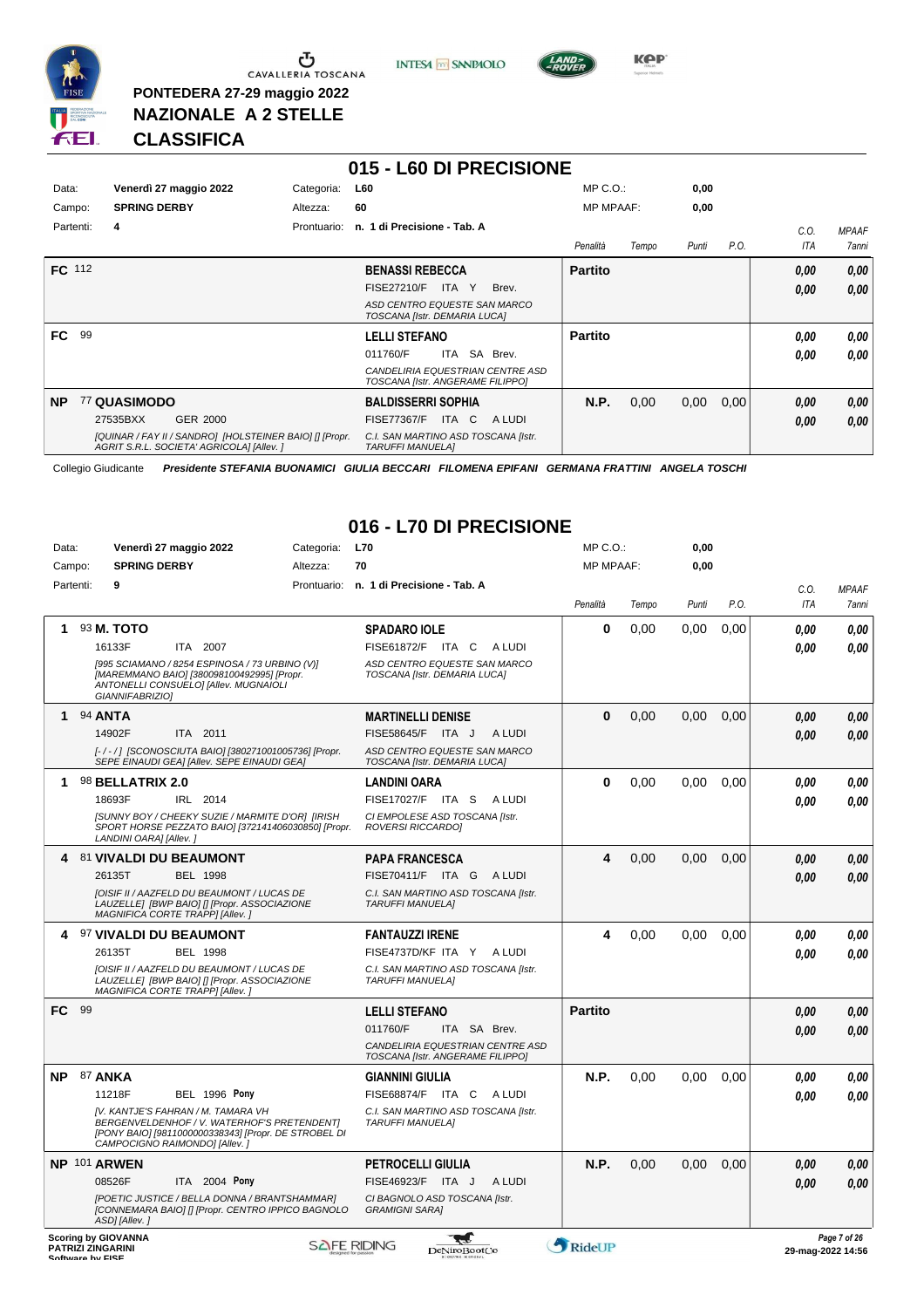

**PONTEDERA 27-29 maggio 2022 NAZIONALE A 2 STELLE**





**Kep** 

# **CLASSIFICA**

|                 |                                                                                                      |             | 015 - L60 DI PRECISIONE                                              |                  |       |       |      |      |              |
|-----------------|------------------------------------------------------------------------------------------------------|-------------|----------------------------------------------------------------------|------------------|-------|-------|------|------|--------------|
| Data:           | Venerdì 27 maggio 2022                                                                               | Categoria:  | L60                                                                  | $MP C. O.$ :     |       | 0,00  |      |      |              |
| Campo:          | <b>SPRING DERBY</b>                                                                                  | Altezza:    | 60                                                                   | <b>MP MPAAF:</b> |       | 0,00  |      |      |              |
| Partenti:       | 4                                                                                                    | Prontuario: | n. 1 di Precisione - Tab. A                                          |                  |       |       |      | C.O. | <b>MPAAF</b> |
|                 |                                                                                                      |             |                                                                      | Penalità         | Tempo | Punti | P.O. | ITA  | 7anni        |
| FC 112          |                                                                                                      |             | <b>BENASSI REBECCA</b>                                               | <b>Partito</b>   |       |       |      | 0.00 | 0,00         |
|                 |                                                                                                      |             | <b>FISE27210/F</b><br>Brev.<br>ITA Y                                 |                  |       |       |      | 0,00 | 0,00         |
|                 |                                                                                                      |             | ASD CENTRO EQUESTE SAN MARCO<br>TOSCANA [Istr. DEMARIA LUCA]         |                  |       |       |      |      |              |
| 99<br><b>FC</b> |                                                                                                      |             | <b>LELLI STEFANO</b>                                                 | <b>Partito</b>   |       |       |      | 0.00 | 0,00         |
|                 |                                                                                                      |             | SA Brev.<br>011760/F<br>ITA                                          |                  |       |       |      | 0.00 | 0.00         |
|                 |                                                                                                      |             | CANDELIRIA EQUESTRIAN CENTRE ASD<br>TOSCANA [Istr. ANGERAME FILIPPO] |                  |       |       |      |      |              |
| <b>NP</b>       | 77 QUASIMODO                                                                                         |             | <b>BALDISSERRI SOPHIA</b>                                            | <b>N.P.</b>      | 0,00  | 0,00  | 0,00 | 0,00 | 0,00         |
|                 | GER 2000<br>27535BXX                                                                                 |             | <b>FISE77367/F</b><br>ITA C<br>A LUDI                                |                  |       |       |      | 0,00 | 0,00         |
|                 | [QUINAR / FAY II / SANDRO] [HOLSTEINER BAIO] [] [Propr.<br>AGRIT S.R.L. SOCIETA' AGRICOLA] [Allev. ] |             | C.I. SAN MARTINO ASD TOSCANA [Istr.<br><b>TARUFFI MANUELAI</b>       |                  |       |       |      |      |              |

Collegio Giudicante *Presidente STEFANIA BUONAMICI GIULIA BECCARI FILOMENA EPIFANI GERMANA FRATTINI ANGELA TOSCHI*

# **016 - L70 DI PRECISIONE**

| Data:  |                          | Venerdì 27 maggio 2022                                              |                                                                                                                                       | Categoria:         | <b>L70</b>              |                                                                      |        | MP C.O.:         |       | 0,00  |      |            |                                        |
|--------|--------------------------|---------------------------------------------------------------------|---------------------------------------------------------------------------------------------------------------------------------------|--------------------|-------------------------|----------------------------------------------------------------------|--------|------------------|-------|-------|------|------------|----------------------------------------|
| Campo: |                          | <b>SPRING DERBY</b>                                                 |                                                                                                                                       | Altezza:           | 70                      |                                                                      |        | <b>MP MPAAF:</b> |       | 0,00  |      |            |                                        |
|        | Partenti:                | 9                                                                   |                                                                                                                                       |                    |                         | Prontuario: n. 1 di Precisione - Tab. A                              |        |                  |       |       |      | C.O.       | <b>MPAAF</b>                           |
|        |                          |                                                                     |                                                                                                                                       |                    |                         |                                                                      |        | Penalità         | Tempo | Punti | P.O. | <b>ITA</b> | <b>7anni</b>                           |
| 1      |                          | 93 M. TOTO                                                          |                                                                                                                                       |                    | <b>SPADARO IOLE</b>     |                                                                      |        | 0                | 0.00  | 0.00  | 0.00 | 0.00       | 0.00                                   |
|        |                          | 16133F                                                              | ITA 2007                                                                                                                              |                    |                         | FISE61872/F ITA C ALUDI                                              |        |                  |       |       |      | 0.00       | 0,00                                   |
|        |                          | GIANNIFABRIZIO]                                                     | [995 SCIAMANO / 8254 ESPINOSA / 73 URBINO (V)]<br>[MAREMMANO BAIO] [380098100492995] [Propr.<br>ANTONELLI CONSUELO] [Allev. MUGNAIOLI |                    |                         | ASD CENTRO EQUESTE SAN MARCO<br>TOSCANA [Istr. DEMARIA LUCA]         |        |                  |       |       |      |            |                                        |
| 1      | 94 ANTA                  |                                                                     |                                                                                                                                       |                    |                         | <b>MARTINELLI DENISE</b>                                             |        | 0                | 0,00  | 0,00  | 0,00 | 0.00       | 0,00                                   |
|        |                          | 14902F                                                              | ITA 2011                                                                                                                              |                    |                         | FISE58645/F ITA J                                                    | A LUDI |                  |       |       |      | 0.00       | 0,00                                   |
|        |                          |                                                                     | [-/-/] [SCONOSCIUTA BAIO] [380271001005736] [Propr.<br>SEPE EINAUDI GEA] [Allev. SEPE EINAUDI GEA]                                    |                    |                         | ASD CENTRO EQUESTE SAN MARCO<br>TOSCANA [Istr. DEMARIA LUCA]         |        |                  |       |       |      |            |                                        |
| 1      |                          | 98 BELLATRIX 2.0                                                    |                                                                                                                                       |                    | <b>LANDINI OARA</b>     |                                                                      |        | 0                | 0,00  | 0,00  | 0,00 | 0.00       | 0.00                                   |
|        |                          | 18693F                                                              | IRL 2014                                                                                                                              |                    |                         | FISE17027/F ITA S                                                    | A LUDI |                  |       |       |      | 0.00       | 0.00                                   |
|        |                          | LANDINI OARA] [Allev. ]                                             | [SUNNY BOY / CHEEKY SUZIE / MARMITE D'OR] [IRISH<br>SPORT HORSE PEZZATO BAIO] [372141406030850] [Propr.                               |                    |                         | CI EMPOLESE ASD TOSCANA [Istr.<br><b>ROVERSI RICCARDOI</b>           |        |                  |       |       |      |            |                                        |
| 4      |                          | 81 VIVALDI DU BEAUMONT                                              |                                                                                                                                       |                    |                         | <b>PAPA FRANCESCA</b>                                                |        | 4                | 0,00  | 0,00  | 0,00 | 0.00       | 0.00                                   |
|        |                          | 26135T                                                              | <b>BEL 1998</b>                                                                                                                       |                    |                         | FISE70411/F ITA G ALUDI                                              |        |                  |       |       |      | 0.00       | 0.00                                   |
|        |                          | MAGNIFICA CORTE TRAPP] [Allev.]                                     | <b>IOISIF II / AAZFELD DU BEAUMONT / LUCAS DE</b><br>LAUZELLE  [BWP BAIO] [] [Propr. ASSOCIAZIONE                                     |                    | <b>TARUFFI MANUELA1</b> | C.I. SAN MARTINO ASD TOSCANA [Istr.                                  |        |                  |       |       |      |            |                                        |
|        |                          | 97 VIVALDI DU BEAUMONT                                              |                                                                                                                                       |                    | <b>FANTAUZZI IRENE</b>  |                                                                      |        | 4                | 0,00  | 0.00  | 0,00 | 0.00       | 0.00                                   |
|        |                          | 26135T                                                              | <b>BEL 1998</b>                                                                                                                       |                    |                         | FISE4737D/KF ITA Y ALUDI                                             |        |                  |       |       |      | 0.00       | 0.00                                   |
|        |                          | MAGNIFICA CORTE TRAPP] [Allev.]                                     | [OISIF II / AAZFELD DU BEAUMONT / LUCAS DE<br>LAUZELLE  [BWP BAIO] [] [Propr. ASSOCIAZIONE                                            |                    | <b>TARUFFI MANUELA1</b> | C.I. SAN MARTINO ASD TOSCANA [Istr.                                  |        |                  |       |       |      |            |                                        |
| FC.    | 99                       |                                                                     |                                                                                                                                       |                    | <b>LELLI STEFANO</b>    |                                                                      |        | <b>Partito</b>   |       |       |      | 0,00       | 0,00                                   |
|        |                          |                                                                     |                                                                                                                                       |                    | 011760/F                | ITA SA Brev.                                                         |        |                  |       |       |      | 0.00       | 0.00                                   |
|        |                          |                                                                     |                                                                                                                                       |                    |                         | CANDELIRIA EQUESTRIAN CENTRE ASD<br>TOSCANA [Istr. ANGERAME FILIPPO] |        |                  |       |       |      |            |                                        |
| NΡ     | <b>87 ANKA</b>           |                                                                     |                                                                                                                                       |                    | <b>GIANNINI GIULIA</b>  |                                                                      |        | N.P.             | 0.00  | 0.00  | 0.00 | 0.00       | 0.00                                   |
|        |                          | 11218F                                                              | <b>BEL 1996 Pony</b>                                                                                                                  |                    |                         | FISE68874/F ITA C ALUDI                                              |        |                  |       |       |      | 0.00       | 0.00                                   |
|        |                          | IV. KANTJE'S FAHRAN / M. TAMARA VH<br>CAMPOCIGNO RAIMONDO] [Allev.] | BERGENVELDENHOF / V. WATERHOF'S PRETENDENT]<br>[PONY BAIO] [9811000000338343] [Propr. DE STROBEL DI                                   |                    | <b>TARUFFI MANUELA1</b> | C.I. SAN MARTINO ASD TOSCANA [Istr.                                  |        |                  |       |       |      |            |                                        |
|        |                          | NP 101 ARWEN                                                        |                                                                                                                                       |                    |                         | <b>PETROCELLI GIULIA</b>                                             |        | N.P.             | 0.00  | 0.00  | 0,00 | 0.00       | 0.00                                   |
|        |                          | 08526F                                                              | ITA 2004 Pony                                                                                                                         |                    |                         | FISE46923/F ITA J                                                    | A LUDI |                  |       |       |      | 0.00       | 0.00                                   |
|        |                          | ASD] [Allev.]                                                       | [POETIC JUSTICE / BELLA DONNA / BRANTSHAMMAR]<br>[CONNEMARA BAIO] [] [Propr. CENTRO IPPICO BAGNOLO                                    |                    | <b>GRAMIGNI SARA1</b>   | CI BAGNOLO ASD TOSCANA [Istr.                                        |        |                  |       |       |      |            |                                        |
|        | <b>PATRIZI ZINGARINI</b> | <b>Scoring by GIOVANNA</b>                                          |                                                                                                                                       | <b>SAFE RIDING</b> |                         | W<br>DeNiroBoot('o                                                   |        | RideUP           |       |       |      |            | Page 7 of 26<br>$29$ -mag-2022 $14.56$ |

**SOFTWARE DESCRIPTION CONSUMING PROPERTY CONSUMING PROPERTY AND CONSUMING PROPERTY PROPERTY.**<br>Continuing the FISE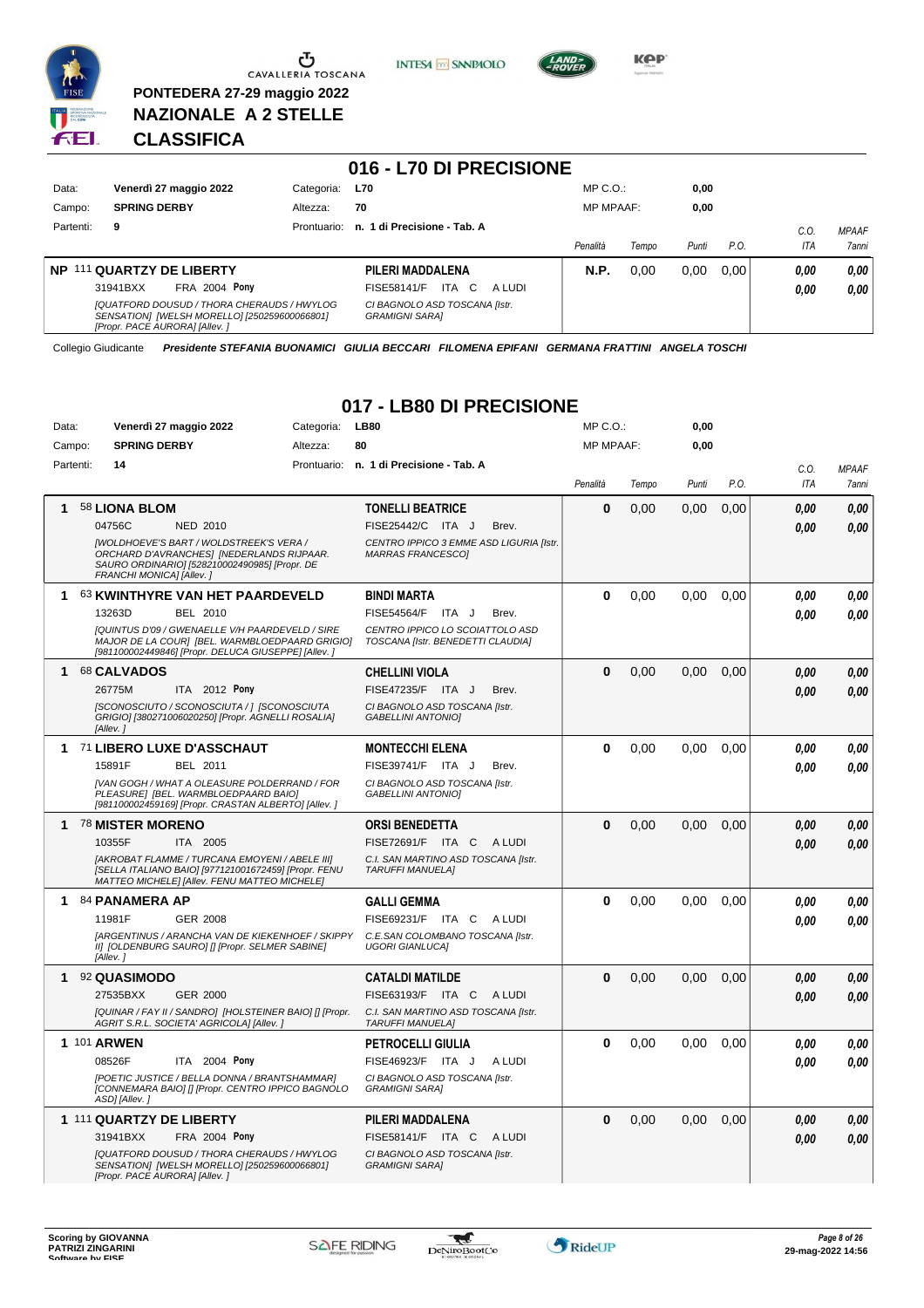

**PONTEDERA 27-29 maggio 2022 NAZIONALE A 2 STELLE**





**Kep** 

# **CLASSIFICA**

|           |                                                                                                                             |             | 016 - L70 DI PRECISIONE                                 |                  |       |       |      |              |                              |
|-----------|-----------------------------------------------------------------------------------------------------------------------------|-------------|---------------------------------------------------------|------------------|-------|-------|------|--------------|------------------------------|
| Data:     | Venerdì 27 maggio 2022                                                                                                      | Categoria:  | <b>L70</b>                                              | $MP C. O.$ :     |       | 0,00  |      |              |                              |
| Campo:    | <b>SPRING DERBY</b>                                                                                                         | Altezza:    | 70                                                      | <b>MP MPAAF:</b> |       | 0,00  |      |              |                              |
| Partenti: | 9                                                                                                                           | Prontuario: | n. 1 di Precisione - Tab. A                             | Penalità         | Tempo | Punti | P.O. | C.O.<br>ITA  | <b>MPAAF</b><br><b>7anni</b> |
| NP.       | 111 QUARTZY DE LIBERTY<br><b>FRA 2004 Pony</b><br>31941BXX                                                                  |             | PILERI MADDALENA<br>ITA.<br>C.<br>FISE58141/F<br>A LUDI | <b>N.P.</b>      | 0.00  | 0.00  | 0.00 | 0.00<br>0,00 | 0.00<br>0,00                 |
|           | [QUATFORD DOUSUD / THORA CHERAUDS / HWYLOG<br>SENSATION] [WELSH MORELLO] [250259600066801]<br>[Propr. PACE AURORA] [Allev.] |             | CI BAGNOLO ASD TOSCANA [Istr.<br><b>GRAMIGNI SARAI</b>  |                  |       |       |      |              |                              |

Collegio Giudicante *Presidente STEFANIA BUONAMICI GIULIA BECCARI FILOMENA EPIFANI GERMANA FRATTINI ANGELA TOSCHI*

# **017 - LB80 DI PRECISIONE**

| Data:     |             |                          | Venerdì 27 maggio 2022                                                                                                                                           | Categoria: |    | <b>LB80</b>                                                          | MP C. O.         |       | 0,00  |      |      |              |
|-----------|-------------|--------------------------|------------------------------------------------------------------------------------------------------------------------------------------------------------------|------------|----|----------------------------------------------------------------------|------------------|-------|-------|------|------|--------------|
| Campo:    |             | <b>SPRING DERBY</b>      |                                                                                                                                                                  | Altezza:   | 80 |                                                                      | <b>MP MPAAF:</b> |       | 0,00  |      |      |              |
| Partenti: |             | 14                       |                                                                                                                                                                  |            |    | Prontuario: n. 1 di Precisione - Tab. A                              |                  |       |       |      | C.0. | <b>MPAAF</b> |
|           |             |                          |                                                                                                                                                                  |            |    |                                                                      | Penalità         | Tempo | Punti | P.O. | ITA  | 7anni        |
| 1         |             | 58 LIONA BLOM            |                                                                                                                                                                  |            |    | <b>TONELLI BEATRICE</b>                                              | $\mathbf 0$      | 0,00  | 0,00  | 0,00 | 0.00 | 0,00         |
|           |             | 04756C                   | <b>NED 2010</b>                                                                                                                                                  |            |    | FISE25442/C ITA J<br>Brev.                                           |                  |       |       |      | 0.00 | 0.00         |
|           |             | FRANCHI MONICA] [Allev.] | <b>IWOLDHOEVE'S BART / WOLDSTREEK'S VERA /</b><br>ORCHARD D'AVRANCHES] [NEDERLANDS RIJPAAR.<br>SAURO ORDINARIO] [528210002490985] [Propr. DE                     |            |    | CENTRO IPPICO 3 EMME ASD LIGURIA [Istr.<br><b>MARRAS FRANCESCOI</b>  |                  |       |       |      |      |              |
| 1         |             |                          | 63 KWINTHYRE VAN HET PAARDEVELD                                                                                                                                  |            |    | <b>BINDI MARTA</b>                                                   | 0                | 0.00  | 0.00  | 0.00 | 0.00 | 0,00         |
|           |             | 13263D                   | BEL 2010                                                                                                                                                         |            |    | <b>FISE54564/F</b><br>ITA J<br>Brev.                                 |                  |       |       |      | 0.00 | 0.00         |
|           |             |                          | <b>IQUINTUS D'09 / GWENAELLE V/H PAARDEVELD / SIRE</b><br>MAJOR DE LA COUR] [BEL. WARMBLOEDPAARD GRIGIO]<br>[981100002449846] [Propr. DELUCA GIUSEPPE] [Allev. ] |            |    | CENTRO IPPICO LO SCOIATTOLO ASD<br>TOSCANA [Istr. BENEDETTI CLAUDIA] |                  |       |       |      |      |              |
| 1         |             | 68 CALVADOS              |                                                                                                                                                                  |            |    | <b>CHELLINI VIOLA</b>                                                | $\bf{0}$         | 0.00  | 0.00  | 0.00 | 0.00 | 0,00         |
|           |             | 26775M                   | ITA 2012 Pony                                                                                                                                                    |            |    | FISE47235/F ITA J<br>Brev.                                           |                  |       |       |      | 0.00 | 0,00         |
|           |             | [Allev.]                 | [SCONOSCIUTO / SCONOSCIUTA / ] [SCONOSCIUTA<br>GRIGIO] [380271006020250] [Propr. AGNELLI ROSALIA]                                                                |            |    | CI BAGNOLO ASD TOSCANA [Istr.<br><b>GABELLINI ANTONIO]</b>           |                  |       |       |      |      |              |
| 1.        |             |                          | 71 LIBERO LUXE D'ASSCHAUT                                                                                                                                        |            |    | <b>MONTECCHI ELENA</b>                                               | 0                | 0,00  | 0.00  | 0,00 | 0.00 | 0.00         |
|           |             | 15891F                   | BEL 2011                                                                                                                                                         |            |    | FISE39741/F ITA J<br>Brev.                                           |                  |       |       |      | 0.00 | 0.00         |
|           |             |                          | [VAN GOGH / WHAT A OLEASURE POLDERRAND / FOR<br>PLEASURE] [BEL. WARMBLOEDPAARD BAIO]<br>[981100002459169] [Propr. CRASTAN ALBERTO] [Allev. ]                     |            |    | CI BAGNOLO ASD TOSCANA [Istr.<br><b>GABELLINI ANTONIO]</b>           |                  |       |       |      |      |              |
| 1         |             | <b>78 MISTER MORENO</b>  |                                                                                                                                                                  |            |    | <b>ORSI BENEDETTA</b>                                                | $\bf{0}$         | 0.00  | 0.00  | 0,00 | 0.00 | 0,00         |
|           |             | 10355F                   | ITA 2005                                                                                                                                                         |            |    | FISE72691/F ITA C ALUDI                                              |                  |       |       |      | 0.00 | 0,00         |
|           |             |                          | [AKROBAT FLAMME / TURCANA EMOYENI / ABELE III]<br>[SELLA ITALIANO BAIO] [977121001672459] [Propr. FENU<br>MATTEO MICHELE] [Allev. FENU MATTEO MICHELE]           |            |    | C.I. SAN MARTINO ASD TOSCANA [Istr.<br><b>TARUFFI MANUELA]</b>       |                  |       |       |      |      |              |
| 1         |             | 84 PANAMERA AP           |                                                                                                                                                                  |            |    | <b>GALLI GEMMA</b>                                                   | 0                | 0,00  | 0.00  | 0,00 | 0.00 | 0.00         |
|           |             | 11981F                   | <b>GER 2008</b>                                                                                                                                                  |            |    | FISE69231/F ITA C ALUDI                                              |                  |       |       |      | 0.00 | 0.00         |
|           | [Allev.]    |                          | <b>JARGENTINUS / ARANCHA VAN DE KIEKENHOEF / SKIPPY</b><br>II] [OLDENBURG SAURO] [] [Propr. SELMER SABINE]                                                       |            |    | C.E.SAN COLOMBANO TOSCANA [Istr.<br><b>UGORI GIANLUCA]</b>           |                  |       |       |      |      |              |
| 1         |             | 92 QUASIMODO             |                                                                                                                                                                  |            |    | <b>CATALDI MATILDE</b>                                               | $\bf{0}$         | 0.00  | 0,00  | 0,00 | 0.00 | 0,00         |
|           |             | 27535BXX                 | <b>GER 2000</b>                                                                                                                                                  |            |    | FISE63193/F ITA C ALUDI                                              |                  |       |       |      | 0.00 | 0.00         |
|           |             |                          | [QUINAR / FAY II / SANDRO] [HOLSTEINER BAIO] [] [Propr.<br>AGRIT S.R.L. SOCIETA' AGRICOLA] [Allev.]                                                              |            |    | C.I. SAN MARTINO ASD TOSCANA [Istr.<br><b>TARUFFI MANUELA]</b>       |                  |       |       |      |      |              |
|           | 1 101 ARWEN |                          |                                                                                                                                                                  |            |    | <b>PETROCELLI GIULIA</b>                                             | $\bf{0}$         | 0,00  | 0,00  | 0,00 | 0.00 | 0,00         |
|           |             | 08526F                   | ITA 2004 Pony                                                                                                                                                    |            |    | FISE46923/F ITA J<br>A LUDI                                          |                  |       |       |      | 0.00 | 0.00         |
|           |             | ASD] [Allev.]            | [POETIC JUSTICE / BELLA DONNA / BRANTSHAMMAR]<br>[CONNEMARA BAIO] [] [Propr. CENTRO IPPICO BAGNOLO                                                               |            |    | CI BAGNOLO ASD TOSCANA [Istr.<br><b>GRAMIGNI SARA]</b>               |                  |       |       |      |      |              |
|           |             |                          | 1 111 QUARTZY DE LIBERTY                                                                                                                                         |            |    | PILERI MADDALENA                                                     | $\bf{0}$         | 0.00  | 0,00  | 0.00 | 0,00 | 0,00         |
|           |             | 31941BXX                 | <b>FRA 2004 Pony</b>                                                                                                                                             |            |    | FISE58141/F ITA C<br>A LUDI                                          |                  |       |       |      | 0.00 | 0,00         |
|           |             |                          | [QUATFORD DOUSUD / THORA CHERAUDS / HWYLOG<br>SENSATION] [WELSH MORELLO] [250259600066801]<br>[Propr. PACE AURORA] [Allev.]                                      |            |    | CI BAGNOLO ASD TOSCANA [Istr.<br><b>GRAMIGNI SARA]</b>               |                  |       |       |      |      |              |

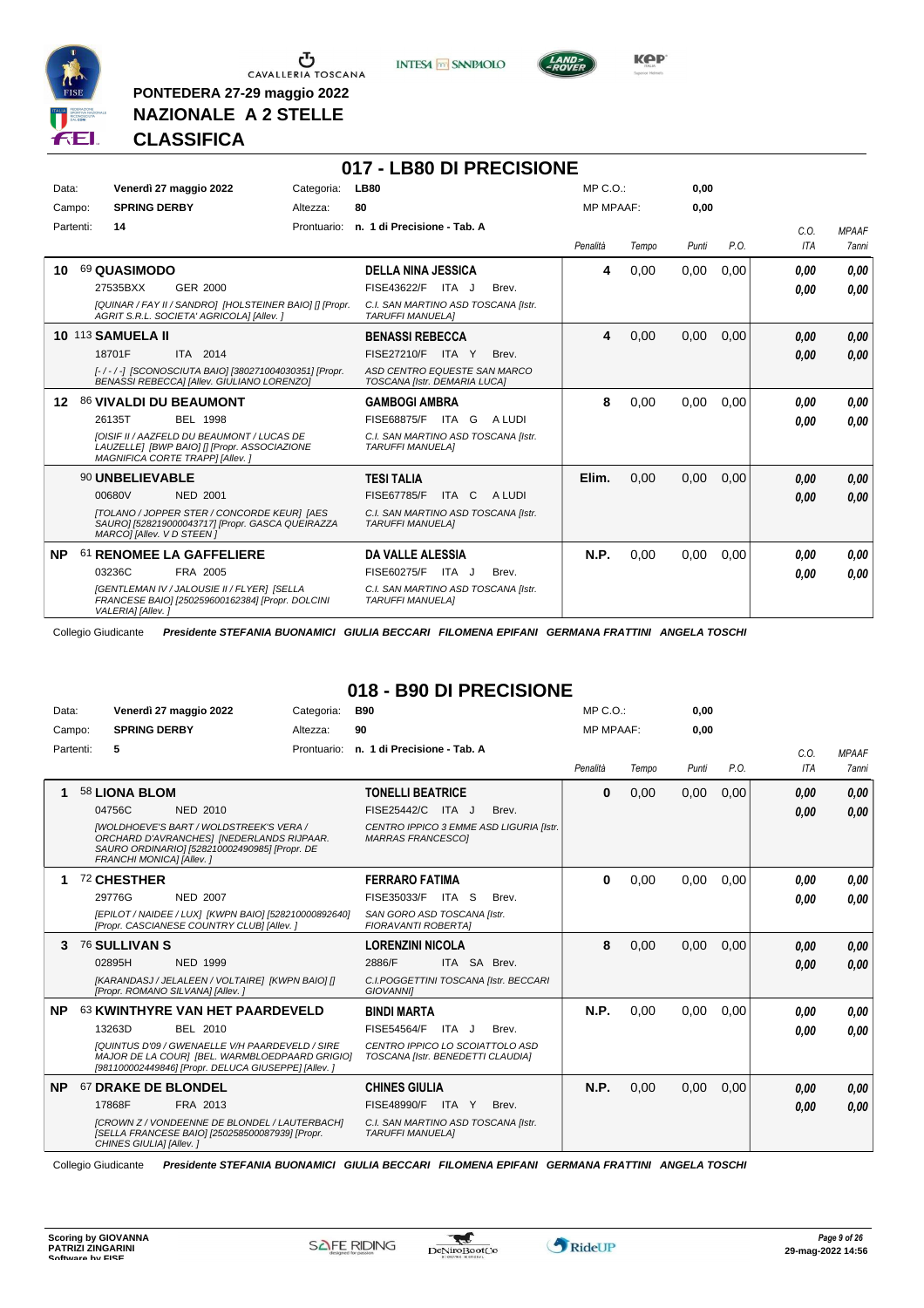

**PONTEDERA 27-29 maggio 2022 NAZIONALE A 2 STELLE**

**INTESA** M SANPAOLO



## **CLASSIFICA**

|                  |           |                                                                                                                                      |                 |            | 017 - LB80 DI PRECISIONE                                       |       |        |                  |       |       |      |            |              |
|------------------|-----------|--------------------------------------------------------------------------------------------------------------------------------------|-----------------|------------|----------------------------------------------------------------|-------|--------|------------------|-------|-------|------|------------|--------------|
| Data:            |           | Venerdì 27 maggio 2022                                                                                                               |                 | Categoria: | <b>LB80</b>                                                    |       |        | $MP C. O.$ :     |       | 0,00  |      |            |              |
| Campo:           |           | <b>SPRING DERBY</b>                                                                                                                  |                 | Altezza:   | 80                                                             |       |        | <b>MP MPAAF:</b> |       | 0,00  |      |            |              |
|                  | Partenti: | 14                                                                                                                                   |                 |            | Prontuario: n. 1 di Precisione - Tab. A                        |       |        |                  |       |       |      | C.0.       | <b>MPAAF</b> |
|                  |           |                                                                                                                                      |                 |            |                                                                |       |        | Penalità         | Tempo | Punti | P.O. | <b>ITA</b> | 7anni        |
| 10               |           | 69 QUASIMODO                                                                                                                         |                 |            | <b>DELLA NINA JESSICA</b>                                      |       |        | 4                | 0,00  | 0,00  | 0.00 | 0.00       | 0.00         |
|                  |           | 27535BXX                                                                                                                             | GER 2000        |            | FISE43622/F ITA J                                              |       | Brev.  |                  |       |       |      | 0.00       | 0.00         |
|                  |           | [QUINAR / FAY II / SANDRO] [HOLSTEINER BAIO] [] [Propr.<br>AGRIT S.R.L. SOCIETA' AGRICOLA] [Allev. ]                                 |                 |            | C.I. SAN MARTINO ASD TOSCANA [Istr.<br><b>TARUFFI MANUELAI</b> |       |        |                  |       |       |      |            |              |
|                  |           | <b>10 113 SAMUELA II</b>                                                                                                             |                 |            | <b>BENASSI REBECCA</b>                                         |       |        | 4                | 0.00  | 0.00  | 0.00 | 0,00       | 0,00         |
|                  |           | 18701F                                                                                                                               | ITA 2014        |            | <b>FISE27210/F</b>                                             | ITA Y | Brev.  |                  |       |       |      | 0,00       | 0,00         |
|                  |           | [-/-/-] [SCONOSCIUTA BAIO] [380271004030351] [Propr.<br>BENASSI REBECCAI [Allev. GIULIANO LORENZO]                                   |                 |            | ASD CENTRO EQUESTE SAN MARCO<br>TOSCANA [Istr. DEMARIA LUCA]   |       |        |                  |       |       |      |            |              |
| 12 <sup>12</sup> |           | 86 VIVALDI DU BEAUMONT                                                                                                               |                 |            | <b>GAMBOGI AMBRA</b>                                           |       |        | 8                | 0,00  | 0,00  | 0.00 | 0.00       | 0,00         |
|                  |           | 26135T                                                                                                                               | <b>BEL 1998</b> |            | FISE68875/F ITA G                                              |       | A LUDI |                  |       |       |      | 0.00       | 0.00         |
|                  |           | <b>IOISIF II / AAZFELD DU BEAUMONT / LUCAS DE</b><br>LAUZELLE  [BWP BAIO] [] [Propr. ASSOCIAZIONE<br>MAGNIFICA CORTE TRAPPI [Allev.] |                 |            | C.I. SAN MARTINO ASD TOSCANA [Istr.<br><b>TARUFFI MANUELAI</b> |       |        |                  |       |       |      |            |              |
|                  |           | 90 UNBELIEVABLE                                                                                                                      |                 |            | <b>TESI TALIA</b>                                              |       |        | Elim.            | 0,00  | 0,00  | 0.00 | 0,00       | 0,00         |
|                  |           | 00680V                                                                                                                               | <b>NED 2001</b> |            | <b>FISE67785/F</b>                                             | ITA C | A LUDI |                  |       |       |      | 0,00       | 0.00         |
|                  |           | [TOLANO / JOPPER STER / CONCORDE KEUR] [AES<br>SAURO] [528219000043717] [Propr. GASCA QUEIRAZZA<br>MARCOI [Allev. V D STEEN]         |                 |            | C.I. SAN MARTINO ASD TOSCANA [Istr.<br><b>TARUFFI MANUELA1</b> |       |        |                  |       |       |      |            |              |
| <b>NP</b>        | -61       | <b>RENOMEE LA GAFFELIERE</b>                                                                                                         |                 |            | DA VALLE ALESSIA                                               |       |        | N.P.             | 0,00  | 0,00  | 0.00 | 0.00       | 0.00         |
|                  |           | 03236C                                                                                                                               | FRA 2005        |            | FISE60275/F ITA J                                              |       | Brev.  |                  |       |       |      | 0.00       | 0.00         |
|                  |           | [GENTLEMAN IV / JALOUSIE II / FLYER] [SELLA<br>FRANCESE BAIO] [250259600162384] [Propr. DOLCINI<br>VALERIA] [Allev.]                 |                 |            | C.I. SAN MARTINO ASD TOSCANA [Istr.<br><b>TARUFFI MANUELAI</b> |       |        |                  |       |       |      |            |              |

Collegio Giudicante *Presidente STEFANIA BUONAMICI GIULIA BECCARI FILOMENA EPIFANI GERMANA FRATTINI ANGELA TOSCHI*

# **018 - B90 DI PRECISIONE**

| Data:     | Venerdì 27 maggio 2022                                                                                                                                                   | Categoria:  | <b>B90</b>                                                           |       |                                         | $MP C. O.$ :     |       | 0,00  |      |            |              |
|-----------|--------------------------------------------------------------------------------------------------------------------------------------------------------------------------|-------------|----------------------------------------------------------------------|-------|-----------------------------------------|------------------|-------|-------|------|------------|--------------|
| Campo:    | <b>SPRING DERBY</b>                                                                                                                                                      | Altezza:    | 90                                                                   |       |                                         | <b>MP MPAAF:</b> |       | 0,00  |      |            |              |
| Partenti: | 5                                                                                                                                                                        | Prontuario: | n. 1 di Precisione - Tab. A                                          |       |                                         |                  |       |       |      | C.0.       | <b>MPAAF</b> |
|           |                                                                                                                                                                          |             |                                                                      |       |                                         | Penalità         | Tempo | Punti | P.O. | <b>ITA</b> | <b>7anni</b> |
|           | 58 LIONA BLOM                                                                                                                                                            |             | <b>TONELLI BEATRICE</b>                                              |       |                                         | $\bf{0}$         | 0,00  | 0,00  | 0,00 | 0,00       | 0,00         |
|           | 04756C<br><b>NED 2010</b>                                                                                                                                                |             | FISE25442/C ITA J                                                    |       | Brev.                                   |                  |       |       |      | 0.00       | 0,00         |
|           | <b>IWOLDHOEVE'S BART / WOLDSTREEK'S VERA /</b><br>ORCHARD D'AVRANCHES] [NEDERLANDS RIJPAAR.<br>SAURO ORDINARIO] [528210002490985] [Propr. DE<br>FRANCHI MONICA] [Allev.] |             | <b>MARRAS FRANCESCOI</b>                                             |       | CENTRO IPPICO 3 EMME ASD LIGURIA IIstr. |                  |       |       |      |            |              |
|           | 72 CHESTHER                                                                                                                                                              |             | <b>FERRARO FATIMA</b>                                                |       |                                         | 0                | 0,00  | 0,00  | 0,00 | 0.00       | 0.00         |
|           | 29776G<br><b>NED 2007</b>                                                                                                                                                |             | FISE35033/F                                                          | ITA S | Brev.                                   |                  |       |       |      | 0.00       | 0.00         |
|           | [EPILOT / NAIDEE / LUX] [KWPN BAIO] [528210000892640]<br>[Propr. CASCIANESE COUNTRY CLUB] [Allev. ]                                                                      |             | SAN GORO ASD TOSCANA [Istr.<br><b>FIORAVANTI ROBERTAI</b>            |       |                                         |                  |       |       |      |            |              |
| 3         | <b>76 SULLIVAN S</b>                                                                                                                                                     |             | <b>LORENZINI NICOLA</b>                                              |       |                                         | 8                | 0.00  | 0.00  | 0.00 | 0,00       | 0,00         |
|           | <b>NED 1999</b><br>02895H                                                                                                                                                |             | 2886/F                                                               |       | ITA SA Brev.                            |                  |       |       |      | 0.00       | 0,00         |
|           | [KARANDASJ / JELALEEN / VOLTAIRE] [KWPN BAIO] []<br>[Propr. ROMANO SILVANA] [Allev.]                                                                                     |             | <b>GIOVANNII</b>                                                     |       | C.I.POGGETTINI TOSCANA [Istr. BECCARI   |                  |       |       |      |            |              |
| <b>NP</b> | 63 KWINTHYRE VAN HET PAARDEVELD                                                                                                                                          |             | <b>BINDI MARTA</b>                                                   |       |                                         | N.P.             | 0.00  | 0.00  | 0.00 | 0.00       | 0,00         |
|           | 13263D<br>BEL 2010                                                                                                                                                       |             | <b>FISE54564/F</b>                                                   | ITA J | Brev.                                   |                  |       |       |      | 0.00       | 0.00         |
|           | <b>IQUINTUS D'09 / GWENAELLE V/H PAARDEVELD / SIRE</b><br>MAJOR DE LA COURI [BEL. WARMBLOEDPAARD GRIGIO]<br>[981100002449846] [Propr. DELUCA GIUSEPPE] [Allev. ]         |             | CENTRO IPPICO LO SCOIATTOLO ASD<br>TOSCANA [Istr. BENEDETTI CLAUDIA] |       |                                         |                  |       |       |      |            |              |
| <b>NP</b> | 67 DRAKE DE BLONDEL                                                                                                                                                      |             | <b>CHINES GIULIA</b>                                                 |       |                                         | N.P.             | 0,00  | 0,00  | 0,00 | 0.00       | 0,00         |
|           | 17868F<br>FRA 2013                                                                                                                                                       |             | FISE48990/F                                                          | ITA Y | Brev.                                   |                  |       |       |      | 0.00       | 0.00         |
|           | [CROWN Z / VONDEENNE DE BLONDEL / LAUTERBACH]<br>[SELLA FRANCESE BAIO] [250258500087939] [Propr.<br>CHINES GIULIA] [Allev.]                                              |             | C.I. SAN MARTINO ASD TOSCANA [Istr.<br><b>TARUFFI MANUELAI</b>       |       |                                         |                  |       |       |      |            |              |

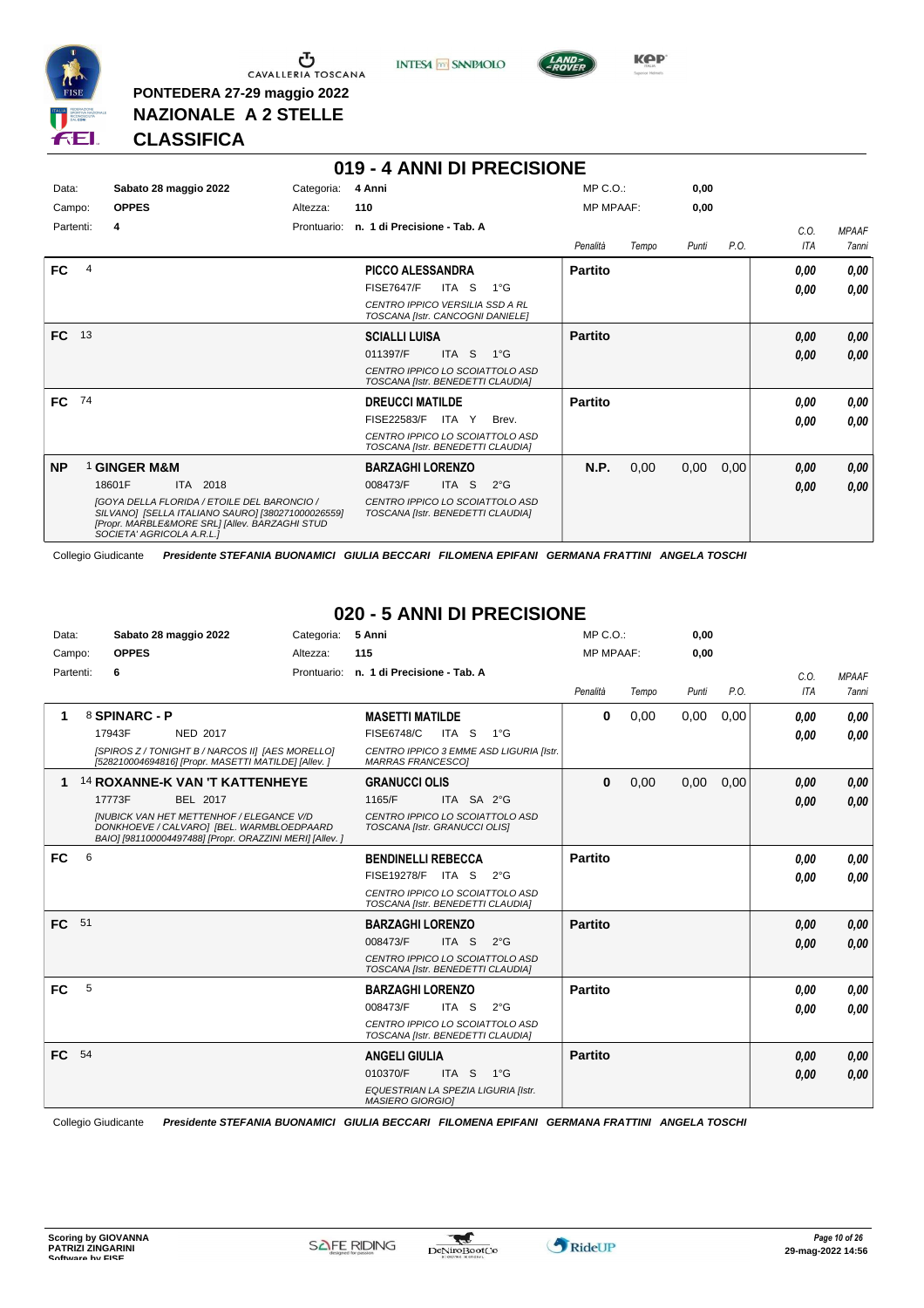

**PONTEDERA 27-29 maggio 2022 NAZIONALE A 2 STELLE**



**019 - 4 ANNI DI PRECISIONE**



**Kep** 

# **CLASSIFICA**

| Data:<br>Sabato 28 maggio 2022 | Categoria:  | 4 Anni                                                                                                                                                    |                                                                                                                             |                                                                                                                                                                                                                                                                                                                            |       | 0.00                        |      |            |              |
|--------------------------------|-------------|-----------------------------------------------------------------------------------------------------------------------------------------------------------|-----------------------------------------------------------------------------------------------------------------------------|----------------------------------------------------------------------------------------------------------------------------------------------------------------------------------------------------------------------------------------------------------------------------------------------------------------------------|-------|-----------------------------|------|------------|--------------|
| <b>OPPES</b><br>Campo:         | Altezza:    | 110                                                                                                                                                       |                                                                                                                             |                                                                                                                                                                                                                                                                                                                            |       |                             |      |            |              |
| Partenti:<br>4                 | Prontuario: |                                                                                                                                                           |                                                                                                                             |                                                                                                                                                                                                                                                                                                                            |       |                             |      | C.0.       | <b>MPAAF</b> |
|                                |             |                                                                                                                                                           |                                                                                                                             | Penalità                                                                                                                                                                                                                                                                                                                   | Tempo | Punti                       | P.O. | <b>ITA</b> | <b>7anni</b> |
| $\overline{4}$                 |             |                                                                                                                                                           |                                                                                                                             | <b>Partito</b>                                                                                                                                                                                                                                                                                                             |       |                             |      | 0,00       | 0,00         |
|                                |             | <b>FISE7647/F</b>                                                                                                                                         | $1^{\circ}$ G                                                                                                               |                                                                                                                                                                                                                                                                                                                            |       |                             |      | 0.00       | 0,00         |
|                                |             |                                                                                                                                                           |                                                                                                                             |                                                                                                                                                                                                                                                                                                                            |       |                             |      |            |              |
| FC 13                          |             | <b>SCIALLI LUISA</b>                                                                                                                                      |                                                                                                                             | <b>Partito</b>                                                                                                                                                                                                                                                                                                             |       |                             |      | 0.00       | 0,00         |
|                                |             | 011397/F                                                                                                                                                  | $1^{\circ}G$                                                                                                                |                                                                                                                                                                                                                                                                                                                            |       |                             |      | 0,00       | 0,00         |
|                                |             |                                                                                                                                                           |                                                                                                                             |                                                                                                                                                                                                                                                                                                                            |       |                             |      |            |              |
| FC 74                          |             |                                                                                                                                                           |                                                                                                                             | <b>Partito</b>                                                                                                                                                                                                                                                                                                             |       |                             |      | 0.00       | 0,00         |
|                                |             | FISE22583/F                                                                                                                                               | Brev.                                                                                                                       |                                                                                                                                                                                                                                                                                                                            |       |                             |      | 0.00       | 0.00         |
|                                |             |                                                                                                                                                           |                                                                                                                             |                                                                                                                                                                                                                                                                                                                            |       |                             |      |            |              |
| <b>GINGER M&amp;M</b>          |             |                                                                                                                                                           |                                                                                                                             | N.P.                                                                                                                                                                                                                                                                                                                       | 0,00  | 0,00                        | 0,00 | 0.00       | 0,00         |
| 18601F<br>ITA 2018             |             | 008473/F                                                                                                                                                  | $2^{\circ}$ G                                                                                                               |                                                                                                                                                                                                                                                                                                                            |       |                             |      | 0,00       | 0,00         |
| SOCIETA' AGRICOLA A.R.L.1      |             |                                                                                                                                                           |                                                                                                                             |                                                                                                                                                                                                                                                                                                                            |       |                             |      |            |              |
|                                |             | <b>IGOYA DELLA FLORIDA / ETOILE DEL BARONCIO /</b><br>SILVANO] [SELLA ITALIANO SAURO] [380271000026559]<br>[Propr. MARBLE&MORE SRL] [Allev. BARZAGHI STUD | <b>PICCO ALESSANDRA</b><br>ITA S<br>ITA <sub>S</sub><br><b>DREUCCI MATILDE</b><br>ITA Y<br><b>BARZAGHI LORENZO</b><br>ITA S | n. 1 di Precisione - Tab. A<br>CENTRO IPPICO VERSILIA SSD A RL<br>TOSCANA [Istr. CANCOGNI DANIELE]<br>CENTRO IPPICO LO SCOIATTOLO ASD<br>TOSCANA [Istr. BENEDETTI CLAUDIA]<br>CENTRO IPPICO LO SCOIATTOLO ASD<br>TOSCANA [Istr. BENEDETTI CLAUDIA]<br>CENTRO IPPICO LO SCOIATTOLO ASD<br>TOSCANA [Istr. BENEDETTI CLAUDIA] |       | MP C.O.<br><b>MP MPAAF:</b> |      | 0,00       |              |

Collegio Giudicante *Presidente STEFANIA BUONAMICI GIULIA BECCARI FILOMENA EPIFANI GERMANA FRATTINI ANGELA TOSCHI*

#### **020 - 5 ANNI DI PRECISIONE**

| Data:     |    | Sabato 28 maggio 2022                                                                                                                                    | Categoria:  | 5 Anni                                                               |       |              | $MP C. O.$ :     |       | 0,00  |      |      |              |
|-----------|----|----------------------------------------------------------------------------------------------------------------------------------------------------------|-------------|----------------------------------------------------------------------|-------|--------------|------------------|-------|-------|------|------|--------------|
| Campo:    |    | <b>OPPES</b>                                                                                                                                             | Altezza:    | 115                                                                  |       |              | <b>MP MPAAF:</b> |       | 0.00  |      |      |              |
| Partenti: |    | 6                                                                                                                                                        | Prontuario: | n. 1 di Precisione - Tab. A                                          |       |              |                  |       |       |      | C.O. | <b>MPAAF</b> |
|           |    |                                                                                                                                                          |             |                                                                      |       |              | Penalità         | Tempo | Punti | P.O. | ITA  | 7anni        |
|           |    | 8 SPINARC - P                                                                                                                                            |             | <b>MASETTI MATILDE</b>                                               |       |              | 0                | 0,00  | 0,00  | 0,00 | 0.00 | 0.00         |
|           |    | 17943F<br><b>NED 2017</b>                                                                                                                                |             | <b>FISE6748/C</b>                                                    | ITA S | $1^{\circ}G$ |                  |       |       |      | 0,00 | 0.00         |
|           |    | [SPIROS Z / TONIGHT B / NARCOS II] [AES MORELLO]<br>[528210004694816] [Propr. MASETTI MATILDE] [Allev.]                                                  |             | CENTRO IPPICO 3 EMME ASD LIGURIA [Istr.<br><b>MARRAS FRANCESCO1</b>  |       |              |                  |       |       |      |      |              |
|           |    | <b>14 ROXANNE-K VAN 'T KATTENHEYE</b>                                                                                                                    |             | <b>GRANUCCI OLIS</b>                                                 |       |              | $\bf{0}$         | 0,00  | 0,00  | 0,00 | 0,00 | 0,00         |
|           |    | 17773F<br>BEL 2017                                                                                                                                       |             | 1165/F                                                               |       | ITA SA 2°G   |                  |       |       |      | 0,00 | 0,00         |
|           |    | <b>INUBICK VAN HET METTENHOF / ELEGANCE V/D</b><br>DONKHOEVE / CALVARO] [BEL. WARMBLOEDPAARD<br>BAIO] [981100004497488] [Propr. ORAZZINI MERI] [Allev. ] |             | CENTRO IPPICO LO SCOIATTOLO ASD<br>TOSCANA [Istr. GRANUCCI OLIS]     |       |              |                  |       |       |      |      |              |
| FC.       | 6  |                                                                                                                                                          |             | <b>BENDINELLI REBECCA</b>                                            |       |              | <b>Partito</b>   |       |       |      | 0,00 | 0.00         |
|           |    |                                                                                                                                                          |             | FISE19278/F ITA S                                                    |       | $2^{\circ}G$ |                  |       |       |      | 0.00 | 0.00         |
|           |    |                                                                                                                                                          |             | CENTRO IPPICO LO SCOIATTOLO ASD<br>TOSCANA [Istr. BENEDETTI CLAUDIA] |       |              |                  |       |       |      |      |              |
| <b>FC</b> | 51 |                                                                                                                                                          |             | <b>BARZAGHI LORENZO</b>                                              |       |              | <b>Partito</b>   |       |       |      | 0,00 | 0,00         |
|           |    |                                                                                                                                                          |             | 008473/F                                                             | ITA S | $2^{\circ}G$ |                  |       |       |      | 0,00 | 0,00         |
|           |    |                                                                                                                                                          |             | CENTRO IPPICO LO SCOIATTOLO ASD<br>TOSCANA [Istr. BENEDETTI CLAUDIA] |       |              |                  |       |       |      |      |              |
| FC        | 5  |                                                                                                                                                          |             | <b>BARZAGHI LORENZO</b>                                              |       |              | <b>Partito</b>   |       |       |      | 0,00 | 0.00         |
|           |    |                                                                                                                                                          |             | 008473/F                                                             | ITA S | $2^{\circ}G$ |                  |       |       |      | 0,00 | 0.00         |
|           |    |                                                                                                                                                          |             | CENTRO IPPICO LO SCOIATTOLO ASD<br>TOSCANA [Istr. BENEDETTI CLAUDIA] |       |              |                  |       |       |      |      |              |
| FC        | 54 |                                                                                                                                                          |             | <b>ANGELI GIULIA</b>                                                 |       |              | <b>Partito</b>   |       |       |      | 0,00 | 0,00         |
|           |    |                                                                                                                                                          |             | 010370/F                                                             |       | ITA S 1°G    |                  |       |       |      | 0,00 | 0,00         |
|           |    |                                                                                                                                                          |             | EQUESTRIAN LA SPEZIA LIGURIA [Istr.<br><b>MASIERO GIORGIO]</b>       |       |              |                  |       |       |      |      |              |

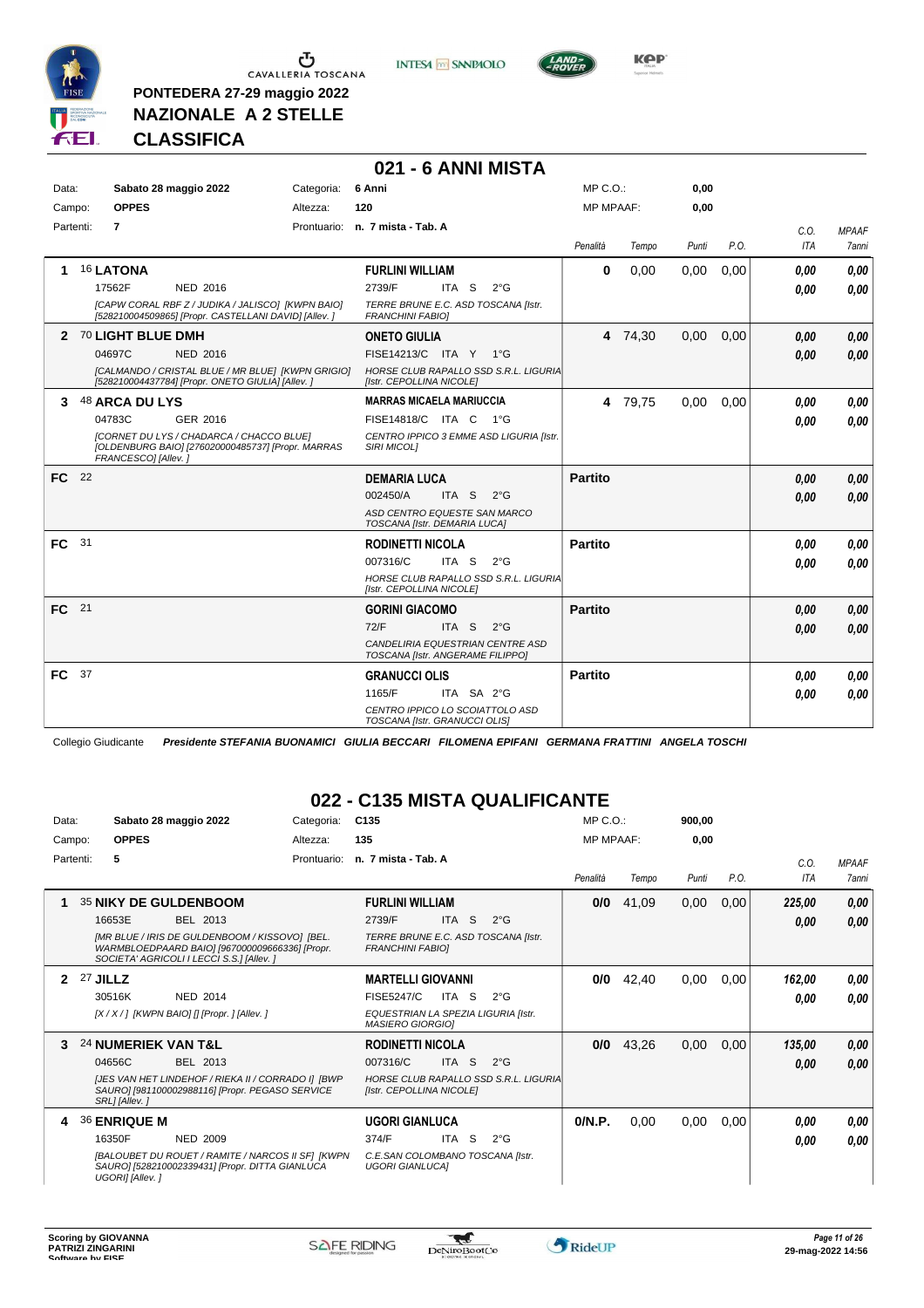

**PONTEDERA 27-29 maggio 2022 NAZIONALE A 2 STELLE**

**INTESA** M SANPAOLO



**CLASSIFICA**

#### **021 - 6 ANNI MISTA**

| Data:        | Sabato 28 maggio 2022<br>Categoria:                                                                                                                          | 6 Anni                                                                                                                    | $MP C. O.$ :                    | 0,00            |      |              |                       |
|--------------|--------------------------------------------------------------------------------------------------------------------------------------------------------------|---------------------------------------------------------------------------------------------------------------------------|---------------------------------|-----------------|------|--------------|-----------------------|
| Campo:       | <b>OPPES</b><br>Altezza:                                                                                                                                     | 120                                                                                                                       | <b>MP MPAAF:</b>                | 0,00            |      |              |                       |
| Partenti:    | $\overline{7}$                                                                                                                                               | Prontuario: n. 7 mista - Tab. A                                                                                           | Penalità                        | Tempo<br>Punti  | P.O. | C.O.<br>ITA  | <b>MPAAF</b><br>7anni |
|              | <b>16 LATONA</b><br>NED 2016<br>17562F                                                                                                                       | <b>FURLINI WILLIAM</b><br>2739/F<br>ITA S                                                                                 | $\bf{0}$<br>$2^{\circ}$ G       | 0,00<br>0,00    | 0,00 | 0,00<br>0.00 | 0,00<br>0.00          |
|              | [CAPW CORAL RBF Z / JUDIKA / JALISCO] [KWPN BAIO]<br>[528210004509865] [Propr. CASTELLANI DAVID] [Allev. ]                                                   | TERRE BRUNE E.C. ASD TOSCANA [Istr.<br><b>FRANCHINI FABIOI</b>                                                            |                                 |                 |      |              |                       |
| $\mathbf{2}$ | 70 LIGHT BLUE DMH<br>04697C<br><b>NED 2016</b><br>[CALMANDO / CRISTAL BLUE / MR BLUE] [KWPN GRIGIO]<br>[528210004437784] [Propr. ONETO GIULIA] [Allev. ]     | <b>ONETO GIULIA</b><br>FISE14213/C ITA Y 1°G<br>HORSE CLUB RAPALLO SSD S.R.L. LIGURIA<br>[Istr. CEPOLLINA NICOLE]         |                                 | 4 74,30<br>0,00 | 0,00 | 0,00<br>0,00 | 0,00<br>0,00          |
| 3            | 48 ARCA DU LYS<br>04783C<br>GER 2016<br>[CORNET DU LYS / CHADARCA / CHACCO BLUE]<br>[OLDENBURG BAIO] [276020000485737] [Propr. MARRAS<br>FRANCESCO] [Allev.] | <b>MARRAS MICAELA MARIUCCIA</b><br>FISE14818/C ITA C<br>CENTRO IPPICO 3 EMME ASD LIGURIA [Istr.<br><b>SIRI MICOLI</b>     | $1^{\circ}G$                    | 0,00<br>4 79,75 | 0,00 | 0.00<br>0.00 | 0,00<br>0,00          |
| FC 22        |                                                                                                                                                              | <b>DEMARIA LUCA</b><br>002450/A<br>ITA S<br>ASD CENTRO EQUESTE SAN MARCO<br>TOSCANA [Istr. DEMARIA LUCA]                  | <b>Partito</b><br>$2^{\circ}$ G |                 |      | 0,00<br>0.00 | 0,00<br>0,00          |
| FC.          | 31                                                                                                                                                           | <b>RODINETTI NICOLA</b><br>007316/C<br>ITA S<br>HORSE CLUB RAPALLO SSD S.R.L. LIGURIA<br>[Istr. CEPOLLINA NICOLE]         | Partito<br>$2^{\circ}$ G        |                 |      | 0.00<br>0,00 | 0,00<br>0,00          |
| FC 21        |                                                                                                                                                              | <b>GORINI GIACOMO</b><br>72/F<br>ITA <sub>S</sub><br>CANDELIRIA EQUESTRIAN CENTRE ASD<br>TOSCANA [Istr. ANGERAME FILIPPO] | <b>Partito</b><br>$2^{\circ}$ G |                 |      | 0.00<br>0.00 | 0,00<br>0,00          |
| FC           | - 37                                                                                                                                                         | <b>GRANUCCI OLIS</b><br>ITA SA 2°G<br>1165/F<br>CENTRO IPPICO LO SCOIATTOLO ASD<br>TOSCANA [Istr. GRANUCCI OLIS]          | <b>Partito</b>                  |                 |      | 0,00<br>0,00 | 0.00<br>0,00          |

Collegio Giudicante *Presidente STEFANIA BUONAMICI GIULIA BECCARI FILOMENA EPIFANI GERMANA FRATTINI ANGELA TOSCHI*

#### **022 - C135 MISTA QUALIFICANTE**

| Data:     |                 |                     | Sabato 28 maggio 2022                                                                                                                         | Categoria:  | C <sub>135</sub>                                               |                  |                                       | $MP C. O.$ :     |       | 900,00 |      |                    |                       |
|-----------|-----------------|---------------------|-----------------------------------------------------------------------------------------------------------------------------------------------|-------------|----------------------------------------------------------------|------------------|---------------------------------------|------------------|-------|--------|------|--------------------|-----------------------|
| Campo:    |                 | <b>OPPES</b>        |                                                                                                                                               | Altezza:    | 135                                                            |                  |                                       | <b>MP MPAAF:</b> |       | 0,00   |      |                    |                       |
| Partenti: |                 | 5                   |                                                                                                                                               | Prontuario: | n. 7 mista - Tab. A                                            |                  |                                       | Penalità         | Tempo | Punti  | P.O. | C.0.<br><b>ITA</b> | <b>MPAAF</b><br>7anni |
| 1         |                 |                     | 35 NIKY DE GULDENBOOM                                                                                                                         |             | <b>FURLINI WILLIAM</b>                                         |                  |                                       | 0/0              | 41,09 | 0,00   | 0,00 | 225,00             | 0,00                  |
|           |                 | 16653E              | BEL 2013                                                                                                                                      |             | 2739/F                                                         | <b>ITA</b><br>S. | $2^{\circ}$ G                         |                  |       |        |      | 0,00               | 0,00                  |
|           |                 |                     | [MR BLUE / IRIS DE GULDENBOOM / KISSOVO] [BEL.<br>WARMBLOEDPAARD BAIO] [967000009666336] [Propr.<br>SOCIETA' AGRICOLI I LECCI S.S.] [Allev. ] |             | TERRE BRUNE E.C. ASD TOSCANA [Istr.<br><b>FRANCHINI FABIOI</b> |                  |                                       |                  |       |        |      |                    |                       |
|           | <b>27 JILLZ</b> |                     |                                                                                                                                               |             | <b>MARTELLI GIOVANNI</b>                                       |                  |                                       | 0/0              | 42,40 | 0,00   | 0,00 | 162,00             | 0,00                  |
|           |                 | 30516K              | <b>NED 2014</b>                                                                                                                               |             | <b>FISE5247/C</b>                                              | ITA S            | $2^{\circ}G$                          |                  |       |        |      | 0.00               | 0.00                  |
|           |                 |                     | [X / X / ] [KWPN BAIO] [] [Propr. ] [Allev. ]                                                                                                 |             | EQUESTRIAN LA SPEZIA LIGURIA [Istr.<br><b>MASIERO GIORGIO]</b> |                  |                                       |                  |       |        |      |                    |                       |
| 3         |                 |                     | 24 NUMERIEK VAN T&L                                                                                                                           |             | <b>RODINETTI NICOLA</b>                                        |                  |                                       | 0/0              | 43,26 | 0,00   | 0,00 | 135,00             | 0,00                  |
|           |                 | 04656C              | BEL 2013                                                                                                                                      |             | 007316/C                                                       | ITA <sub>S</sub> | $2^{\circ}$ G                         |                  |       |        |      | 0,00               | 0.00                  |
|           |                 | SRL] [Allev.]       | [JES VAN HET LINDEHOF / RIEKA II / CORRADO II IBWP<br>SAURO] [981100002988116] [Propr. PEGASO SERVICE                                         |             | [Istr. CEPOLLINA NICOLE]                                       |                  | HORSE CLUB RAPALLO SSD S.R.L. LIGURIA |                  |       |        |      |                    |                       |
| 4         |                 | <b>36 ENRIQUE M</b> |                                                                                                                                               |             | <b>UGORI GIANLUCA</b>                                          |                  |                                       | 0/N.P.           | 0,00  | 0,00   | 0,00 | 0.00               | 0,00                  |
|           |                 | 16350F              | NED 2009                                                                                                                                      |             | 374/F                                                          | ITA S            | $2^{\circ}G$                          |                  |       |        |      | 0,00               | 0,00                  |
|           |                 | UGORI] [Allev.]     | [BALOUBET DU ROUET / RAMITE / NARCOS II SFI [KWPN]<br>SAURO] [528210002339431] [Propr. DITTA GIANLUCA                                         |             | C.E.SAN COLOMBANO TOSCANA [Istr.<br><b>UGORI GIANLUCAI</b>     |                  |                                       |                  |       |        |      |                    |                       |

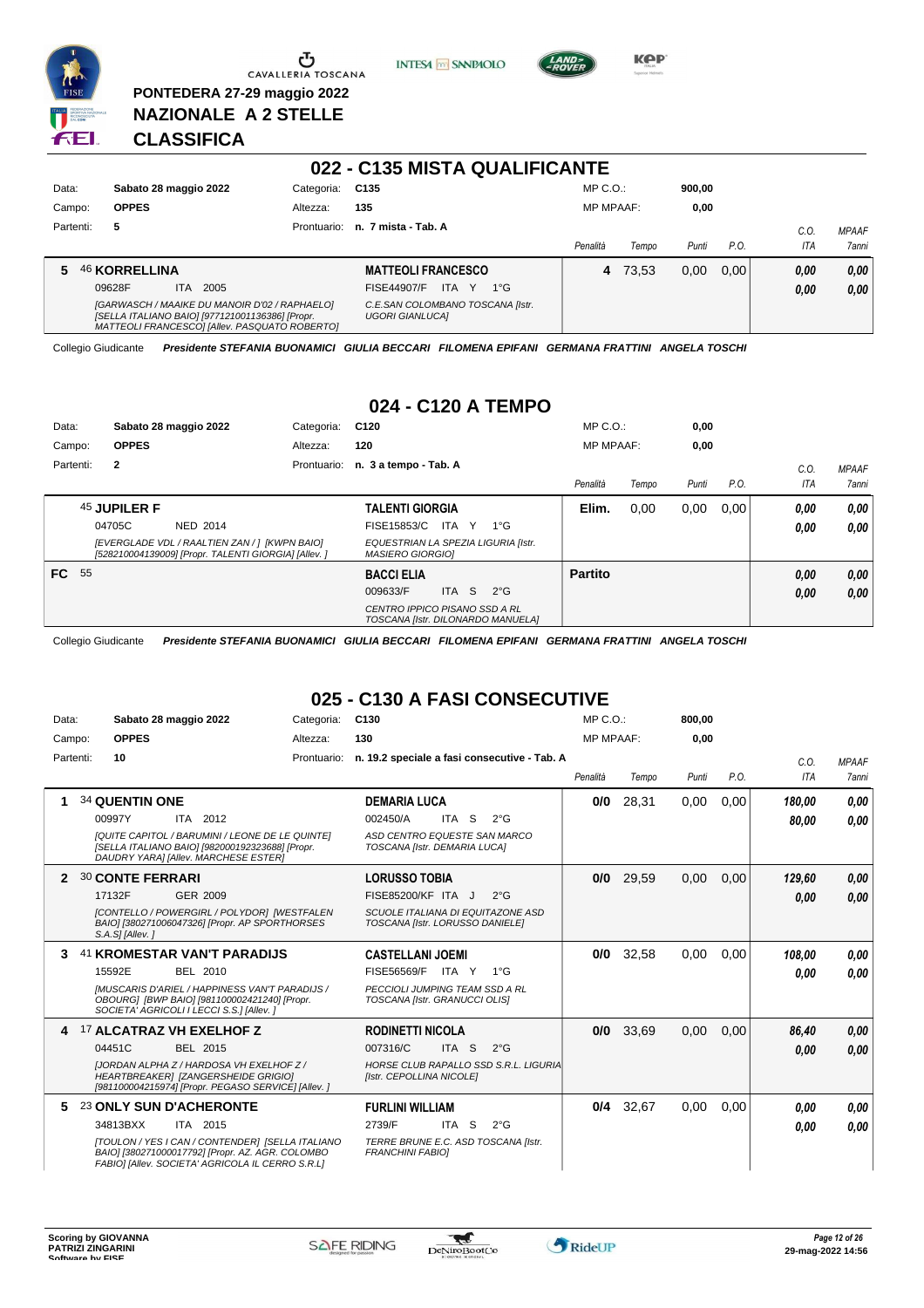

 $\sigma$  CAVALLERIA TOSCANA

**PONTEDERA 27-29 maggio 2022 NAZIONALE A 2 STELLE**

**INTESA** M SANPAOLO



**KPP** 

#### **CLASSIFICA**

| 022 - C135 MISTA QUALIFICANTE |                                                                                                                                                   |             |                                                            |                  |       |        |       |            |              |
|-------------------------------|---------------------------------------------------------------------------------------------------------------------------------------------------|-------------|------------------------------------------------------------|------------------|-------|--------|-------|------------|--------------|
| Data:                         | Sabato 28 maggio 2022                                                                                                                             | Categoria:  | C135                                                       | $MP C. O.$ :     |       | 900.00 |       |            |              |
| Campo:                        | <b>OPPES</b>                                                                                                                                      | Altezza:    | 135                                                        | <b>MP MPAAF:</b> |       | 0,00   |       |            |              |
| Partenti:                     | 5                                                                                                                                                 | Prontuario: | n. 7 mista - Tab. A                                        |                  |       |        |       | C.O.       | <b>MPAAF</b> |
|                               |                                                                                                                                                   |             |                                                            | Penalità         | Tempo | Punti  | P.O.  | <b>ITA</b> | <b>7anni</b> |
|                               | <b>46 KORRELLINA</b>                                                                                                                              |             | <b>MATTEOLI FRANCESCO</b>                                  | 4                | 73.53 | 0.00   | 0.001 | 0,00       | 0,00         |
|                               | <b>ITA</b><br>2005<br>09628F                                                                                                                      |             | FISE44907/F<br>ITA Y<br>$1^{\circ}G$                       |                  |       |        |       | 0,00       | 0,00         |
|                               | [GARWASCH / MAAIKE DU MANOIR D'02 / RAPHAELO]<br>[SELLA ITALIANO BAIO] [977121001136386] [Propr.<br>MATTEOLI FRANCESCOI [Allev. PASQUATO ROBERTO] |             | C.E.SAN COLOMBANO TOSCANA [Istr.<br><b>UGORI GIANLUCAI</b> |                  |       |        |       |            |              |

Collegio Giudicante *Presidente STEFANIA BUONAMICI GIULIA BECCARI FILOMENA EPIFANI GERMANA FRATTINI ANGELA TOSCHI*

#### **024 - C120 A TEMPO**

| Data:        |              | Sabato 28 maggio 2022                                                                                 | Categoria:  | C <sub>120</sub>                                                   |       |               | MP C.O.          |       | 0,00  |      |            |              |
|--------------|--------------|-------------------------------------------------------------------------------------------------------|-------------|--------------------------------------------------------------------|-------|---------------|------------------|-------|-------|------|------------|--------------|
| Campo:       | <b>OPPES</b> |                                                                                                       | Altezza:    | 120                                                                |       |               | <b>MP MPAAF:</b> |       | 0,00  |      |            |              |
| Partenti:    | $\mathbf{2}$ |                                                                                                       | Prontuario: | n. 3 a tempo - Tab. A                                              |       |               |                  |       |       |      | C.0        | <b>MPAAF</b> |
|              |              |                                                                                                       |             |                                                                    |       |               | Penalità         | Tempo | Punti | P.O. | <b>ITA</b> | 7anni        |
|              | 45 JUPILER F |                                                                                                       |             | <b>TALENTI GIORGIA</b>                                             |       |               | Elim.            | 0,00  | 0,00  | 0,00 | 0.00       | 0,00         |
|              | 04705C       | NED 2014                                                                                              |             | FISE15853/C                                                        | ITA Y | $1^{\circ}G$  |                  |       |       |      | 0.00       | 0.00         |
|              |              | [EVERGLADE VDL / RAALTIEN ZAN / ] [KWPN BAIO]<br>[528210004139009] [Propr. TALENTI GIORGIA] [Allev. ] |             | EQUESTRIAN LA SPEZIA LIGURIA [Istr.<br><b>MASIERO GIORGIOI</b>     |       |               |                  |       |       |      |            |              |
| <b>FC</b> 55 |              |                                                                                                       |             | <b>BACCI ELIA</b>                                                  |       |               | <b>Partito</b>   |       |       |      | 0,00       | 0,00         |
|              |              |                                                                                                       |             | 009633/F                                                           | ITA S | $2^{\circ}$ G |                  |       |       |      | 0.00       | 0,00         |
|              |              |                                                                                                       |             | CENTRO IPPICO PISANO SSD A RL<br>TOSCANA [Istr. DILONARDO MANUELA] |       |               |                  |       |       |      |            |              |

Collegio Giudicante *Presidente STEFANIA BUONAMICI GIULIA BECCARI FILOMENA EPIFANI GERMANA FRATTINI ANGELA TOSCHI*

# **025 - C130 A FASI CONSECUTIVE**

| Data:     | Sabato 28 maggio 2022                                                                                                                                    | Categoria:  | C130                                                                 | MP C.O.          |       | 800,00 |      |        |              |
|-----------|----------------------------------------------------------------------------------------------------------------------------------------------------------|-------------|----------------------------------------------------------------------|------------------|-------|--------|------|--------|--------------|
| Campo:    | <b>OPPES</b>                                                                                                                                             | Altezza:    | 130                                                                  | <b>MP MPAAF:</b> |       | 0,00   |      |        |              |
| Partenti: | 10                                                                                                                                                       | Prontuario: | n. 19.2 speciale a fasi consecutive - Tab. A                         |                  |       |        |      | C.O.   | <b>MPAAF</b> |
|           |                                                                                                                                                          |             |                                                                      | Penalità         | Tempo | Punti  | P.O. | ITA    | <b>7anni</b> |
|           | <b>34 QUENTIN ONE</b>                                                                                                                                    |             | <b>DEMARIA LUCA</b>                                                  | 0/0              | 28.31 | 0,00   | 0.00 | 180,00 | 0,00         |
|           | 00997Y<br>ITA 2012                                                                                                                                       |             | 002450/A<br>ITA S<br>$2^{\circ}$ G                                   |                  |       |        |      | 80.00  | 0,00         |
|           | [QUITE CAPITOL / BARUMINI / LEONE DE LE QUINTE]<br>[SELLA ITALIANO BAIO] [982000192323688] [Propr.<br>DAUDRY YARA] [Allev. MARCHESE ESTER]               |             | ASD CENTRO EQUESTE SAN MARCO<br>TOSCANA [Istr. DEMARIA LUCA]         |                  |       |        |      |        |              |
| 2         | <b>30 CONTE FERRARI</b>                                                                                                                                  |             | <b>LORUSSO TOBIA</b>                                                 | 0/0              | 29.59 | 0.00   | 0.00 | 129.60 | 0,00         |
|           | 17132F<br>GER 2009                                                                                                                                       |             | FISE85200/KF ITA J<br>$2^{\circ}$ G                                  |                  |       |        |      | 0,00   | 0.00         |
|           | <b>ICONTELLO / POWERGIRL / POLYDORI IWESTFALEN</b><br>BAIO] [380271006047326] [Propr. AP SPORTHORSES<br>S.A.S] [Allev.]                                  |             | SCUOLE ITALIANA DI EQUITAZONE ASD<br>TOSCANA [Istr. LORUSSO DANIELE] |                  |       |        |      |        |              |
| 3         | 41 KROMESTAR VAN'T PARADIJS                                                                                                                              |             | <b>CASTELLANI JOEMI</b>                                              | 0/0              | 32,58 | 0.00   | 0.00 | 108.00 | 0.00         |
|           | 15592E<br><b>BEL 2010</b>                                                                                                                                |             | FISE56569/F<br>ITA Y<br>1°G                                          |                  |       |        |      | 0,00   | 0.00         |
|           | <b>IMUSCARIS D'ARIEL / HAPPINESS VAN'T PARADIJS /</b><br>OBOURG1 [BWP BAIO] [981100002421240] [Propr.<br>SOCIETA' AGRICOLI I LECCI S.S.] [Allev. ]       |             | PECCIOLI JUMPING TEAM SSD A RL<br>TOSCANA [Istr. GRANUCCI OLIS]      |                  |       |        |      |        |              |
| 4         | <sup>17</sup> ALCATRAZ VH EXELHOF Z                                                                                                                      |             | <b>RODINETTI NICOLA</b>                                              | 0/0              | 33,69 | 0,00   | 0.00 | 86,40  | 0,00         |
|           | 04451C<br>BEL 2015                                                                                                                                       |             | 007316/C<br>ITA S<br>$2^{\circ}G$                                    |                  |       |        |      | 0,00   | 0.00         |
|           | <b>IJORDAN ALPHA Z / HARDOSA VH EXELHOF Z /</b><br>HEARTBREAKER] [ZANGERSHEIDE GRIGIO]<br>[981100004215974] [Propr. PEGASO SERVICE] [Allev. ]            |             | HORSE CLUB RAPALLO SSD S.R.L. LIGURIA<br>[Istr. CEPOLLINA NICOLE]    |                  |       |        |      |        |              |
| 5         | 23 ONLY SUN D'ACHERONTE                                                                                                                                  |             | <b>FURLINI WILLIAM</b>                                               | 0/4              | 32,67 | 0,00   | 0,00 | 0.00   | 0.00         |
|           | 34813BXX<br>ITA 2015                                                                                                                                     |             | 2739/F<br>ITA S<br>$2^{\circ}$ G                                     |                  |       |        |      | 0,00   | 0.00         |
|           | [TOULON / YES I CAN / CONTENDER] [SELLA ITALIANO<br>BAIO] [380271000017792] [Propr. AZ. AGR. COLOMBO<br>FABIO] [Allev. SOCIETA' AGRICOLA IL CERRO S.R.L] |             | TERRE BRUNE E.C. ASD TOSCANA [Istr.<br><b>FRANCHINI FABIOI</b>       |                  |       |        |      |        |              |

 $\tau$ 

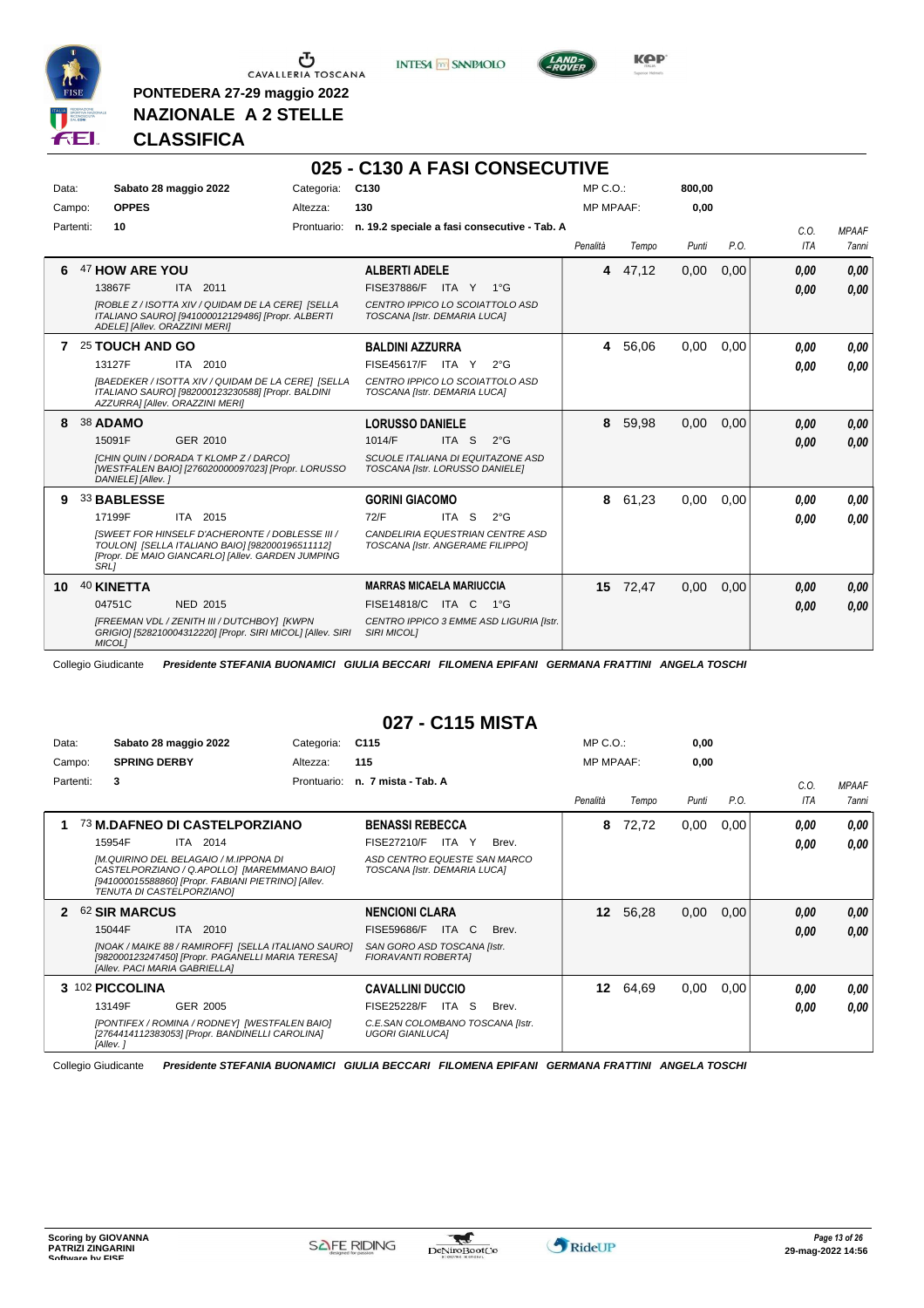

**PONTEDERA 27-29 maggio 2022 NAZIONALE A 2 STELLE**

**INTESA** M SANPAOLO



**KOP** 

**800,00**

#### **CLASSIFICA**

#### **025 - C130 A FASI CONSECUTIVE** Data: Sabato 28 maggio 2022 Categoria: C130 MP C.O.:

| Campo:    | <b>OPPES</b>                  |                                                                                                                                                         | Altezza:    | 130                                                                  |           |               | <b>MP MPAAF:</b> |          | 0.00  |      |      |              |
|-----------|-------------------------------|---------------------------------------------------------------------------------------------------------------------------------------------------------|-------------|----------------------------------------------------------------------|-----------|---------------|------------------|----------|-------|------|------|--------------|
| Partenti: | 10                            |                                                                                                                                                         | Prontuario: | n. 19.2 speciale a fasi consecutive - Tab. A                         |           |               |                  |          |       |      | C.0. | <b>MPAAF</b> |
|           |                               |                                                                                                                                                         |             |                                                                      |           |               | Penalità         | Tempo    | Punti | P.O. | ITA  | 7anni        |
| 6         | 47 HOW ARE YOU                |                                                                                                                                                         |             | <b>ALBERTI ADELE</b>                                                 |           |               |                  | 4 47,12  | 0,00  | 0,00 | 0,00 | 0.00         |
|           | 13867F                        | ITA 2011                                                                                                                                                |             | <b>FISE37886/F</b>                                                   | ITA Y 1°G |               |                  |          |       |      | 0.00 | 0,00         |
|           | ADELE] [Allev. ORAZZINI MERI] | [ROBLE Z / ISOTTA XIV / QUIDAM DE LA CERE] [SELLA<br>ITALIANO SAURO] [941000012129486] [Propr. ALBERTI                                                  |             | CENTRO IPPICO LO SCOIATTOLO ASD<br>TOSCANA [Istr. DEMARIA LUCA]      |           |               |                  |          |       |      |      |              |
|           | 25 TOUCH AND GO               |                                                                                                                                                         |             | <b>BALDINI AZZURRA</b>                                               |           |               | 4                | 56,06    | 0.00  | 0.00 | 0.00 | 0.00         |
|           | 13127F                        | ITA 2010                                                                                                                                                |             | FISE45617/F                                                          | ITA Y     | $2^{\circ}$ G |                  |          |       |      | 0.00 | 0.00         |
|           |                               | [BAEDEKER / ISOTTA XIV / QUIDAM DE LA CERE] [SELLA<br>ITALIANO SAURO] [982000123230588] [Propr. BALDINI<br>AZZURRA] [Allev. ORAZZINI MERI]              |             | CENTRO IPPICO LO SCOIATTOLO ASD<br>TOSCANA [Istr. DEMARIA LUCA]      |           |               |                  |          |       |      |      |              |
| 8         | 38 ADAMO                      |                                                                                                                                                         |             | <b>LORUSSO DANIELE</b>                                               |           |               | 8                | 59,98    | 0,00  | 0,00 | 0.00 | 0.00         |
|           | 15091F                        | GER 2010                                                                                                                                                |             | 1014/F                                                               | ITA S     | $2^{\circ}$ G |                  |          |       |      | 0.00 | 0,00         |
|           | DANIELE] [Allev.]             | [CHIN QUIN / DORADA T KLOMP Z / DARCO]<br>[WESTFALEN BAIO] [276020000097023] [Propr. LORUSSO                                                            |             | SCUOLE ITALIANA DI EQUITAZONE ASD<br>TOSCANA [Istr. LORUSSO DANIELE] |           |               |                  |          |       |      |      |              |
| 9         | 33 BABLESSE                   |                                                                                                                                                         |             | <b>GORINI GIACOMO</b>                                                |           |               | 8                | 61,23    | 0,00  | 0,00 | 0.00 | 0,00         |
|           | 17199F                        | ITA 2015                                                                                                                                                |             | 72/F                                                                 | ITA S     | $2^{\circ}$ G |                  |          |       |      | 0.00 | 0.00         |
|           | <b>SRL1</b>                   | ISWEET FOR HINSELF D'ACHERONTE / DOBLESSE III /<br>TOULON] [SELLA ITALIANO BAIO] [982000196511112]<br>[Propr. DE MAIO GIANCARLO] [Allev. GARDEN JUMPING |             | CANDELIRIA EQUESTRIAN CENTRE ASD<br>TOSCANA [Istr. ANGERAME FILIPPO] |           |               |                  |          |       |      |      |              |
| 10        | 40 KINETTA                    |                                                                                                                                                         |             | <b>MARRAS MICAELA MARIUCCIA</b>                                      |           |               |                  | 15 72,47 | 0,00  | 0,00 | 0.00 | 0,00         |
|           | 04751C                        | <b>NED 2015</b>                                                                                                                                         |             | FISE14818/C ITA C                                                    |           | $1^{\circ}G$  |                  |          |       |      | 0.00 | 0,00         |
|           | MICOL]                        | [FREEMAN VDL / ZENITH III / DUTCHBOY] [KWPN<br>GRIGIO] [528210004312220] [Propr. SIRI MICOL] [Allev. SIRI                                               |             | CENTRO IPPICO 3 EMME ASD LIGURIA [Istr.<br><b>SIRI MICOLI</b>        |           |               |                  |          |       |      |      |              |

Collegio Giudicante *Presidente STEFANIA BUONAMICI GIULIA BECCARI FILOMENA EPIFANI GERMANA FRATTINI ANGELA TOSCHI*

#### **027 - C115 MISTA**

| Data:        | Sabato 28 maggio 2022                                                                                                                                                    | Categoria:  | C <sub>115</sub>                                             | $MP C. O.$ :    |                  | 0,00  |      |      |              |
|--------------|--------------------------------------------------------------------------------------------------------------------------------------------------------------------------|-------------|--------------------------------------------------------------|-----------------|------------------|-------|------|------|--------------|
| Campo:       | <b>SPRING DERBY</b>                                                                                                                                                      | Altezza:    | 115                                                          |                 | <b>MP MPAAF:</b> | 0,00  |      |      |              |
| Partenti:    | 3                                                                                                                                                                        | Prontuario: | n. 7 mista - Tab. A                                          |                 |                  |       |      | C.0. | <b>MPAAF</b> |
|              |                                                                                                                                                                          |             |                                                              | Penalità        | Tempo            | Punti | P.O. | ITA  | 7anni        |
|              | 73 M.DAFNEO DI CASTELPORZIANO                                                                                                                                            |             | <b>BENASSI REBECCA</b>                                       | 8               | 72,72            | 0,00  | 0,00 | 0.00 | 0.00         |
|              | 15954F<br><b>ITA 2014</b>                                                                                                                                                |             | <b>FISE27210/F</b><br>ITA<br>Y<br>Brev.                      |                 |                  |       |      | 0,00 | 0.00         |
|              | [M.QUIRINO DEL BELAGAIO / M.IPPONA DI<br>CASTELPORZIANO / Q.APOLLO] [MAREMMANO BAIO]<br>[941000015588860] [Propr. FABIANI PIETRINO] [Allev.<br>TENUTA DI CASTELPORZIANO] |             | ASD CENTRO EQUESTE SAN MARCO<br>TOSCANA [Istr. DEMARIA LUCA] |                 |                  |       |      |      |              |
| $\mathbf{2}$ | 62 SIR MARCUS                                                                                                                                                            |             | <b>NENCIONI CLARA</b>                                        | 12 <sup>1</sup> | 56,28            | 0,00  | 0,00 | 0,00 | 0,00         |
|              | 15044F<br>ITA 2010                                                                                                                                                       |             | <b>ITA</b><br>C<br><b>FISE59686/F</b><br>Brev.               |                 |                  |       |      | 0,00 | 0,00         |
|              | [NOAK / MAIKE 88 / RAMIROFF] [SELLA ITALIANO SAURO]<br>[982000123247450] [Propr. PAGANELLI MARIA TERESA]<br>[Allev. PACI MARIA GABRIELLA]                                |             | SAN GORO ASD TOSCANA [Istr.<br>FIORAVANTI ROBERTAI           |                 |                  |       |      |      |              |
|              | 3 102 PICCOLINA                                                                                                                                                          |             | <b>CAVALLINI DUCCIO</b>                                      | 12              | 64,69            | 0,00  | 0,00 | 0.00 | 0,00         |
|              | 13149F<br>GER 2005                                                                                                                                                       |             | <b>FISE25228/F</b><br>ITA<br><sub>S</sub><br>Brev.           |                 |                  |       |      | 0,00 | 0.00         |
|              | [PONTIFEX / ROMINA / RODNEY] [WESTFALEN BAIO]<br>[2764414112383053] [Propr. BANDINELLI CAROLINA]<br>[Allev.]                                                             |             | C.E.SAN COLOMBANO TOSCANA [Istr.<br><b>UGORI GIANLUCAI</b>   |                 |                  |       |      |      |              |

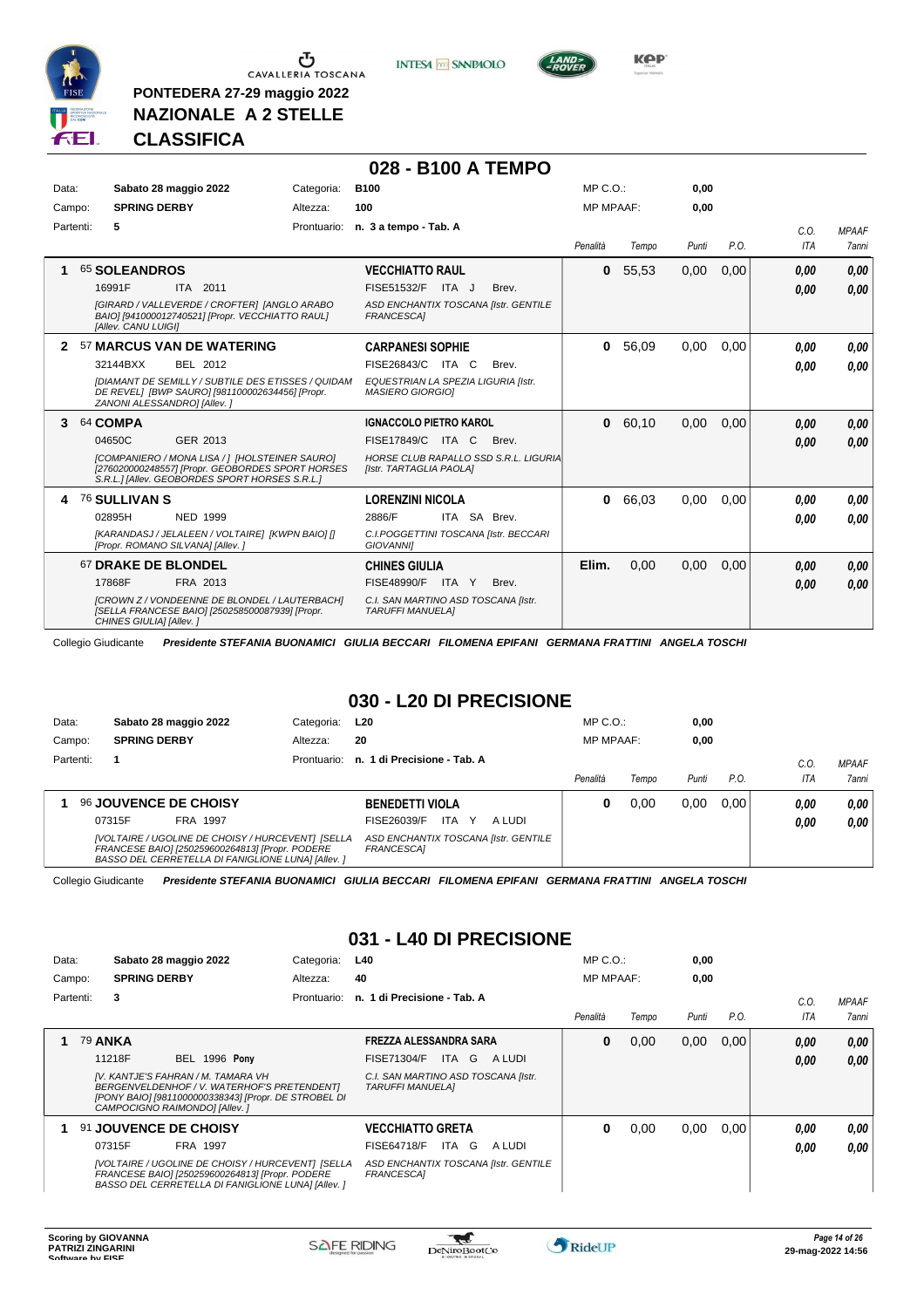

 $\sigma$  CAVALLERIA TOSCANA

**PONTEDERA 27-29 maggio 2022 NAZIONALE A 2 STELLE**

**INTESA** M SANPAOLO

**028 - B100 A TEMPO**



**Kep** 

#### **CLASSIFICA**

| Data:<br>Campo: | Sabato 28 maggio 2022<br><b>SPRING DERBY</b>                                                                                                                                              | Categoria:<br>Altezza: | <b>B100</b><br>100                                                                                  |       |                                                                | MP C. O.<br><b>MP MPAAF:</b> |               | 0,00<br>0,00 |              |                              |                              |
|-----------------|-------------------------------------------------------------------------------------------------------------------------------------------------------------------------------------------|------------------------|-----------------------------------------------------------------------------------------------------|-------|----------------------------------------------------------------|------------------------------|---------------|--------------|--------------|------------------------------|------------------------------|
| Partenti:       | 5                                                                                                                                                                                         |                        | Prontuario: n. 3 a tempo - Tab. A                                                                   |       |                                                                | Penalità                     | Tempo         | Punti        | P.O.         | C.0.<br>ITA                  | <b>MPAAF</b><br><b>7anni</b> |
| 1               | <b>65 SOLEANDROS</b><br>16991F<br>ITA 2011<br>[GIRARD / VALLEVERDE / CROFTER] [ANGLO ARABO<br>BAIO] [941000012740521] [Propr. VECCHIATTO RAUL]<br>[Allev. CANU LUIGI]                     |                        | <b>VECCHIATTO RAUL</b><br><b>FISE51532/F</b><br><b>FRANCESCA1</b>                                   | ITA J | Brev.<br>ASD ENCHANTIX TOSCANA [Istr. GENTILE                  | 0                            | 55,53         | 0,00         | 0.00         | 0,00<br>0,00                 | 0.00<br>0.00                 |
| $\mathbf{2}$    | 57 MARCUS VAN DE WATERING<br>32144BXX<br>BEL 2012<br>[DIAMANT DE SEMILLY / SUBTILE DES ETISSES / QUIDAM<br>DE REVEL] [BWP SAURO] [981100002634456] [Propr.<br>ZANONI ALESSANDRO] [Allev.] |                        | <b>CARPANESI SOPHIE</b><br>FISE26843/C<br>EQUESTRIAN LA SPEZIA LIGURIA [Istr.<br>MASIERO GIORGIO]   | ITA C | Brev.                                                          | $\bf{0}$                     | 56,09         | 0,00         | 0.00         | 0.00<br>0.00                 | 0.00<br>0.00                 |
| 3               | 64 COMPA<br>04650C<br>GER 2013<br>[COMPANIERO / MONA LISA / ] [HOLSTEINER SAURO]<br>[276020000248557] [Propr. GEOBORDES SPORT HORSES<br>S.R.L.] [Allev. GEOBORDES SPORT HORSES S.R.L.]    |                        | <b>IGNACCOLO PIETRO KAROL</b><br>FISE17849/C ITA C<br>[Istr. TARTAGLIA PAOLA]                       |       | Brev.<br>HORSE CLUB RAPALLO SSD S.R.L. LIGURIA                 | $\mathbf{0}$                 | 60,10         | 0,00         | 0.00         | 0,00<br>0,00                 | 0,00<br>0.00                 |
| 4               | 76 SULLIVAN S<br>02895H<br><b>NED 1999</b><br>[KARANDASJ / JELALEEN / VOLTAIRE] [KWPN BAIO] []<br>[Propr. ROMANO SILVANA] [Allev.]<br>67 DRAKE DE BLONDEL<br>17868F<br>FRA 2013           |                        | <b>LORENZINI NICOLA</b><br>2886/F<br><b>GIOVANNII</b><br><b>CHINES GIULIA</b><br><b>FISE48990/F</b> | ITA Y | ITA SA Brev.<br>C.I.POGGETTINI TOSCANA [Istr. BECCARI<br>Brev. | $\mathbf{0}$<br>Elim.        | 66,03<br>0,00 | 0,00<br>0,00 | 0,00<br>0,00 | 0.00<br>0.00<br>0,00<br>0,00 | 0,00<br>0.00<br>0,00<br>0.00 |
|                 | [CROWN Z / VONDEENNE DE BLONDEL / LAUTERBACH]<br>[SELLA FRANCESE BAIO] [250258500087939] [Propr.<br>CHINES GIULIA] [Allev.]                                                               |                        | C.I. SAN MARTINO ASD TOSCANA [Istr.<br><b>TARUFFI MANUELA]</b>                                      |       |                                                                |                              |               |              |              |                              |                              |

Collegio Giudicante *Presidente STEFANIA BUONAMICI GIULIA BECCARI FILOMENA EPIFANI GERMANA FRATTINI ANGELA TOSCHI*

# **030 - L20 DI PRECISIONE**

| Data:     |                     | Sabato 28 maggio 2022                           | Categoria:                                                                                              | L20                                                |             | $MP C. O.$ :     |       | 0,00  |      |            |              |
|-----------|---------------------|-------------------------------------------------|---------------------------------------------------------------------------------------------------------|----------------------------------------------------|-------------|------------------|-------|-------|------|------------|--------------|
| Campo:    | <b>SPRING DERBY</b> |                                                 | Altezza:                                                                                                | 20                                                 |             | <b>MP MPAAF:</b> |       | 0,00  |      |            |              |
| Partenti: |                     |                                                 |                                                                                                         | Prontuario: n. 1 di Precisione - Tab. A            |             |                  |       |       |      | C.O        | <b>MPAAF</b> |
|           |                     |                                                 |                                                                                                         |                                                    |             | Penalità         | Tempo | Punti | P.O. | <b>ITA</b> | <b>7anni</b> |
|           |                     | <b>96 JOUVENCE DE CHOISY</b>                    |                                                                                                         | <b>BENEDETTI VIOLA</b>                             |             | o                | 0.00  | 0.00  | 0.00 | 0.00       | 0,00         |
|           | 07315F              | FRA 1997                                        |                                                                                                         | ITA<br>FISE26039/F                                 | A LUDI<br>Y |                  |       |       |      | 0.00       | 0,00         |
|           |                     | FRANCESE BAIO] [250259600264813] [Propr. PODERE | [VOLTAIRE / UGOLINE DE CHOISY / HURCEVENT] [SELLA<br>BASSO DEL CERRETELLA DI FANIGLIONE LUNA] [Allev. ] | ASD ENCHANTIX TOSCANA [Istr. GENTILE<br>FRANCESCA] |             |                  |       |       |      |            |              |

Collegio Giudicante *Presidente STEFANIA BUONAMICI GIULIA BECCARI FILOMENA EPIFANI GERMANA FRATTINI ANGELA TOSCHI*

#### **031 - L40 DI PRECISIONE**

| Data:  |                |                     | Sabato 28 maggio 2022                                                                                                                                                                                  | Categoria:  | L40                                                                                                                               | $MP C. O.$ :     |       | 0,00  |      |              |                |
|--------|----------------|---------------------|--------------------------------------------------------------------------------------------------------------------------------------------------------------------------------------------------------|-------------|-----------------------------------------------------------------------------------------------------------------------------------|------------------|-------|-------|------|--------------|----------------|
| Campo: |                | <b>SPRING DERBY</b> |                                                                                                                                                                                                        | Altezza:    | 40                                                                                                                                | <b>MP MPAAF:</b> |       | 0,00  |      |              |                |
|        | Partenti:      | 3                   |                                                                                                                                                                                                        | Prontuario: | n. 1 di Precisione - Tab. A                                                                                                       | Penalità         | Tempo | Punti | P.O. | C.0<br>ITA   | MPAAF<br>7anni |
|        | <b>79 ANKA</b> | 11218F              | <b>BEL 1996 Pony</b><br>IV. KANTJE'S FAHRAN / M. TAMARA VH<br>BERGENVELDENHOF / V. WATERHOF'S PRETENDENT]<br>[PONY BAIO] [9811000000338343] [Propr. DE STROBEL DI<br>CAMPOCIGNO RAIMONDO] [Allev.]     |             | FREZZA ALESSANDRA SARA<br>ITA G<br><b>FISE71304/F</b><br>A LUDI<br>C.I. SAN MARTINO ASD TOSCANA [Istr.<br><b>TARUFFI MANUELA1</b> | 0                | 0,00  | 0,00  | 0.00 | 0,00<br>0,00 | 0,00<br>0,00   |
|        |                | 07315F              | 91 JOUVENCE DE CHOISY<br><b>FRA 1997</b><br>[VOLTAIRE / UGOLINE DE CHOISY / HURCEVENT] [SELLA<br>FRANCESE BAIO] [250259600264813] [Propr. PODERE<br>BASSO DEL CERRETELLA DI FANIGLIONE LUNA] [Allev. ] |             | <b>VECCHIATTO GRETA</b><br>FISE64718/F<br>ITA G<br>A LUDI<br>ASD ENCHANTIX TOSCANA [Istr. GENTILE<br>FRANCESCA]                   | 0                | 0,00  | 0,00  | 0.00 | 0.00<br>0,00 | 0,00<br>0.00   |

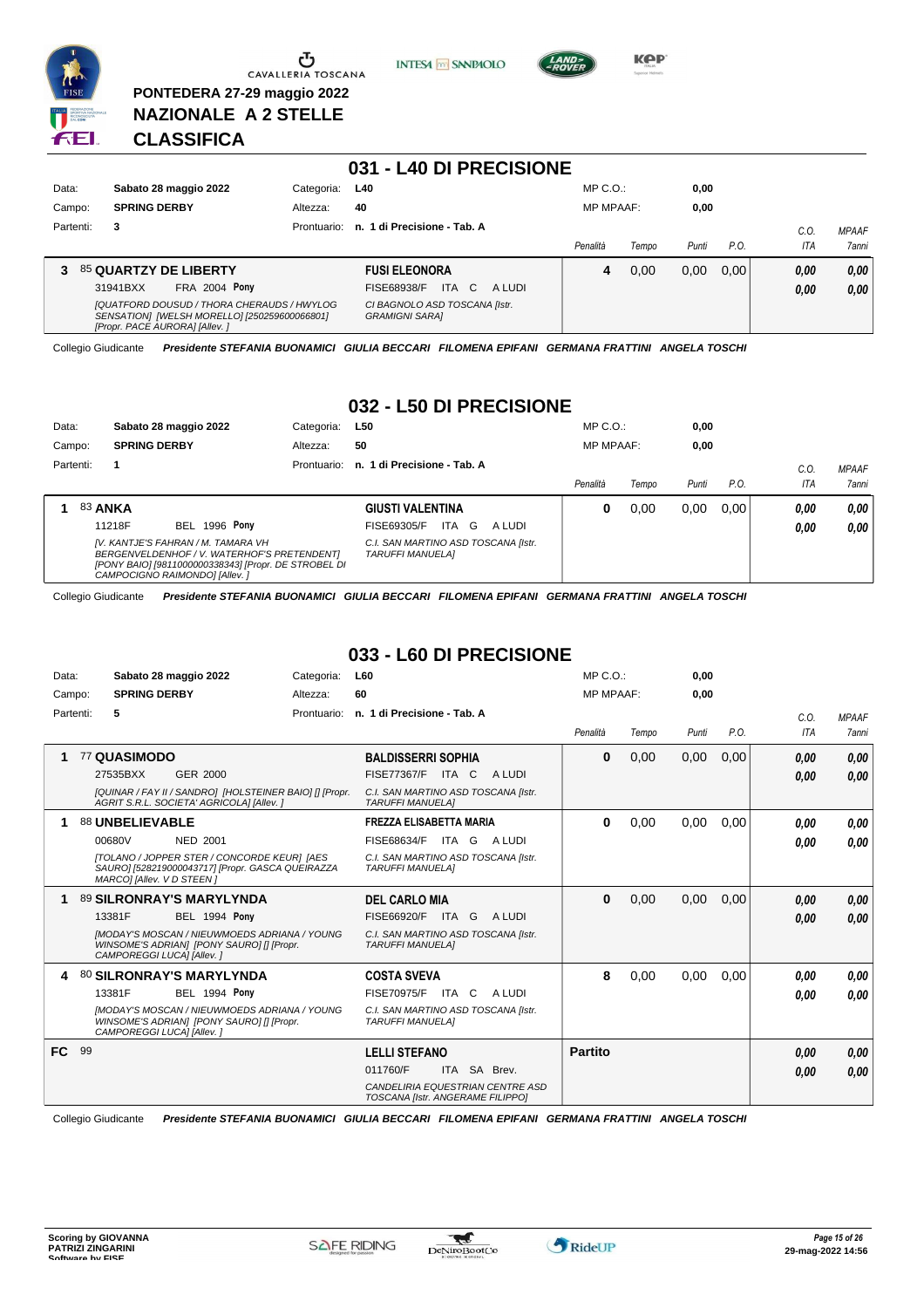

**PONTEDERA 27-29 maggio 2022 NAZIONALE A 2 STELLE**

**INTESA** M SANPAOLO



**KOP** 

# **CLASSIFICA**

|           |                                                                                                                              |             | 031 - L40 DI PRECISIONE                                      |                  |       |       |      |              |                              |
|-----------|------------------------------------------------------------------------------------------------------------------------------|-------------|--------------------------------------------------------------|------------------|-------|-------|------|--------------|------------------------------|
| Data:     | Sabato 28 maggio 2022                                                                                                        | Categoria:  | <b>L40</b>                                                   | $MP C. O.$ :     |       | 0,00  |      |              |                              |
| Campo:    | <b>SPRING DERBY</b>                                                                                                          | Altezza:    | 40                                                           | <b>MP MPAAF:</b> |       | 0,00  |      |              |                              |
| Partenti: | 3                                                                                                                            | Prontuario: | n. 1 di Precisione - Tab. A                                  | Penalità         | Tempo | Punti | P.0  | C.O.<br>ITA  | <b>MPAAF</b><br><b>7anni</b> |
| 3.        | 85 QUARTZY DE LIBERTY<br><b>FRA 2004 Pony</b><br>31941BXX                                                                    |             | <b>FUSI ELEONORA</b><br>FISE68938/F<br>ITA.<br>- C<br>A LUDI | 4                | 0.00  | 0,00  | 0.00 | 0,00<br>0,00 | 0,00<br>0,00                 |
|           | [QUATFORD DOUSUD / THORA CHERAUDS / HWYLOG<br>SENSATION] [WELSH MORELLO] [250259600066801]<br>[Propr. PACE AURORA] [Allev. ] |             | CI BAGNOLO ASD TOSCANA [Istr.<br><b>GRAMIGNI SARAI</b>       |                  |       |       |      |              |                              |

Collegio Giudicante *Presidente STEFANIA BUONAMICI GIULIA BECCARI FILOMENA EPIFANI GERMANA FRATTINI ANGELA TOSCHI*

#### **032 - L50 DI PRECISIONE**

| Data:     |                | Sabato 28 maggio 2022                                                                                                                                                      |                      | Categoria:  | L50                                                            |       |        | $MP C. O.$ :     |       | 0,00  |      |      |              |
|-----------|----------------|----------------------------------------------------------------------------------------------------------------------------------------------------------------------------|----------------------|-------------|----------------------------------------------------------------|-------|--------|------------------|-------|-------|------|------|--------------|
| Campo:    |                | <b>SPRING DERBY</b>                                                                                                                                                        |                      | Altezza:    | 50                                                             |       |        | <b>MP MPAAF:</b> |       | 0,00  |      |      |              |
| Partenti: |                |                                                                                                                                                                            |                      | Prontuario: | n. 1 di Precisione - Tab. A                                    |       |        |                  |       |       |      | C.O. | <b>MPAAF</b> |
|           |                |                                                                                                                                                                            |                      |             |                                                                |       |        | Penalità         | Tempo | Punti | P.O. | ITA  | 7anni        |
|           | <b>83 ANKA</b> |                                                                                                                                                                            |                      |             | <b>GIUSTI VALENTINA</b>                                        |       |        | 0                | 0.00  | 0.00  | 0.00 | 0.00 | 0,00         |
|           |                | 11218F                                                                                                                                                                     | <b>BEL 1996 Pony</b> |             | FISE69305/F                                                    | ITA G | A LUDI |                  |       |       |      | 0,00 | 0,00         |
|           |                | IV. KANTJE'S FAHRAN / M. TAMARA VH<br>BERGENVELDENHOF / V. WATERHOF'S PRETENDENT]<br>[PONY BAIO] [9811000000338343] [Propr. DE STROBEL DI<br>CAMPOCIGNO RAIMONDO] [Allev.] |                      |             | C.I. SAN MARTINO ASD TOSCANA [Istr.<br><b>TARUFFI MANUELAI</b> |       |        |                  |       |       |      |      |              |

Collegio Giudicante *Presidente STEFANIA BUONAMICI GIULIA BECCARI FILOMENA EPIFANI GERMANA FRATTINI ANGELA TOSCHI*

#### **033 - L60 DI PRECISIONE**

| Data:     | Sabato 28 maggio 2022                                                                                                                                                                              | L60<br>Categoria:                                                                                                                 | $MP C. O.$ :     |       | 0,00  |      |              |                       |
|-----------|----------------------------------------------------------------------------------------------------------------------------------------------------------------------------------------------------|-----------------------------------------------------------------------------------------------------------------------------------|------------------|-------|-------|------|--------------|-----------------------|
| Campo:    | <b>SPRING DERBY</b>                                                                                                                                                                                | 60<br>Altezza:                                                                                                                    | <b>MP MPAAF:</b> |       | 0,00  |      |              |                       |
| Partenti: | 5                                                                                                                                                                                                  | n. 1 di Precisione - Tab. A<br>Prontuario:                                                                                        | Penalità         | Tempo | Punti | P.O. | C.0.<br>ITA  | <b>MPAAF</b><br>7anni |
|           | 77 QUASIMODO<br>27535BXX<br>GER 2000<br>[QUINAR / FAY II / SANDRO] [HOLSTEINER BAIO] [] [Propr.<br>AGRIT S.R.L. SOCIETA' AGRICOLA] [Allev.]                                                        | <b>BALDISSERRI SOPHIA</b><br><b>FISE77367/F ITA C</b><br>A LUDI<br>C.I. SAN MARTINO ASD TOSCANA [Istr.<br><b>TARUFFI MANUELAI</b> | $\bf{0}$         | 0,00  | 0,00  | 0,00 | 0,00<br>0.00 | 0,00<br>0,00          |
|           | 88 UNBELIEVABLE<br>00680V<br><b>NED 2001</b><br><b>[TOLANO / JOPPER STER / CONCORDE KEUR] [AES</b><br>SAURO] [528219000043717] [Propr. GASCA QUEIRAZZA<br>MARCO] [Allev. V D STEEN]                | <b>FREZZA ELISABETTA MARIA</b><br>FISE68634/F<br>ITA GALUDI<br>C.I. SAN MARTINO ASD TOSCANA [Istr.<br><b>TARUFFI MANUELAI</b>     | 0                | 0,00  | 0,00  | 0,00 | 0.00<br>0.00 | 0.00<br>0.00          |
|           | 89 SILRONRAY'S MARYLYNDA<br><b>BEL 1994 Pony</b><br>13381F<br><b>IMODAY'S MOSCAN / NIEUWMOEDS ADRIANA / YOUNG</b><br>WINSOME'S ADRIAN] [PONY SAURO] [] [Propr.<br>CAMPOREGGI LUCAI [Allev.]        | <b>DEL CARLO MIA</b><br>FISE66920/F<br>ITA G<br>A LUDI<br>C.I. SAN MARTINO ASD TOSCANA [Istr.<br><b>TARUFFI MANUELAI</b>          | $\bf{0}$         | 0,00  | 0,00  | 0,00 | 0,00<br>0.00 | 0,00<br>0,00          |
| 4         | <b>80 SILRONRAY'S MARYLYNDA</b><br>13381F<br><b>BEL 1994 Pony</b><br><b>IMODAY'S MOSCAN / NIEUWMOEDS ADRIANA / YOUNG</b><br>WINSOME'S ADRIAN] [PONY SAURO] [] [Propr.<br>CAMPOREGGI LUCA] [Allev.] | <b>COSTA SVEVA</b><br><b>FISE70975/F ITA C</b><br>A LUDI<br>C.I. SAN MARTINO ASD TOSCANA [Istr.<br><b>TARUFFI MANUELAI</b>        | 8                | 0,00  | 0.00  | 0.00 | 0.00<br>0.00 | 0,00<br>0.00          |
| FC.       | 99                                                                                                                                                                                                 | <b>LELLI STEFANO</b><br>011760/F<br>ITA SA Brev.<br>CANDELIRIA EQUESTRIAN CENTRE ASD<br>TOSCANA [Istr. ANGERAME FILIPPO]          | <b>Partito</b>   |       |       |      | 0.00<br>0.00 | 0,00<br>0,00          |

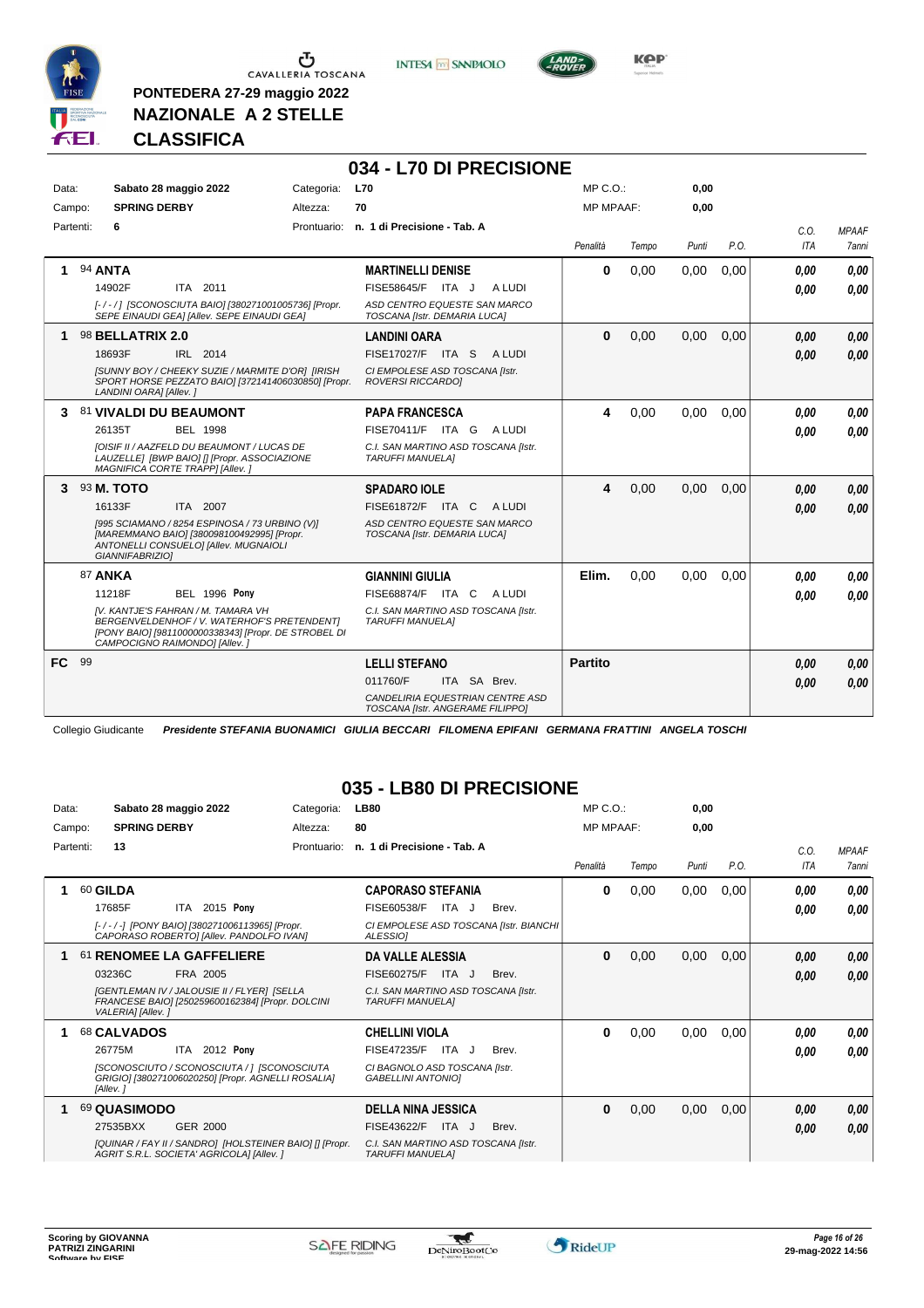





KOP

**NAZIONALE A 2 STELLE CLASSIFICA**

**PONTEDERA 27-29 maggio 2022**

#### **034 - L70 DI PRECISIONE** Data: Sabato 28 maggio 2022 Categoria: L70 Prontuario: **n. 1 di Precisione - Tab. A** Campo: **SPRING DERBY** Partenti: **6** Altezza: **70** MP C.O.: MP MPAAF: **0,00 0,00** *Penalità Tempo Punti P.O. C.O. ITA MPAAF 7anni* **1** 94 **ANTA** ITA 2011 **MARTINELLI DENISE** *[- / - / ] [SCONOSCIUTA BAIO] [380271001005736] [Propr. SEPE EINAUDI GEA] [Allev. SEPE EINAUDI GEA] ASD CENTRO EQUESTE SAN MARCO TOSCANA [Istr. DEMARIA LUCA]* 14902F ITA 2011 FISE58645/F ITA J A LUDI **0,00 0,00 0** 0,00 0,00 0,00 *0,00 0,00 0,00* **1** 98 **BELLATRIX 2.0** IRL 2014 **LANDINI OARA** *[SUNNY BOY / CHEEKY SUZIE / MARMITE D'OR] [IRISH SPORT HORSE PEZZATO BAIO] [372141406030850] [Propr. LANDINI OARA] [Allev. ] CI EMPOLESE ASD TOSCANA [Istr. ROVERSI RICCARDO]* 18693F IRL 2014 FISE17027/F ITA S A LUDI **0,00 0,00 0** 0,00 0,00 0,00 *0,00 0,00 0,00* **3** 81 **VIVALDI DU BEAUMONT** BEL 1998 **PAPA FRANCESCA** *[OISIF II / AAZFELD DU BEAUMONT / LUCAS DE LAUZELLE] [BWP BAIO] [] [Propr. ASSOCIAZIONE MAGNIFICA CORTE TRAPP] [Allev. ] C.I. SAN MARTINO ASD TOSCANA [Istr. TARUFFI MANUELA]* ITA G A LUDI 26135T FISE70411/F *0,00* **4** 0,00 0,00 0,00 *0,00 0,00 0,00* **3** 93 **M. TOTO** ITA 2007 **SPADARO IOLE** *[995 SCIAMANO / 8254 ESPINOSA / 73 URBINO (V)] [MAREMMANO BAIO] [380098100492995] [Propr. ANTONELLI CONSUELO] [Allev. MUGNAIOLI GIANNIFABRIZIO] ASD CENTRO EQUESTE SAN MARCO TOSCANA [Istr. DEMARIA LUCA]* 16133F ITA 2007 FISE61872/F ITA C ALUDI <mark>0,00 0,00</mark> **4** 0,00 0,00 0,00 *0,00 0,00 0,00* 87 **ANKA BEL 1996 Pony GIANNINI GIULIA** *[V. KANTJE'S FAHRAN / M. TAMARA VH BERGENVELDENHOF / V. WATERHOF'S PRETENDENT] [PONY BAIO] [9811000000338343] [Propr. DE STROBEL DI CAMPOCIGNO RAIMONDO] [Allev. ] C.I. SAN MARTINO ASD TOSCANA [Istr. TARUFFI MANUELA]* ITA C A LUDI 11218F FISE68874/F *0,00* **Pony Elim.** 0,00 0,00 0,00 *0,00 0,00 0,00* **FC** 99 **LELLI STEFANO** *CANDELIRIA EQUESTRIAN CENTRE ASD TOSCANA [Istr. ANGERAME FILIPPO]* ITA SA Brev. 011760/F *0,00* **Partito** *0,00 0,00 0,00* Collegio Giudicante *Presidente STEFANIA BUONAMICI GIULIA BECCARI FILOMENA EPIFANI GERMANA FRATTINI ANGELA TOSCHI*

#### **035 - LB80 DI PRECISIONE**

| Data:     | Sabato 28 maggio 2022                                                                                                                                                          | Categoria:  | <b>LB80</b>                                                                                                                  | $MP C. O.$ :     |       | 0,00  |      |                   |                              |
|-----------|--------------------------------------------------------------------------------------------------------------------------------------------------------------------------------|-------------|------------------------------------------------------------------------------------------------------------------------------|------------------|-------|-------|------|-------------------|------------------------------|
| Campo:    | <b>SPRING DERBY</b>                                                                                                                                                            | Altezza:    | 80                                                                                                                           | <b>MP MPAAF:</b> |       | 0.00  |      |                   |                              |
| Partenti: | 13                                                                                                                                                                             | Prontuario: | n. 1 di Precisione - Tab. A                                                                                                  | Penalità         | Tempo | Punti | P.O. | C.0<br><b>ITA</b> | <b>MPAAF</b><br><b>7anni</b> |
|           | 60 GILDA<br>2015 Pony<br>17685F<br>ITA.<br>[-/-/-] [PONY BAIO] [380271006113965] [Propr.<br>CAPORASO ROBERTO] [Allev. PANDOLFO IVAN]                                           |             | <b>CAPORASO STEFANIA</b><br>FISE60538/F<br>ITA J<br>Brev.<br>CI EMPOLESE ASD TOSCANA [Istr. BIANCHI<br><b>ALESSIOI</b>       | 0                | 0,00  | 0,00  | 0,00 | 0.00<br>0.00      | 0,00<br>0.00                 |
|           | 61 RENOMEE LA GAFFELIERE<br>03236C<br>FRA 2005<br><b>[GENTLEMAN IV / JALOUSIE II / FLYER] [SELLA</b><br>FRANCESE BAIO] [250259600162384] [Propr. DOLCINI<br>VALERIA] [Allev. ] |             | <b>DA VALLE ALESSIA</b><br>FISE60275/F<br>ITA J<br>Brev.<br>C.I. SAN MARTINO ASD TOSCANA [Istr.<br><b>TARUFFI MANUELAI</b>   | $\bf{0}$         | 0,00  | 0,00  | 0,00 | 0,00<br>0,00      | 0,00<br>0,00                 |
|           | 68 CALVADOS<br>ITA 2012 Pony<br>26775M<br>[SCONOSCIUTO / SCONOSCIUTA / ] [SCONOSCIUTA<br>GRIGIO] [380271006020250] [Propr. AGNELLI ROSALIA]<br>[Allev.]                        |             | <b>CHELLINI VIOLA</b><br><b>FISE47235/F</b><br>ITA J<br>Brev.<br>CI BAGNOLO ASD TOSCANA [Istr.<br><b>GABELLINI ANTONIOI</b>  | 0                | 0,00  | 0,00  | 0,00 | 0.00<br>0.00      | 0,00<br>0,00                 |
|           | 69 QUASIMODO<br><b>GER 2000</b><br>27535BXX<br>[QUINAR / FAY II / SANDRO] [HOLSTEINER BAIO] [] [Propr.<br>AGRIT S.R.L. SOCIETA' AGRICOLA] [Allev. ]                            |             | <b>DELLA NINA JESSICA</b><br>FISE43622/F<br>ITA J<br>Brev.<br>C.I. SAN MARTINO ASD TOSCANA [Istr.<br><b>TARUFFI MANUELAI</b> | $\bf{0}$         | 0,00  | 0,00  | 0,00 | 0,00<br>0.00      | 0,00<br>0,00                 |

\*

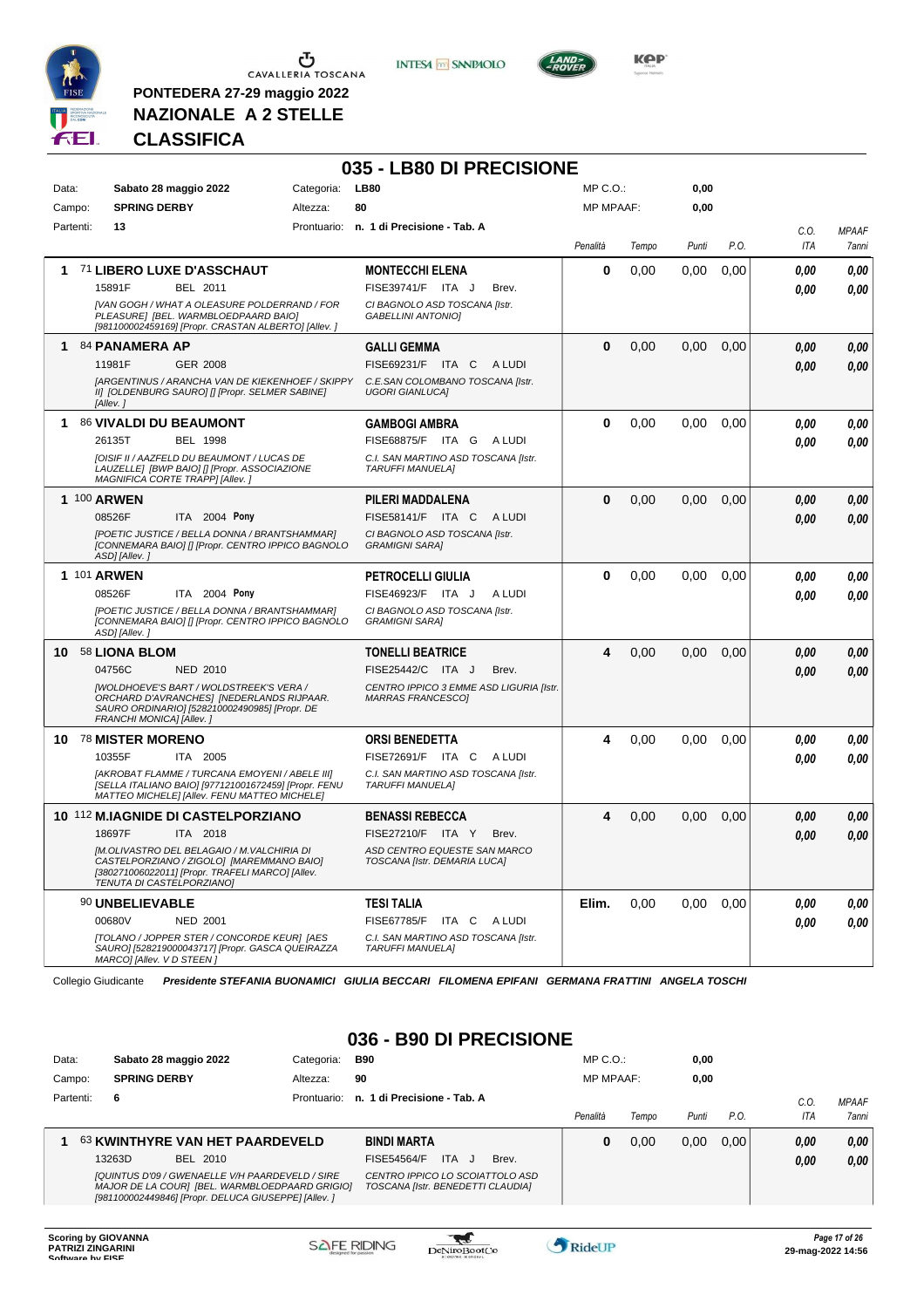

**PONTEDERA 27-29 maggio 2022 NAZIONALE A 2 STELLE**





**Kep** 

#### **CLASSIFICA**

|       |           |                           |                                                                                                                                                        |            | 035 - LB80 DI PRECISIONE                                            |                  |       |       |      |             |                       |
|-------|-----------|---------------------------|--------------------------------------------------------------------------------------------------------------------------------------------------------|------------|---------------------------------------------------------------------|------------------|-------|-------|------|-------------|-----------------------|
| Data: |           |                           | Sabato 28 maggio 2022                                                                                                                                  | Categoria: | <b>LB80</b>                                                         | MP C.O.:         |       | 0,00  |      |             |                       |
|       | Campo:    | <b>SPRING DERBY</b>       |                                                                                                                                                        | Altezza:   | 80                                                                  | <b>MP MPAAF:</b> |       | 0,00  |      |             |                       |
|       | Partenti: | 13                        |                                                                                                                                                        |            | Prontuario: n. 1 di Precisione - Tab. A                             | Penalità         | Tempo | Punti | P.O. | C.O.<br>ITA | <b>MPAAF</b><br>7anni |
| 1.    |           |                           | 71 LIBERO LUXE D'ASSCHAUT                                                                                                                              |            | <b>MONTECCHI ELENA</b>                                              | 0                | 0,00  | 0,00  | 0,00 | 0,00        | 0,00                  |
|       |           | 15891F                    | BEL 2011                                                                                                                                               |            | FISE39741/F ITA J<br>Brev.                                          |                  |       |       |      | 0.00        | 0.00                  |
|       |           |                           | [VAN GOGH / WHAT A OLEASURE POLDERRAND / FOR<br>PLEASURE] [BEL. WARMBLOEDPAARD BAIO]<br>[981100002459169] [Propr. CRASTAN ALBERTO] [Allev. ]           |            | CI BAGNOLO ASD TOSCANA [Istr.<br><b>GABELLINI ANTONIOI</b>          |                  |       |       |      |             |                       |
|       |           | 1 84 PANAMERA AP          |                                                                                                                                                        |            | <b>GALLI GEMMA</b>                                                  | $\bf{0}$         | 0,00  | 0,00  | 0,00 | 0.00        | 0,00                  |
|       |           | 11981F                    | GER 2008                                                                                                                                               |            | FISE69231/F ITA C<br>A LUDI                                         |                  |       |       |      | 0,00        | 0,00                  |
|       |           | [Allev.]                  | <b>JARGENTINUS / ARANCHA VAN DE KIEKENHOEF / SKIPPY</b><br>II] [OLDENBURG SAURO] [] [Propr. SELMER SABINE]                                             |            | C.E.SAN COLOMBANO TOSCANA [Istr.<br><b>UGORI GIANLUCAI</b>          |                  |       |       |      |             |                       |
| 1.    |           |                           | 86 VIVALDI DU BEAUMONT                                                                                                                                 |            | <b>GAMBOGI AMBRA</b>                                                | $\bf{0}$         | 0,00  | 0,00  | 0,00 | 0.00        | 0,00                  |
|       |           | 26135T                    | <b>BEL 1998</b>                                                                                                                                        |            | FISE68875/F ITA G ALUDI                                             |                  |       |       |      | 0.00        | 0.00                  |
|       |           |                           | [OISIF II / AAZFELD DU BEAUMONT / LUCAS DE<br>LAUZELLE  [BWP BAIO] [] [Propr. ASSOCIAZIONE<br>MAGNIFICA CORTE TRAPP] [Allev.]                          |            | C.I. SAN MARTINO ASD TOSCANA [Istr.<br><b>TARUFFI MANUELAI</b>      |                  |       |       |      |             |                       |
|       |           | 1 100 ARWEN               |                                                                                                                                                        |            | PILERI MADDALENA                                                    | $\bf{0}$         | 0,00  | 0,00  | 0,00 | 0.00        | 0,00                  |
|       |           | 08526F                    | ITA 2004 Pony                                                                                                                                          |            | FISE58141/F ITA C<br>A LUDI                                         |                  |       |       |      | 0.00        | 0.00                  |
|       |           | ASD] [Allev.]             | [POETIC JUSTICE / BELLA DONNA / BRANTSHAMMAR]<br>[CONNEMARA BAIO] [] [Propr. CENTRO IPPICO BAGNOLO                                                     |            | CI BAGNOLO ASD TOSCANA [Istr.<br><b>GRAMIGNI SARA1</b>              |                  |       |       |      |             |                       |
|       |           | <b>1 101 ARWEN</b>        |                                                                                                                                                        |            | <b>PETROCELLI GIULIA</b>                                            | 0                | 0,00  | 0,00  | 0,00 | 0.00        | 0,00                  |
|       |           | 08526F                    | ITA 2004 Pony                                                                                                                                          |            | FISE46923/F ITA J<br>A LUDI                                         |                  |       |       |      | 0.00        | 0.00                  |
|       |           | ASD] [Allev.]             | [POETIC JUSTICE / BELLA DONNA / BRANTSHAMMAR]<br>[CONNEMARA BAIO] [] [Propr. CENTRO IPPICO BAGNOLO                                                     |            | CI BAGNOLO ASD TOSCANA [Istr.<br><b>GRAMIGNI SARAI</b>              |                  |       |       |      |             |                       |
|       |           | 10 58 LIONA BLOM          |                                                                                                                                                        |            | <b>TONELLI BEATRICE</b>                                             | 4                | 0,00  | 0,00  | 0,00 | 0,00        | 0,00                  |
|       |           | 04756C                    | <b>NED 2010</b>                                                                                                                                        |            | FISE25442/C ITA J<br>Brev.                                          |                  |       |       |      | 0.00        | 0,00                  |
|       |           | FRANCHI MONICA] [Allev.]  | <b>IWOLDHOEVE'S BART / WOLDSTREEK'S VERA /</b><br>ORCHARD D'AVRANCHES] [NEDERLANDS RIJPAAR.<br>SAURO ORDINARIO] [528210002490985] [Propr. DE           |            | CENTRO IPPICO 3 EMME ASD LIGURIA [Istr.<br><b>MARRAS FRANCESCOI</b> |                  |       |       |      |             |                       |
|       |           | 10 78 MISTER MORENO       |                                                                                                                                                        |            | <b>ORSI BENEDETTA</b>                                               | 4                | 0,00  | 0,00  | 0,00 | 0.00        | 0,00                  |
|       |           | 10355F                    | ITA 2005                                                                                                                                               |            | FISE72691/F ITA C<br>A LUDI                                         |                  |       |       |      | 0.00        | 0.00                  |
|       |           |                           | [AKROBAT FLAMME / TURCANA EMOYENI / ABELE III]<br>[SELLA ITALIANO BAIO] [977121001672459] [Propr. FENU<br>MATTEO MICHELE] [Allev. FENU MATTEO MICHELE] |            | C.I. SAN MARTINO ASD TOSCANA [Istr.<br><b>TARUFFI MANUELA]</b>      |                  |       |       |      |             |                       |
|       |           |                           | 10 112 M.IAGNIDE DI CASTELPORZIANO                                                                                                                     |            | <b>BENASSI REBECCA</b>                                              | 4                | 0,00  | 0,00  | 0,00 | 0.00        | 0,00                  |
|       |           | 18697F                    | <b>ITA 2018</b>                                                                                                                                        |            | FISE27210/F ITA Y<br>Brev.                                          |                  |       |       |      | 0.00        | 0.00                  |
|       |           | TENUTA DI CASTELPORZIANO] | [M.OLIVASTRO DEL BELAGAIO / M.VALCHIRIA DI<br>CASTELPORZIANO / ZIGOLO] [MAREMMANO BAIO]<br>[380271006022011] [Propr. TRAFELI MARCO] [Allev.            |            | ASD CENTRO EQUESTE SAN MARCO<br>TOSCANA [Istr. DEMARIA LUCA]        |                  |       |       |      |             |                       |
|       |           | 90 UNBELIEVABLE           |                                                                                                                                                        |            | TESI TALIA                                                          | Elim.            | 0,00  | 0,00  | 0,00 | 0,00        | 0,00                  |
|       |           | 00680V                    | <b>NED 2001</b>                                                                                                                                        |            | FISE67785/F ITA C ALUDI                                             |                  |       |       |      | 0.00        | 0.00                  |
|       |           | MARCO] [Allev. V D STEEN] | [TOLANO / JOPPER STER / CONCORDE KEUR] [AES<br>SAURO] [528219000043717] [Propr. GASCA QUEIRAZZA                                                        |            | C.I. SAN MARTINO ASD TOSCANA [Istr.<br><b>TARUFFI MANUELA]</b>      |                  |       |       |      |             |                       |

Collegio Giudicante *Presidente STEFANIA BUONAMICI GIULIA BECCARI FILOMENA EPIFANI GERMANA FRATTINI ANGELA TOSCHI*

#### **036 - B90 DI PRECISIONE**

| Data:     | Sabato 28 maggio 2022                  | Categoria:  | B90                          | $MP C. O.$ :     |       | 0,00  |      |            |              |
|-----------|----------------------------------------|-------------|------------------------------|------------------|-------|-------|------|------------|--------------|
| Campo:    | <b>SPRING DERBY</b>                    | Altezza:    | 90                           | <b>MP MPAAF:</b> |       | 0.00  |      |            |              |
| Partenti: | 6                                      | Prontuario: | n. 1 di Precisione - Tab. A  |                  |       |       |      | C.O.       | <b>MPAAF</b> |
|           |                                        |             |                              | Penalità         | Tempo | Punti | P.O. | <b>ITA</b> | <b>7anni</b> |
|           |                                        |             |                              |                  |       |       |      |            |              |
|           | <b>63 KWINTHYRE VAN HET PAARDEVELD</b> |             | <b>BINDI MARTA</b>           | 0                | 0.00  | 0.00  | 0.00 | 0,00       | 0,00         |
|           | 13263D<br>BEL 2010                     |             | ITA.<br>FISE54564/F<br>Brev. |                  |       |       |      | 0,00       | 0.00         |

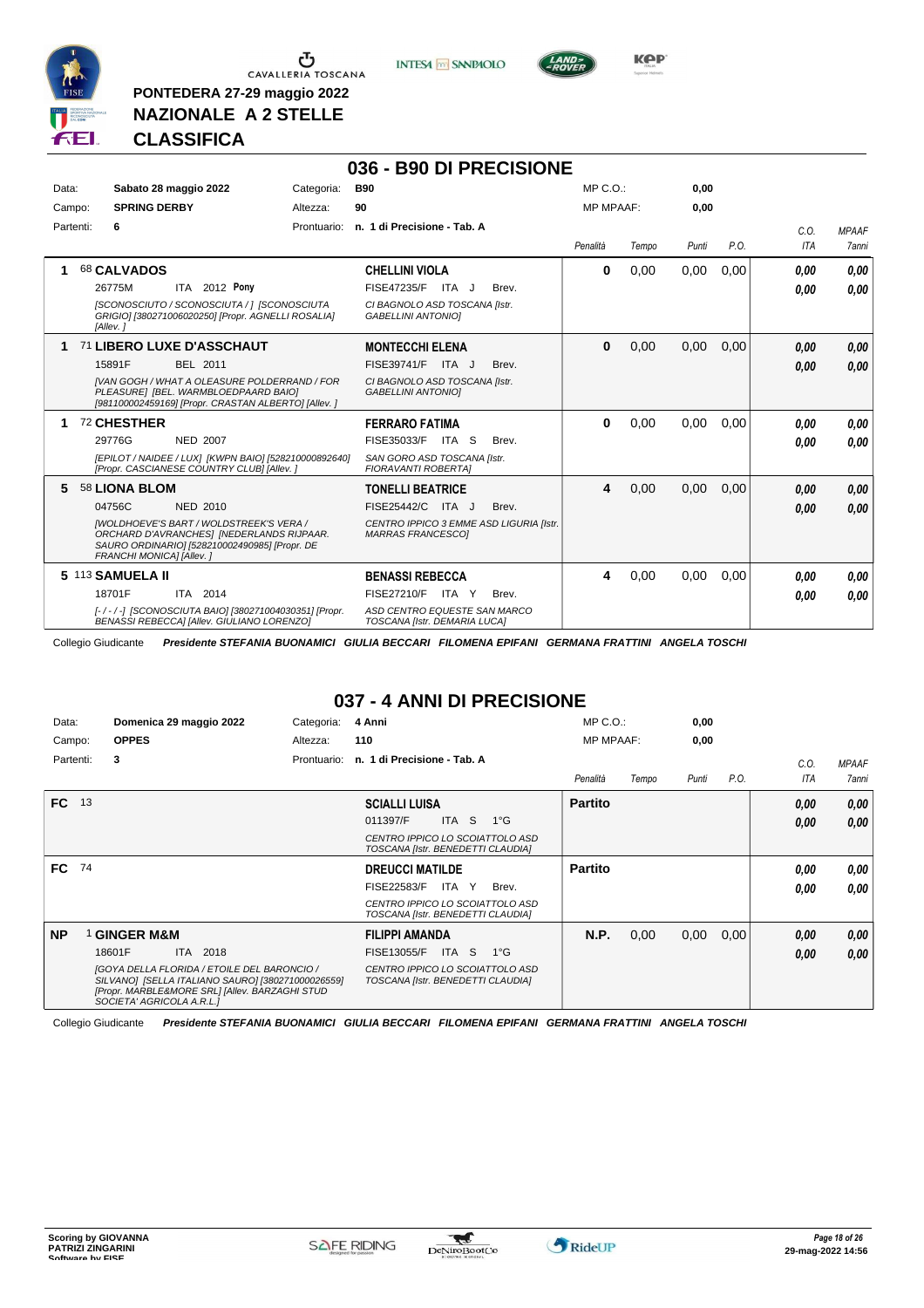

**PONTEDERA 27-29 maggio 2022 NAZIONALE A 2 STELLE**

**INTESA** M SANPAOLO

**036 - B90 DI PRECISIONE**



**Kep** 

# **CLASSIFICA**

| Data:<br>Campo: | Sabato 28 maggio 2022<br><b>SPRING DERBY</b>                                                                                                                                                                    | <b>B90</b><br>Categoria:<br>90<br>Altezza:                                                                                      | $MP C. O.$ :<br><b>MP MPAAF:</b> |       | 0.00<br>0.00 |      |                    |                              |
|-----------------|-----------------------------------------------------------------------------------------------------------------------------------------------------------------------------------------------------------------|---------------------------------------------------------------------------------------------------------------------------------|----------------------------------|-------|--------------|------|--------------------|------------------------------|
| Partenti:       | 6                                                                                                                                                                                                               | Prontuario: n. 1 di Precisione - Tab. A                                                                                         | Penalità                         | Tempo | Punti        | P.O. | C.0.<br><b>ITA</b> | <b>MPAAF</b><br><b>7anni</b> |
|                 | 68 CALVADOS<br>ITA 2012 Pony<br>26775M<br>ISCONOSCIUTO / SCONOSCIUTA /   JSCONOSCIUTA<br>GRIGIO] [380271006020250] [Propr. AGNELLI ROSALIA]<br>[Allev.]                                                         | <b>CHELLINI VIOLA</b><br>FISE47235/F ITA J<br>Brev.<br>CI BAGNOLO ASD TOSCANA [Istr.<br><b>GABELLINI ANTONIOI</b>               | $\bf{0}$                         | 0,00  | 0,00         | 0.00 | 0.00<br>0.00       | 0.00<br>0,00                 |
| 1               | 71 LIBERO LUXE D'ASSCHAUT<br>15891F<br>BEL 2011<br><b>IVAN GOGH / WHAT A OLEASURE POLDERRAND / FOR</b><br>PLEASURE] [BEL. WARMBLOEDPAARD BAIO]<br>[981100002459169] [Propr. CRASTAN ALBERTO] [Allev. ]          | <b>MONTECCHI ELENA</b><br>FISE39741/F<br>ITA J<br>Brev.<br>CI BAGNOLO ASD TOSCANA [Istr.<br><b>GABELLINI ANTONIOI</b>           | $\bf{0}$                         | 0,00  | 0,00         | 0,00 | 0,00<br>0,00       | 0.00<br>0,00                 |
| 1               | 72 CHESTHER<br>29776G<br><b>NED 2007</b><br>[EPILOT / NAIDEE / LUX] [KWPN BAIO] [528210000892640]<br>[Propr. CASCIANESE COUNTRY CLUB] [Allev. ]                                                                 | <b>FERRARO FATIMA</b><br>FISE35033/F ITA S<br>Brev.<br>SAN GORO ASD TOSCANA [Istr.<br><b>FIORAVANTI ROBERTAI</b>                | $\bf{0}$                         | 0.00  | 0.00         | 0.00 | 0.00<br>0.00       | 0.00<br>0.00                 |
| 5.              | 58 LIONA BLOM<br>04756C<br>NED 2010<br><b>IWOLDHOEVE'S BART / WOLDSTREEK'S VERA /</b><br>ORCHARD D'AVRANCHES] [NEDERLANDS RIJPAAR.<br>SAURO ORDINARIO] [528210002490985] [Propr. DE<br>FRANCHI MONICA] [Allev.] | <b>TONELLI BEATRICE</b><br>FISE25442/C<br>ITA J<br>Brev.<br>CENTRO IPPICO 3 EMME ASD LIGURIA [Istr.<br><b>MARRAS FRANCESCOI</b> | 4                                | 0,00  | 0.00         | 0.00 | 0,00<br>0,00       | 0,00<br>0.00                 |
|                 | 5 113 SAMUELA II<br>18701F<br>ITA 2014<br>[-/-/-] [SCONOSCIUTA BAIO] [380271004030351] [Propr.<br>BENASSI REBECCAI [Allev. GIULIANO LORENZO]                                                                    | <b>BENASSI REBECCA</b><br><b>FISE27210/F</b><br>ITA Y<br>Brev.<br>ASD CENTRO EQUESTE SAN MARCO<br>TOSCANA [Istr. DEMARIA LUCA]  | 4                                | 0,00  | 0,00         | 0.00 | 0.00<br>0.00       | 0.00<br>0.00                 |

Collegio Giudicante *Presidente STEFANIA BUONAMICI GIULIA BECCARI FILOMENA EPIFANI GERMANA FRATTINI ANGELA TOSCHI*

# **037 - 4 ANNI DI PRECISIONE**

| Data:     |    | Domenica 29 maggio 2022                                                                                                                                                                | Categoria:  | 4 Anni                                                               | $MP C. O.$ :     |       | 0,00  |      |      |              |
|-----------|----|----------------------------------------------------------------------------------------------------------------------------------------------------------------------------------------|-------------|----------------------------------------------------------------------|------------------|-------|-------|------|------|--------------|
| Campo:    |    | <b>OPPES</b>                                                                                                                                                                           | Altezza:    | 110                                                                  | <b>MP MPAAF:</b> |       | 0,00  |      |      |              |
| Partenti: |    | 3                                                                                                                                                                                      | Prontuario: | n. 1 di Precisione - Tab. A                                          |                  |       |       |      | C.O. | <b>MPAAF</b> |
|           |    |                                                                                                                                                                                        |             |                                                                      | Penalità         | Tempo | Punti | P.O. | ITA  | <b>7anni</b> |
| <b>FC</b> | 13 |                                                                                                                                                                                        |             | <b>SCIALLI LUISA</b>                                                 | <b>Partito</b>   |       |       |      | 0,00 | 0,00         |
|           |    |                                                                                                                                                                                        |             | 011397/F<br>ITA S<br>$1^{\circ}$ G                                   |                  |       |       |      | 0,00 | 0.00         |
|           |    |                                                                                                                                                                                        |             | CENTRO IPPICO LO SCOIATTOLO ASD<br>TOSCANA [Istr. BENEDETTI CLAUDIA] |                  |       |       |      |      |              |
| FC.       | 74 |                                                                                                                                                                                        |             | <b>DREUCCI MATILDE</b>                                               | <b>Partito</b>   |       |       |      | 0.00 | 0,00         |
|           |    |                                                                                                                                                                                        |             | <b>FISE22583/F</b><br>ITA Y<br>Brev.                                 |                  |       |       |      | 0.00 | 0.00         |
|           |    |                                                                                                                                                                                        |             | CENTRO IPPICO LO SCOIATTOLO ASD<br>TOSCANA [Istr. BENEDETTI CLAUDIA] |                  |       |       |      |      |              |
| <b>NP</b> |    | <b>GINGER M&amp;M</b>                                                                                                                                                                  |             | <b>FILIPPI AMANDA</b>                                                | N.P.             | 0,00  | 0,00  | 0,00 | 0,00 | 0,00         |
|           |    | 18601F<br>ITA 2018                                                                                                                                                                     |             | FISE13055/F<br>ITA S<br>1°G                                          |                  |       |       |      | 0,00 | 0,00         |
|           |    | <b>[GOYA DELLA FLORIDA / ETOILE DEL BARONCIO /</b><br>SILVANO] [SELLA ITALIANO SAURO] [380271000026559]<br>[Propr. MARBLE&MORE SRL] [Allev. BARZAGHI STUD<br>SOCIETA' AGRICOLA A.R.L.1 |             | CENTRO IPPICO LO SCOIATTOLO ASD<br>TOSCANA [Istr. BENEDETTI CLAUDIA] |                  |       |       |      |      |              |

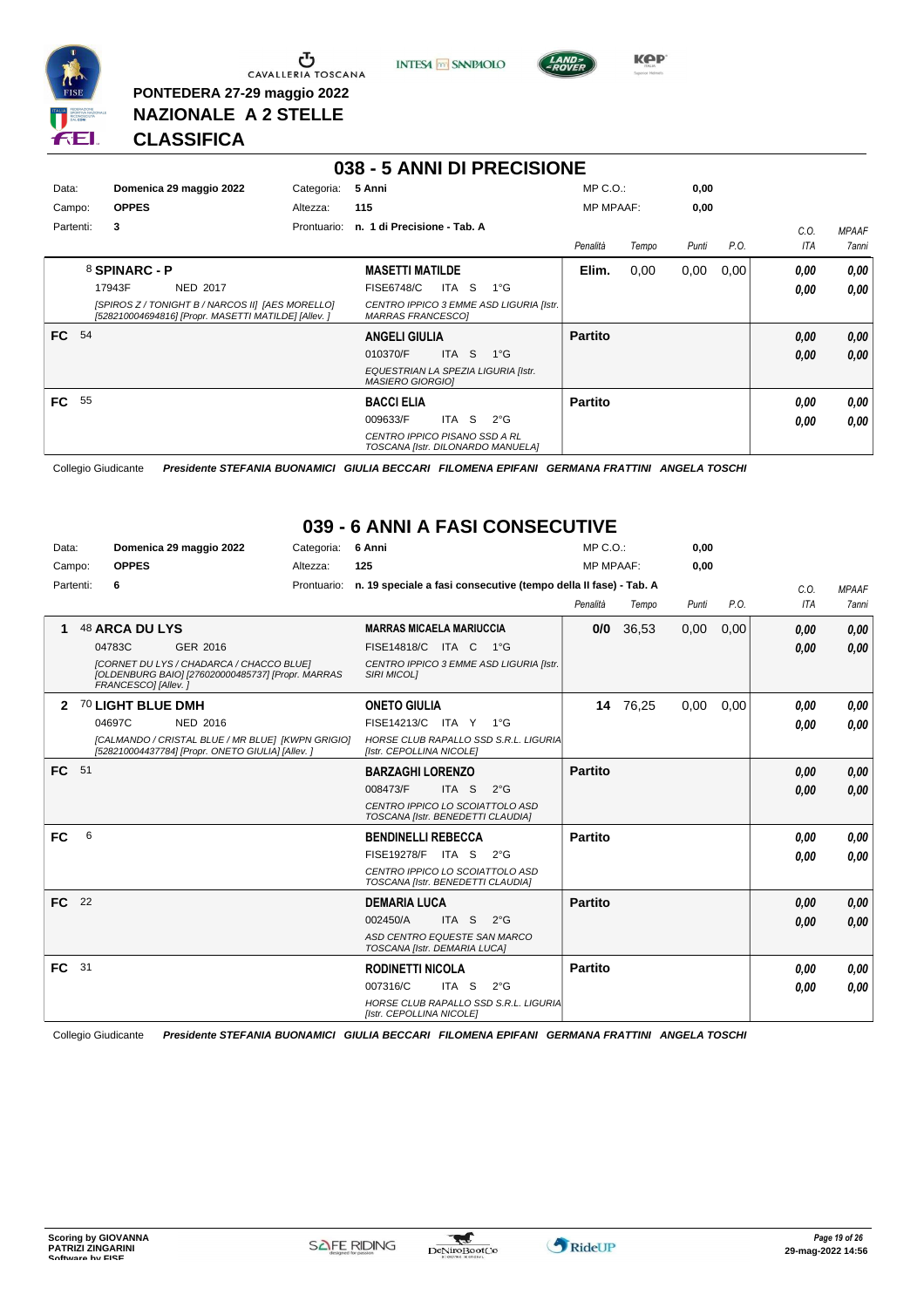

**PONTEDERA 27-29 maggio 2022 NAZIONALE A 2 STELLE**

**INTESA** M SANPAOLO



**Kep** 

#### **CLASSIFICA**

|           |               |                                                                                                         |             | 038 - 5 ANNI DI PRECISIONE                                         |       |                                         |                  |       |       |      |            |              |
|-----------|---------------|---------------------------------------------------------------------------------------------------------|-------------|--------------------------------------------------------------------|-------|-----------------------------------------|------------------|-------|-------|------|------------|--------------|
| Data:     |               | Domenica 29 maggio 2022                                                                                 | Categoria:  | 5 Anni                                                             |       |                                         | $MP C. O.$ :     |       | 0,00  |      |            |              |
| Campo:    | <b>OPPES</b>  |                                                                                                         | Altezza:    | 115                                                                |       |                                         | <b>MP MPAAF:</b> |       | 0,00  |      |            |              |
| Partenti: | 3             |                                                                                                         | Prontuario: | n. 1 di Precisione - Tab. A                                        |       |                                         |                  |       |       |      | C.O.       | <b>MPAAF</b> |
|           |               |                                                                                                         |             |                                                                    |       |                                         | Penalità         | Tempo | Punti | P.O. | <b>ITA</b> | <b>7anni</b> |
|           | 8 SPINARC - P |                                                                                                         |             | <b>MASETTI MATILDE</b>                                             |       |                                         | Elim.            | 0,00  | 0,00  | 0,00 | 0.00       | 0,00         |
|           | 17943F        | <b>NED 2017</b>                                                                                         |             | <b>FISE6748/C</b>                                                  | ITA S | $1^{\circ}G$                            |                  |       |       |      | 0.00       | 0.00         |
|           |               | [SPIROS Z / TONIGHT B / NARCOS II] [AES MORELLO]<br>[528210004694816] [Propr. MASETTI MATILDE] [Allev.] |             | <b>MARRAS FRANCESCOI</b>                                           |       | CENTRO IPPICO 3 EMME ASD LIGURIA [Istr. |                  |       |       |      |            |              |
| FC.       | 54            |                                                                                                         |             | <b>ANGELI GIULIA</b>                                               |       |                                         | <b>Partito</b>   |       |       |      | 0.00       | 0,00         |
|           |               |                                                                                                         |             | 010370/F                                                           | ITA S | $1^{\circ}$ G                           |                  |       |       |      | 0.00       | 0,00         |
|           |               |                                                                                                         |             | EQUESTRIAN LA SPEZIA LIGURIA [Istr.<br><b>MASIERO GIORGIOI</b>     |       |                                         |                  |       |       |      |            |              |
| FC 55     |               |                                                                                                         |             | <b>BACCI ELIA</b>                                                  |       |                                         | <b>Partito</b>   |       |       |      | 0.00       | 0,00         |
|           |               |                                                                                                         |             | 009633/F                                                           | ITA S | $2^{\circ}G$                            |                  |       |       |      | 0.00       | 0.00         |
|           |               |                                                                                                         |             | CENTRO IPPICO PISANO SSD A RL<br>TOSCANA [Istr. DILONARDO MANUELA] |       |                                         |                  |       |       |      |            |              |

Collegio Giudicante *Presidente STEFANIA BUONAMICI GIULIA BECCARI FILOMENA EPIFANI GERMANA FRATTINI ANGELA TOSCHI*

#### **039 - 6 ANNI A FASI CONSECUTIVE**

| Data:     |      | Domenica 29 maggio 2022                                                                                              | Categoria:  | 6 Anni                                                               | $MP C. O.$ :     |          | 0,00  |      |            |              |
|-----------|------|----------------------------------------------------------------------------------------------------------------------|-------------|----------------------------------------------------------------------|------------------|----------|-------|------|------------|--------------|
| Campo:    |      | <b>OPPES</b>                                                                                                         | Altezza:    | 125                                                                  | <b>MP MPAAF:</b> |          | 0,00  |      |            |              |
| Partenti: |      | 6                                                                                                                    | Prontuario: | n. 19 speciale a fasi consecutive (tempo della II fase) - Tab. A     |                  |          |       |      | C.O.       | <b>MPAAF</b> |
|           |      |                                                                                                                      |             |                                                                      | Penalità         | Tempo    | Punti | P.O. | <b>ITA</b> | 7anni        |
|           |      | <b>48 ARCA DU LYS</b>                                                                                                |             | <b>MARRAS MICAELA MARIUCCIA</b>                                      | 0/0              | 36,53    | 0,00  | 0,00 | 0,00       | 0,00         |
|           |      | 04783C<br>GER 2016                                                                                                   |             | <b>FISE14818/C</b><br>ITA C<br>− 1°G                                 |                  |          |       |      | 0,00       | 0,00         |
|           |      | [CORNET DU LYS / CHADARCA / CHACCO BLUE]<br>[OLDENBURG BAIO] [276020000485737] [Propr. MARRAS<br>FRANCESCO1 [Allev.] |             | CENTRO IPPICO 3 EMME ASD LIGURIA [Istr.<br><b>SIRI MICOLI</b>        |                  |          |       |      |            |              |
| 2         |      | 70 LIGHT BLUE DMH                                                                                                    |             | <b>ONETO GIULIA</b>                                                  |                  | 14 76,25 | 0,00  | 0,00 | 0.00       | 0.00         |
|           |      | 04697C<br><b>NED 2016</b>                                                                                            |             | FISE14213/C ITA Y 1°G                                                |                  |          |       |      | 0,00       | 0.00         |
|           |      | [CALMANDO / CRISTAL BLUE / MR BLUE] [KWPN GRIGIO]<br>[528210004437784] [Propr. ONETO GIULIA] [Allev. ]               |             | HORSE CLUB RAPALLO SSD S.R.L. LIGURIA<br>[Istr. CEPOLLINA NICOLE]    |                  |          |       |      |            |              |
| FC 51     |      |                                                                                                                      |             | <b>BARZAGHI LORENZO</b>                                              | <b>Partito</b>   |          |       |      | 0,00       | 0,00         |
|           |      |                                                                                                                      |             | 008473/F<br>ITA S<br>$2^{\circ}$ G                                   |                  |          |       |      | 0,00       | 0.00         |
|           |      |                                                                                                                      |             | CENTRO IPPICO LO SCOIATTOLO ASD<br>TOSCANA [Istr. BENEDETTI CLAUDIA] |                  |          |       |      |            |              |
| FC        | 6    |                                                                                                                      |             | <b>BENDINELLI REBECCA</b>                                            | <b>Partito</b>   |          |       |      | 0.00       | 0.00         |
|           |      |                                                                                                                      |             | FISE19278/F ITA S<br>$2^{\circ}$ G                                   |                  |          |       |      | 0.00       | 0.00         |
|           |      |                                                                                                                      |             | CENTRO IPPICO LO SCOIATTOLO ASD<br>TOSCANA [Istr. BENEDETTI CLAUDIA] |                  |          |       |      |            |              |
| FC.       | 22   |                                                                                                                      |             | <b>DEMARIA LUCA</b>                                                  | <b>Partito</b>   |          |       |      | 0,00       | 0,00         |
|           |      |                                                                                                                      |             | 002450/A<br>ITA S<br>$2^{\circ}$ G                                   |                  |          |       |      | 0.00       | 0.00         |
|           |      |                                                                                                                      |             | ASD CENTRO EQUESTE SAN MARCO<br>TOSCANA [Istr. DEMARIA LUCA]         |                  |          |       |      |            |              |
| FC.       | - 31 |                                                                                                                      |             | <b>RODINETTI NICOLA</b>                                              | <b>Partito</b>   |          |       |      | 0.00       | 0.00         |
|           |      |                                                                                                                      |             | 007316/C<br>ITA S<br>$2^{\circ}$ G                                   |                  |          |       |      | 0,00       | 0.00         |
|           |      |                                                                                                                      |             | HORSE CLUB RAPALLO SSD S.R.L. LIGURIA<br>[Istr. CEPOLLINA NICOLE]    |                  |          |       |      |            |              |

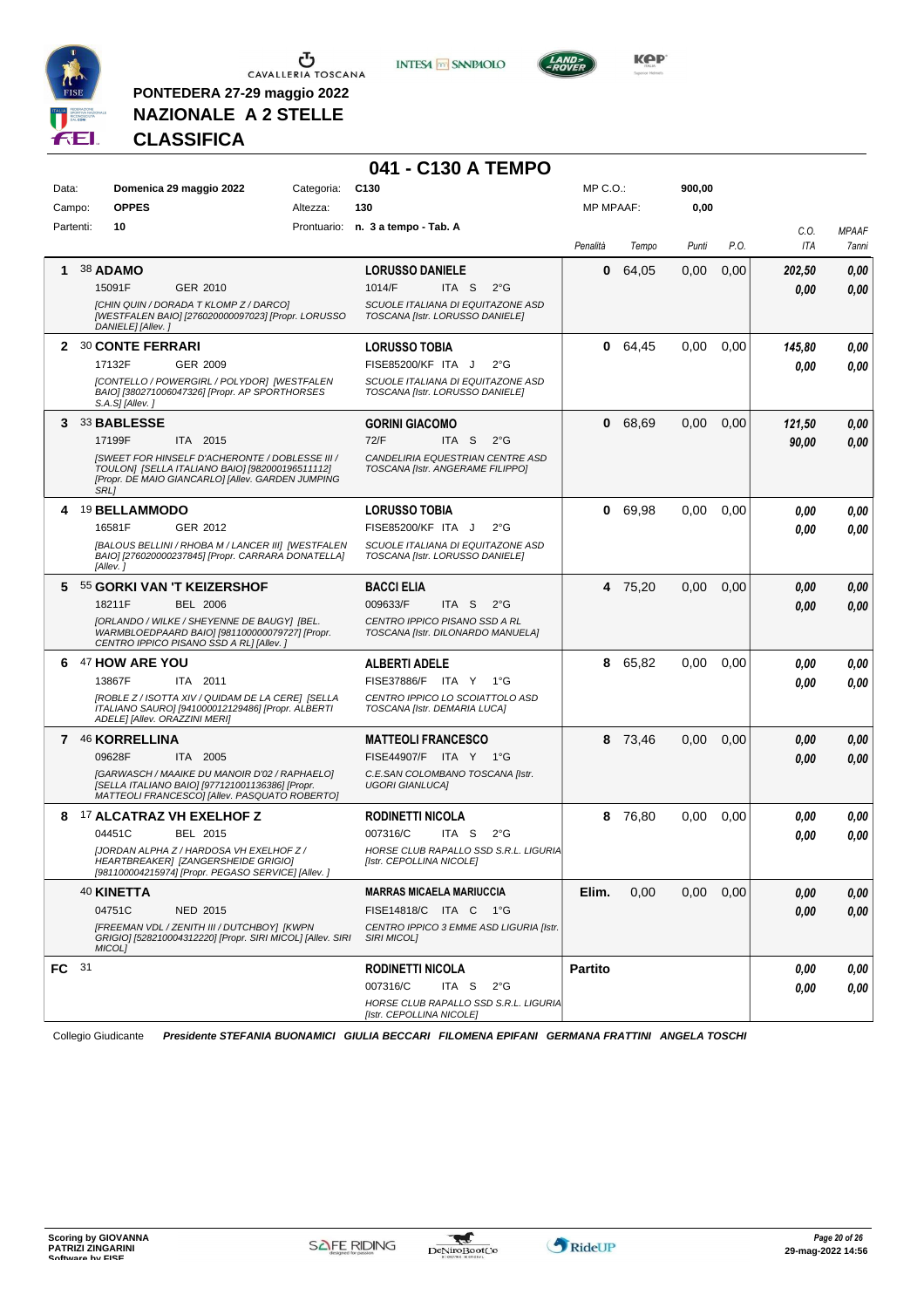

**PONTEDERA 27-29 maggio 2022 NAZIONALE A 2 STELLE**



**041 - C130 A TEMPO**



**Kep** 

#### **CLASSIFICA**

| Data:            | Domenica 29 maggio 2022                                                                                                                                                | Categoria: | C <sub>130</sub>                                                     | MP C.O.:         |         | 900,00 |      |        |              |
|------------------|------------------------------------------------------------------------------------------------------------------------------------------------------------------------|------------|----------------------------------------------------------------------|------------------|---------|--------|------|--------|--------------|
| Campo:           | <b>OPPES</b>                                                                                                                                                           | Altezza:   | 130                                                                  | <b>MP MPAAF:</b> |         | 0,00   |      |        |              |
| Partenti:        | 10                                                                                                                                                                     |            | Prontuario: n. 3 a tempo - Tab. A                                    |                  |         |        |      | C.O.   | <b>MPAAF</b> |
|                  |                                                                                                                                                                        |            |                                                                      | Penalità         | Tempo   | Punti  | P.O. | ITA    | 7anni        |
| 1                | <b>38 ADAMO</b>                                                                                                                                                        |            | <b>LORUSSO DANIELE</b>                                               | 0                | 64,05   | 0,00   | 0,00 | 202,50 | 0,00         |
|                  | 15091F<br>GER 2010                                                                                                                                                     |            | 1014/F<br>ITA S<br>$2^{\circ}$ G                                     |                  |         |        |      | 0.00   | 0.00         |
|                  | [CHIN QUIN / DORADA T KLOMP Z / DARCO]<br>[WESTFALEN BAIO] [276020000097023] [Propr. LORUSSO<br>DANIELE] [Allev.]                                                      |            | SCUOLE ITALIANA DI EQUITAZONE ASD<br>TOSCANA [Istr. LORUSSO DANIELE] |                  |         |        |      |        |              |
|                  | 2 30 CONTE FERRARI                                                                                                                                                     |            | <b>LORUSSO TOBIA</b>                                                 | 0                | 64,45   | 0,00   | 0,00 | 145,80 | 0,00         |
|                  | 17132F<br>GER 2009                                                                                                                                                     |            | FISE85200/KF ITA J<br>$2^{\circ}$ G                                  |                  |         |        |      | 0.00   | 0,00         |
|                  | [CONTELLO / POWERGIRL / POLYDOR] [WESTFALEN<br>BAIO] [380271006047326] [Propr. AP SPORTHORSES<br>S.A.S] [Allev.]                                                       |            | SCUOLE ITALIANA DI EQUITAZONE ASD<br>TOSCANA [Istr. LORUSSO DANIELE] |                  |         |        |      |        |              |
|                  | 3 33 BABLESSE                                                                                                                                                          |            | <b>GORINI GIACOMO</b>                                                | 0                | 68,69   | 0,00   | 0,00 | 121,50 | 0,00         |
|                  | 17199F<br>ITA 2015                                                                                                                                                     |            | 72/F<br>ITA S<br>$2^{\circ}$ G                                       |                  |         |        |      | 90,00  | 0,00         |
|                  | ISWEET FOR HINSELF D'ACHERONTE / DOBLESSE III /<br>TOULON] [SELLA ITALIANO BAIO] [982000196511112]<br>[Propr. DE MAIO GIANCARLO] [Allev. GARDEN JUMPING<br><b>SRL1</b> |            | CANDELIRIA EQUESTRIAN CENTRE ASD<br>TOSCANA [Istr. ANGERAME FILIPPO] |                  |         |        |      |        |              |
|                  | 4 19 BELLAMMODO                                                                                                                                                        |            | <b>LORUSSO TOBIA</b>                                                 | 0                | 69,98   | 0,00   | 0,00 | 0.00   | 0,00         |
|                  | 16581F<br>GER 2012                                                                                                                                                     |            | FISE85200/KF ITA J<br>$2^{\circ}$ G                                  |                  |         |        |      | 0.00   | 0.00         |
|                  | [BALOUS BELLINI / RHOBA M / LANCER III] [WESTFALEN<br>BAIO] [276020000237845] [Propr. CARRARA DONATELLA]<br>[Allev.]                                                   |            | SCUOLE ITALIANA DI EQUITAZONE ASD<br>TOSCANA [Istr. LORUSSO DANIELE] |                  |         |        |      |        |              |
|                  | 5 55 GORKI VAN 'T KEIZERSHOF                                                                                                                                           |            | <b>BACCI ELIA</b>                                                    |                  | 4 75,20 | 0,00   | 0,00 | 0,00   | 0,00         |
|                  | <b>BEL 2006</b><br>18211F                                                                                                                                              |            | 009633/F<br>ITA S<br>$2^{\circ}$ G                                   |                  |         |        |      | 0.00   | 0.00         |
|                  | [ORLANDO / WILKE / SHEYENNE DE BAUGY] [BEL.<br>WARMBLOEDPAARD BAIO] [981100000079727] [Propr.<br>CENTRO IPPICO PISANO SSD A RL] [Allev.]                               |            | CENTRO IPPICO PISANO SSD A RL<br>TOSCANA [Istr. DILONARDO MANUELA]   |                  |         |        |      |        |              |
| 6                | <sup>47</sup> HOW ARE YOU                                                                                                                                              |            | <b>ALBERTI ADELE</b>                                                 | 8                | 65,82   | 0,00   | 0,00 | 0.00   | 0,00         |
|                  | 13867F<br>ITA 2011                                                                                                                                                     |            | FISE37886/F ITA Y 1°G                                                |                  |         |        |      | 0.00   | 0,00         |
|                  | [ROBLE Z / ISOTTA XIV / QUIDAM DE LA CERE] [SELLA<br>ITALIANO SAURO] [941000012129486] [Propr. ALBERTI<br>ADELE] [Allev. ORAZZINI MERI]                                |            | CENTRO IPPICO LO SCOIATTOLO ASD<br>TOSCANA [Istr. DEMARIA LUCA]      |                  |         |        |      |        |              |
|                  | 7 46 KORRELLINA                                                                                                                                                        |            | <b>MATTEOLI FRANCESCO</b>                                            | 8                | 73,46   | 0,00   | 0,00 | 0.00   | 0,00         |
|                  | 09628F<br>ITA 2005                                                                                                                                                     |            | FISE44907/F ITA Y 1°G                                                |                  |         |        |      | 0.00   | 0,00         |
|                  | [GARWASCH / MAAIKE DU MANOIR D'02 / RAPHAELO]<br>[SELLA ITALIANO BAIO] [977121001136386] [Propr.<br>MATTEOLI FRANCESCO] [Allev. PASQUATO ROBERTO]                      |            | C.E.SAN COLOMBANO TOSCANA [Istr.<br><b>UGORI GIANLUCAI</b>           |                  |         |        |      |        |              |
|                  | 8 17 ALCATRAZ VH EXELHOF Z                                                                                                                                             |            | <b>RODINETTI NICOLA</b>                                              | 8                | 76,80   | 0,00   | 0,00 | 0,00   | 0,00         |
|                  | 04451C<br>BEL 2015                                                                                                                                                     |            | 007316/C<br>ITA S<br>$2^{\circ}G$                                    |                  |         |        |      | 0.00   | 0.00         |
|                  | [JORDAN ALPHA Z / HARDOSA VH EXELHOF Z /<br>HEARTBREAKER  [ZANGERSHEIDE GRIGIO]<br>[981100004215974] [Propr. PEGASO SERVICE] [Allev. ]                                 |            | HORSE CLUB RAPALLO SSD S.R.L. LIGURIA<br>[Istr. CEPOLLINA NICOLE]    |                  |         |        |      |        |              |
|                  | 40 KINETTA                                                                                                                                                             |            | <b>MARRAS MICAELA MARIUCCIA</b>                                      | Elim.            | 0,00    | 0,00   | 0,00 | 0,00   | 0,00         |
|                  | 04751C<br>NED 2015                                                                                                                                                     |            | FISE14818/C ITA C 1°G                                                |                  |         |        |      | 0,00   | 0,00         |
|                  | [FREEMAN VDL / ZENITH III / DUTCHBOY] [KWPN<br>GRIGIO] [528210004312220] [Propr. SIRI MICOL] [Allev. SIRI<br><b>MICOLI</b>                                             |            | CENTRO IPPICO 3 EMME ASD LIGURIA [Istr.<br><b>SIRI MICOLI</b>        |                  |         |        |      |        |              |
| FC <sup>31</sup> |                                                                                                                                                                        |            | <b>RODINETTI NICOLA</b>                                              | <b>Partito</b>   |         |        |      | 0,00   | 0,00         |
|                  |                                                                                                                                                                        |            | 007316/C<br>ITA S<br>$2^{\circ}$ G                                   |                  |         |        |      | 0,00   | 0,00         |
|                  |                                                                                                                                                                        |            | HORSE CLUB RAPALLO SSD S.R.L. LIGURIA<br>[Istr. CEPOLLINA NICOLE]    |                  |         |        |      |        |              |

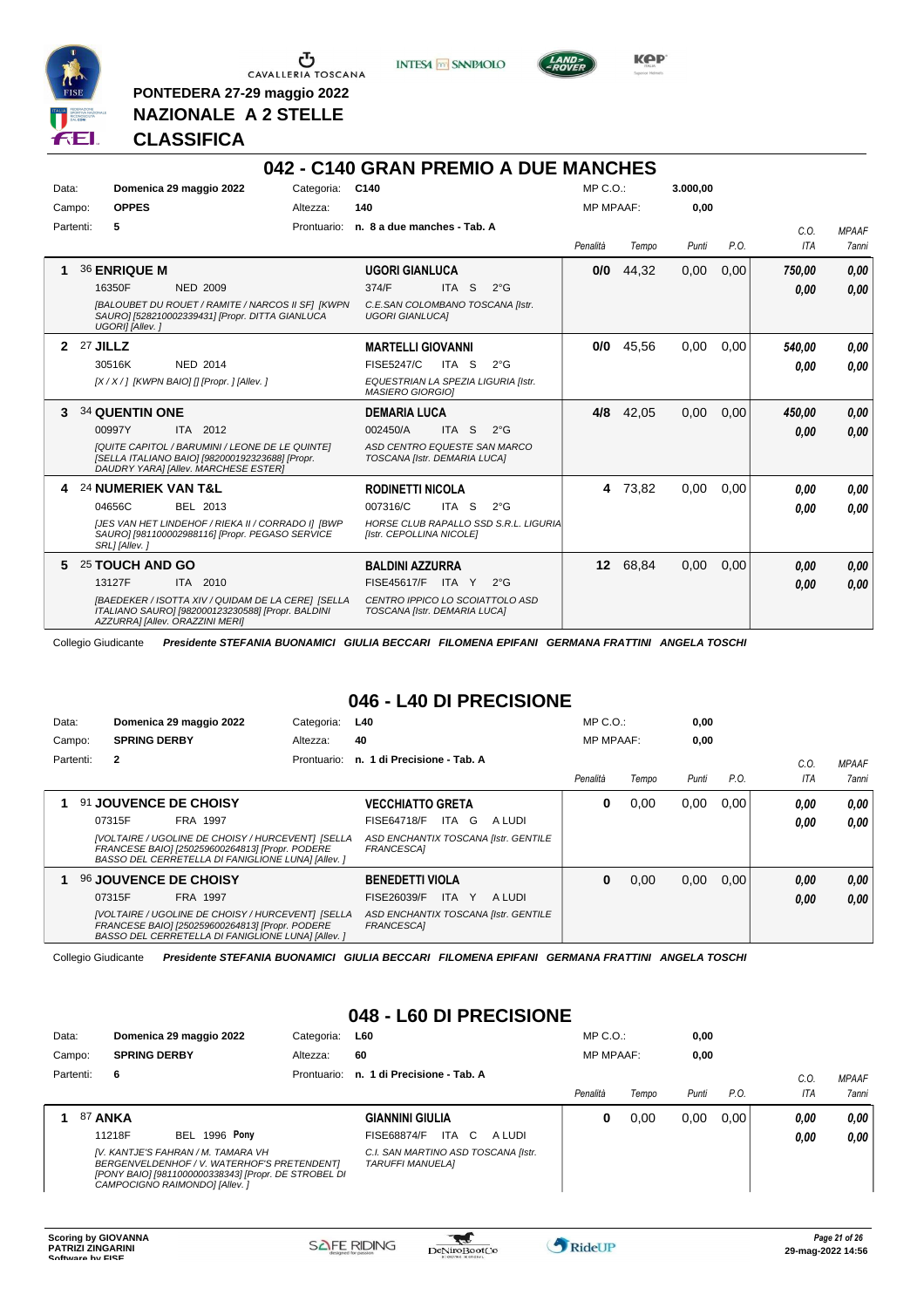

**PONTEDERA 27-29 maggio 2022 NAZIONALE A 2 STELLE**

**INTESA** M SANPAOLO



**KPP** 

#### **CLASSIFICA**

|           |                                                                                                                                                   |             | 042 - C140 GRAN PREMIO A DUE MANCHES                              |       |               |                  |          |          |      |        |              |
|-----------|---------------------------------------------------------------------------------------------------------------------------------------------------|-------------|-------------------------------------------------------------------|-------|---------------|------------------|----------|----------|------|--------|--------------|
| Data:     | Domenica 29 maggio 2022                                                                                                                           | Categoria:  | C140                                                              |       |               | $MP C. O.$ :     |          | 3.000,00 |      |        |              |
| Campo:    | <b>OPPES</b>                                                                                                                                      | Altezza:    | 140                                                               |       |               | <b>MP MPAAF:</b> |          | 0.00     |      |        |              |
| Partenti: | 5                                                                                                                                                 | Prontuario: | n. 8 a due manches - Tab. A                                       |       |               |                  |          |          |      | C.0.   | <b>MPAAF</b> |
|           |                                                                                                                                                   |             |                                                                   |       |               | Penalità         | Tempo    | Punti    | P.O. | ITA    | <b>7anni</b> |
|           | <b>36 ENRIQUE M</b>                                                                                                                               |             | <b>UGORI GIANLUCA</b>                                             |       |               | 0/0              | 44,32    | 0,00     | 0,00 | 750.00 | 0,00         |
|           | 16350F<br><b>NED 2009</b>                                                                                                                         |             | 374/F                                                             | ITA S | $2^{\circ}$ G |                  |          |          |      | 0,00   | 0.00         |
|           | [BALOUBET DU ROUET / RAMITE / NARCOS II SF] [KWPN<br>SAURO] [528210002339431] [Propr. DITTA GIANLUCA<br>UGORI] [Allev.]                           |             | C.E.SAN COLOMBANO TOSCANA [Istr.<br><b>UGORI GIANLUCAI</b>        |       |               |                  |          |          |      |        |              |
|           | $2$ 27 JILLZ                                                                                                                                      |             | <b>MARTELLI GIOVANNI</b>                                          |       |               | 0/0              | 45,56    | 0,00     | 0.00 | 540.00 | 0.00         |
|           | NED 2014<br>30516K                                                                                                                                |             | <b>FISE5247/C</b>                                                 | ITA S | $2^{\circ}$ G |                  |          |          |      | 0.00   | 0.00         |
|           | [X / X / ] [KWPN BAIO] [] [Propr. ] [Allev. ]                                                                                                     |             | EQUESTRIAN LA SPEZIA LIGURIA [Istr.<br><b>MASIERO GIORGIO]</b>    |       |               |                  |          |          |      |        |              |
| 3         | <b>34 QUENTIN ONE</b>                                                                                                                             |             | <b>DEMARIA LUCA</b>                                               |       |               | 4/8              | 42,05    | 0.00     | 0.00 | 450,00 | 0.00         |
|           | 00997Y<br>ITA 2012                                                                                                                                |             | 002450/A                                                          | ITA S | $2^{\circ}$ G |                  |          |          |      | 0.00   | 0.00         |
|           | <b>IQUITE CAPITOL / BARUMINI / LEONE DE LE QUINTEI</b><br>[SELLA ITALIANO BAIO] [982000192323688] [Propr.<br>DAUDRY YARA] [Allev. MARCHESE ESTER] |             | ASD CENTRO EQUESTE SAN MARCO<br>TOSCANA [Istr. DEMARIA LUCA]      |       |               |                  |          |          |      |        |              |
| 4         | <b>24 NUMERIEK VAN T&amp;L</b>                                                                                                                    |             | <b>RODINETTI NICOLA</b>                                           |       |               | 4                | 73,82    | 0.00     | 0.00 | 0.00   | 0.00         |
|           | 04656C<br>BEL 2013                                                                                                                                |             | 007316/C                                                          | ITA S | $2^{\circ}$ G |                  |          |          |      | 0.00   | 0,00         |
|           | IJES VAN HET LINDEHOF / RIEKA II / CORRADO II IBWP<br>SAURO] [981100002988116] [Propr. PEGASO SERVICE<br>SRL] [Allev.]                            |             | HORSE CLUB RAPALLO SSD S.R.L. LIGURIA<br>[Istr. CEPOLLINA NICOLE] |       |               |                  |          |          |      |        |              |
| 5.        | 25 TOUCH AND GO                                                                                                                                   |             | <b>BALDINI AZZURRA</b>                                            |       |               |                  | 12 68,84 | 0,00     | 0,00 | 0,00   | 0,00         |
|           | ITA 2010<br>13127F                                                                                                                                |             | FISE45617/F ITA Y                                                 |       | $2^{\circ}G$  |                  |          |          |      | 0,00   | 0,00         |
|           | [BAEDEKER / ISOTTA XIV / QUIDAM DE LA CERE] [SELLA<br>ITALIANO SAURO] [982000123230588] [Propr. BALDINI<br>AZZURRA] [Allev. ORAZZINI MERI]        |             | CENTRO IPPICO LO SCOIATTOLO ASD<br>TOSCANA [Istr. DEMARIA LUCA]   |       |               |                  |          |          |      |        |              |

Collegio Giudicante *Presidente STEFANIA BUONAMICI GIULIA BECCARI FILOMENA EPIFANI GERMANA FRATTINI ANGELA TOSCHI*

# **046 - L40 DI PRECISIONE**

| Data:     |                     | Domenica 29 maggio 2022                                                                                                                                    | Categoria:  | L40                                                | $MP C. O.$ :     |       | 0,00  |      |            |                     |
|-----------|---------------------|------------------------------------------------------------------------------------------------------------------------------------------------------------|-------------|----------------------------------------------------|------------------|-------|-------|------|------------|---------------------|
| Campo:    | <b>SPRING DERBY</b> |                                                                                                                                                            | Altezza:    | 40                                                 | <b>MP MPAAF:</b> |       | 0,00  |      |            |                     |
| Partenti: | $\mathbf{2}$        |                                                                                                                                                            | Prontuario: | n. 1 di Precisione - Tab. A                        |                  |       |       |      | C.0        | <b>MPAAF</b>        |
|           |                     |                                                                                                                                                            |             |                                                    | Penalità         | Tempo | Punti | P.O. | <b>ITA</b> | <i><b>7anni</b></i> |
|           |                     | 91 JOUVENCE DE CHOISY                                                                                                                                      |             | <b>VECCHIATTO GRETA</b>                            | 0                | 0.00  | 0,00  | 0.00 | 0,00       | 0.00                |
|           | 07315F              | <b>FRA 1997</b>                                                                                                                                            |             | ITA G<br>FISE64718/F<br>A LUDI                     |                  |       |       |      | 0,00       | 0.00                |
|           |                     | [VOLTAIRE / UGOLINE DE CHOISY / HURCEVENT] [SELLA<br>FRANCESE BAIO] [250259600264813] [Propr. PODERE<br>BASSO DEL CERRETELLA DI FANIGLIONE LUNA] [Allev. ] |             | ASD ENCHANTIX TOSCANA [Istr. GENTILE<br>FRANCESCA1 |                  |       |       |      |            |                     |
|           |                     | <b>96 JOUVENCE DE CHOISY</b>                                                                                                                               |             | <b>BENEDETTI VIOLA</b>                             | 0                | 0,00  | 0,00  | 0.00 | 0,00       | 0.00                |
|           | 07315F              | FRA 1997                                                                                                                                                   |             | FISE26039/F<br>ITA Y<br>A LUDI                     |                  |       |       |      | 0,00       | 0.00                |
|           |                     | [VOLTAIRE / UGOLINE DE CHOISY / HURCEVENT] [SELLA<br>FRANCESE BAIO] [250259600264813] [Propr. PODERE<br>BASSO DEL CERRETELLA DI FANIGLIONE LUNA] [Allev. ] |             | ASD ENCHANTIX TOSCANA [Istr. GENTILE<br>FRANCESCA1 |                  |       |       |      |            |                     |

Collegio Giudicante *Presidente STEFANIA BUONAMICI GIULIA BECCARI FILOMENA EPIFANI GERMANA FRATTINI ANGELA TOSCHI*

# **048 - L60 DI PRECISIONE**

| Data:     |                |        | Domenica 29 maggio 2022                                                                                                                                                    | Categoria:  | <b>L60</b>                                                     | $MP C. O.$ :     |       | 0,00  |      |      |              |
|-----------|----------------|--------|----------------------------------------------------------------------------------------------------------------------------------------------------------------------------|-------------|----------------------------------------------------------------|------------------|-------|-------|------|------|--------------|
| Campo:    |                |        | <b>SPRING DERBY</b>                                                                                                                                                        | Altezza:    | 60                                                             | <b>MP MPAAF:</b> |       | 0,00  |      |      |              |
| Partenti: |                | 6      |                                                                                                                                                                            | Prontuario: | n. 1 di Precisione - Tab. A                                    |                  |       |       |      | C.O. | <b>MPAAF</b> |
|           |                |        |                                                                                                                                                                            |             |                                                                | Penalità         | Tempo | Punti | P.O. | ITA  | 7anni        |
|           | <b>87 ANKA</b> |        |                                                                                                                                                                            |             | <b>GIANNINI GIULIA</b>                                         | 0                | 0.00  | 0.00  | 0.00 | 0.00 | 0,00         |
|           |                | 11218F | <b>BEL 1996 Pony</b>                                                                                                                                                       |             | ITA C<br>FISE68874/F<br>A LUDI                                 |                  |       |       |      | 0,00 | 0,00         |
|           |                |        | IV. KANTJE'S FAHRAN / M. TAMARA VH<br>BERGENVELDENHOF / V. WATERHOF'S PRETENDENT]<br>[PONY BAIO] [9811000000338343] [Propr. DE STROBEL DI<br>CAMPOCIGNO RAIMONDOI [Allev.] |             | C.I. SAN MARTINO ASD TOSCANA [Istr.<br><b>TARUFFI MANUELAI</b> |                  |       |       |      |      |              |

 $\mathcal{L}$ 

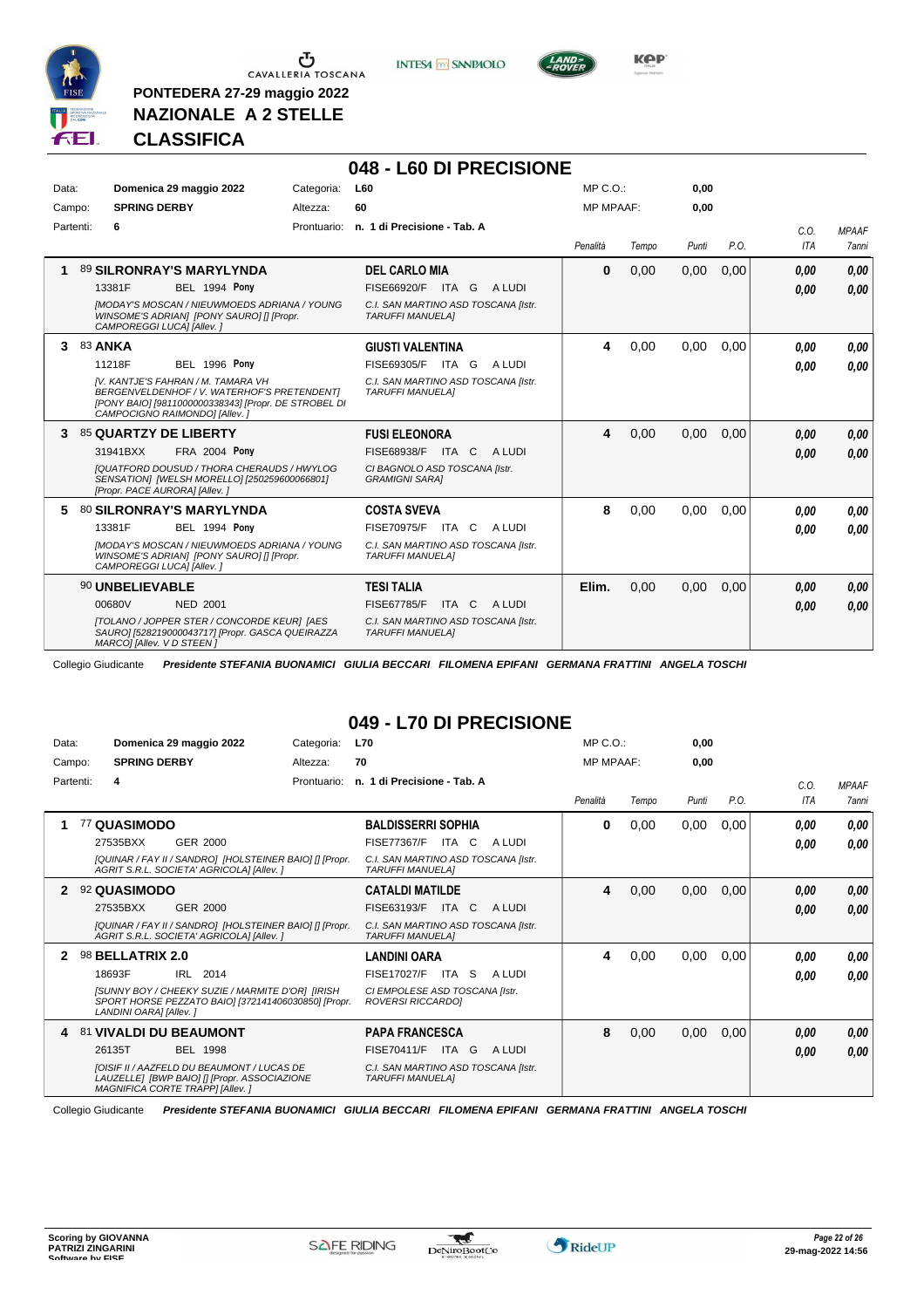

**PONTEDERA 27-29 maggio 2022 NAZIONALE A 2 STELLE**

**INTESA** M SANPAOLO

**048 - L60 DI PRECISIONE**



**Kep** 

# **CLASSIFICA**

| Data:     | Domenica 29 maggio 2022                                                                                                                                                                                                        | Categoria: | L60                                                                                                                          | MP C. O.         |       | 0,00  |      |              |                              |
|-----------|--------------------------------------------------------------------------------------------------------------------------------------------------------------------------------------------------------------------------------|------------|------------------------------------------------------------------------------------------------------------------------------|------------------|-------|-------|------|--------------|------------------------------|
| Campo:    | <b>SPRING DERBY</b>                                                                                                                                                                                                            | Altezza:   | 60                                                                                                                           | <b>MP MPAAF:</b> |       | 0.00  |      |              |                              |
| Partenti: | 6                                                                                                                                                                                                                              |            | Prontuario: n. 1 di Precisione - Tab. A                                                                                      | Penalità         | Tempo | Punti | P.O. | C.O.<br>ITA  | <b>MPAAF</b><br><b>7anni</b> |
|           | 89 SILRONRAY'S MARYLYNDA<br>13381F<br><b>BEL 1994 Pony</b><br><b>IMODAY'S MOSCAN / NIEUWMOEDS ADRIANA / YOUNG</b><br>WINSOME'S ADRIANI [PONY SAURO] [] [Propr.<br>CAMPOREGGI LUCA] [Allev. ]                                   |            | <b>DEL CARLO MIA</b><br>FISE66920/F ITA G ALUDI<br>C.I. SAN MARTINO ASD TOSCANA [Istr.<br><b>TARUFFI MANUELA1</b>            | 0                | 0.00  | 0,00  | 0.00 | 0,00<br>0,00 | 0.00<br>0,00                 |
| 3         | <b>83 ANKA</b><br><b>BEL 1996 Pony</b><br>11218F<br>IV. KANTJE'S FAHRAN / M. TAMARA VH<br>BERGENVELDENHOF / V. WATERHOF'S PRETENDENTI<br>[PONY BAIO] [9811000000338343] [Propr. DE STROBEL DI<br>CAMPOCIGNO RAIMONDO] [Allev.] |            | <b>GIUSTI VALENTINA</b><br>FISE69305/F ITA G<br>A LUDI<br>C.I. SAN MARTINO ASD TOSCANA [Istr.<br><b>TARUFFI MANUELAI</b>     | 4                | 0,00  | 0,00  | 0.00 | 0.00<br>0.00 | 0.00<br>0.00                 |
| 3         | 85 QUARTZY DE LIBERTY<br><b>FRA 2004 Pony</b><br>31941BXX<br><b>IQUATFORD DOUSUD / THORA CHERAUDS / HWYLOG</b><br>SENSATION] [WELSH MORELLO] [250259600066801]<br>[Propr. PACE AURORA] [Allev.]                                |            | <b>FUSI ELEONORA</b><br>FISE68938/F ITA C<br>A LUDI<br>CI BAGNOLO ASD TOSCANA [Istr.<br><b>GRAMIGNI SARAI</b>                | 4                | 0.00  | 0.00  | 0.00 | 0,00<br>0.00 | 0,00<br>0.00                 |
| 5.        | <b>80 SILRONRAY'S MARYLYNDA</b><br><b>BEL 1994 Pony</b><br>13381F<br><b>IMODAY'S MOSCAN / NIEUWMOEDS ADRIANA / YOUNG</b><br>WINSOME'S ADRIANI [PONY SAURO] [] [Propr.<br>CAMPOREGGI LUCA] [Allev.]                             |            | <b>COSTA SVEVA</b><br>FISE70975/F ITA C ALUDI<br>C.I. SAN MARTINO ASD TOSCANA [Istr.<br><b>TARUFFI MANUELAI</b>              | 8                | 0,00  | 0,00  | 0,00 | 0.00<br>0,00 | 0.00<br>0.00                 |
|           | 90 UNBELIEVABLE<br>00680V<br><b>NED 2001</b><br><b>[TOLANO / JOPPER STER / CONCORDE KEUR] [AES</b><br>SAURO] [528219000043717] [Propr. GASCA QUEIRAZZA<br>MARCOI [Allev. V D STEEN ]                                           |            | <b>TESI TALIA</b><br><b>FISE67785/F</b><br>ITA C<br>A LUDI<br>C.I. SAN MARTINO ASD TOSCANA [Istr.<br><b>TARUFFI MANUELAI</b> | Elim.            | 0.00  | 0,00  | 0,00 | 0,00<br>0,00 | 0,00<br>0.00                 |

Collegio Giudicante *Presidente STEFANIA BUONAMICI GIULIA BECCARI FILOMENA EPIFANI GERMANA FRATTINI ANGELA TOSCHI*

#### **049 - L70 DI PRECISIONE**

| Data: | Domenica 29 maggio 2022                                                                                                                                                                      | Categoria:  | <b>L70</b>                                                                                                                           | $MP C. O.$ :     |       | 0,00  |      |              |                       |
|-------|----------------------------------------------------------------------------------------------------------------------------------------------------------------------------------------------|-------------|--------------------------------------------------------------------------------------------------------------------------------------|------------------|-------|-------|------|--------------|-----------------------|
|       | <b>SPRING DERBY</b><br>Campo:                                                                                                                                                                | Altezza:    | 70                                                                                                                                   | <b>MP MPAAF:</b> |       | 0.00  |      |              |                       |
|       | Partenti:<br>4                                                                                                                                                                               | Prontuario: | n. 1 di Precisione - Tab. A                                                                                                          | Penalità         | Tempo | Punti | P.O. | C.0.<br>ITA  | <b>MPAAF</b><br>7anni |
| 1     | 77 QUASIMODO<br>27535BXX<br>GER 2000<br>[QUINAR / FAY II / SANDRO] [HOLSTEINER BAIO] [] [Propr.<br>AGRIT S.R.L. SOCIETA' AGRICOLA] [Allev.]                                                  |             | <b>BALDISSERRI SOPHIA</b><br><b>FISE77367/F</b><br>ITA C<br>A LUDI<br>C.I. SAN MARTINO ASD TOSCANA [Istr.<br><b>TARUFFI MANUELAI</b> | 0                | 0,00  | 0,00  | 0,00 | 0.00<br>0.00 | 0,00<br>0.00          |
| 2     | 92 QUASIMODO<br>27535BXX<br>GER 2000<br>[QUINAR / FAY II / SANDRO] [HOLSTEINER BAIO] [] [Propr.<br>AGRIT S.R.L. SOCIETA' AGRICOLAI [Allev. 1                                                 |             | <b>CATALDI MATILDE</b><br>FISE63193/F<br>ITA C<br>A LUDI<br>C.I. SAN MARTINO ASD TOSCANA [Istr.<br><b>TARUFFI MANUELAI</b>           | 4                | 0,00  | 0,00  | 0,00 | 0,00<br>0,00 | 0,00<br>0,00          |
| 2     | 98 BELLATRIX 2.0<br>18693F<br>IRL 2014<br><b>ISUNNY BOY / CHEEKY SUZIE / MARMITE D'ORI IIRISH</b><br>SPORT HORSE PEZZATO BAIO] [372141406030850] [Propr.<br>LANDINI OARAI [Allev.]           |             | <b>LANDINI OARA</b><br>FISE17027/F<br>ITA S<br>A LUDI<br>CI EMPOLESE ASD TOSCANA Ilstr.<br><b>ROVERSI RICCARDOI</b>                  | 4                | 0,00  | 0,00  | 0,00 | 0.00<br>0.00 | 0,00<br>0.00          |
| 4     | 81 VIVALDI DU BEAUMONT<br>26135T<br><b>BEL 1998</b><br><b>IOISIF II / AAZFELD DU BEAUMONT / LUCAS DE</b><br>LAUZELLE  [BWP BAIO] [] [Propr. ASSOCIAZIONE<br>MAGNIFICA CORTE TRAPPI [Allev. ] |             | <b>PAPA FRANCESCA</b><br>FISE70411/F<br>ITA G<br>A LUDI<br>C.I. SAN MARTINO ASD TOSCANA [Istr.<br><b>TARUFFI MANUELAI</b>            | 8                | 0,00  | 0,00  | 0,00 | 0,00<br>0,00 | 0,00<br>0,00          |

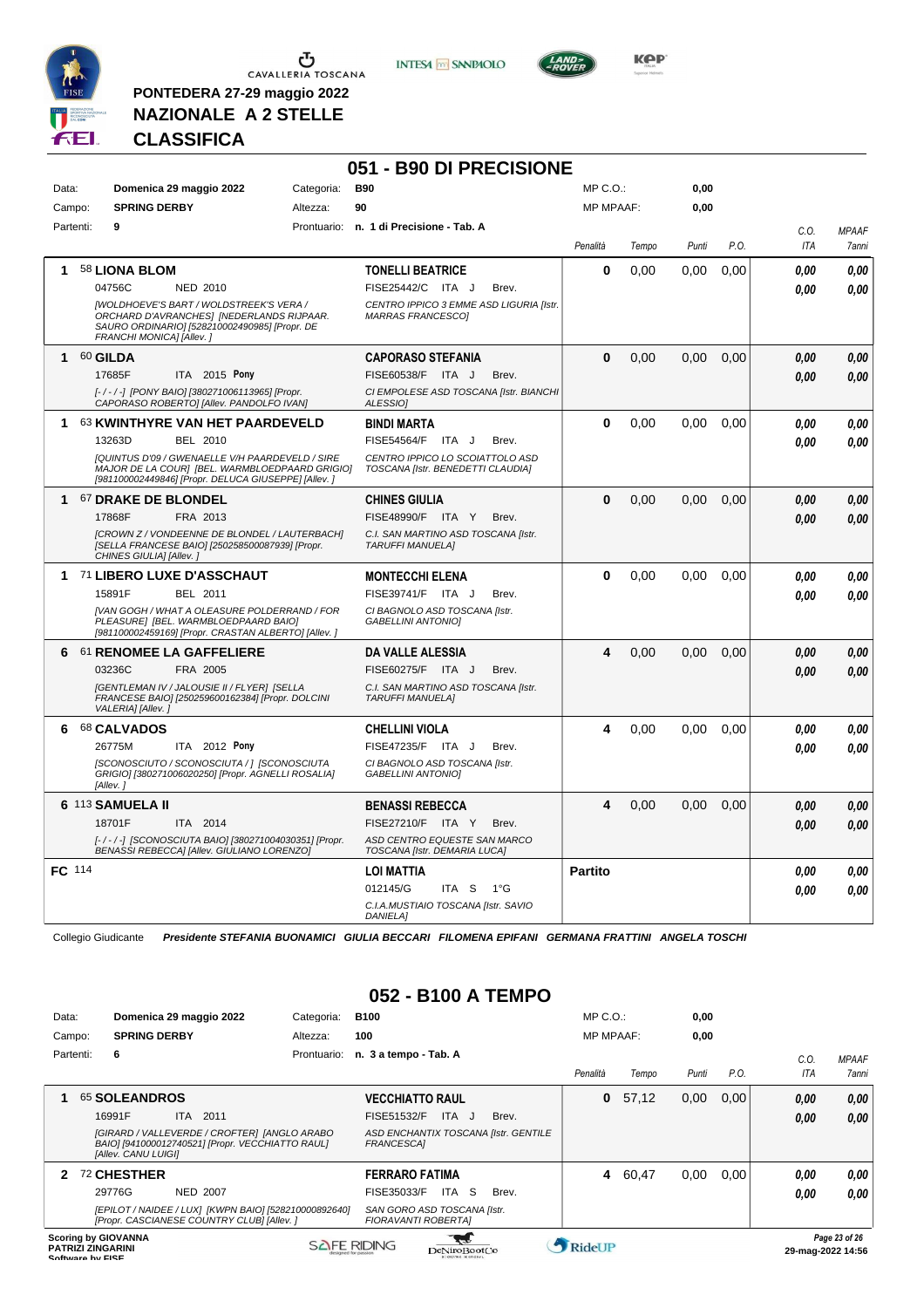

**PONTEDERA 27-29 maggio 2022 NAZIONALE A 2 STELLE**

**INTESA M** SANPAOLO

**051 - B90 DI PRECISIONE**



**KPP** 

# **CLASSIFICA**

| Data:       |                            | Domenica 29 maggio 2022                                                                                                                                          | Categoria: | <b>B90</b>                                                                                                                   | MP C.O.:         |       | 0,00  |      |                    |                       |
|-------------|----------------------------|------------------------------------------------------------------------------------------------------------------------------------------------------------------|------------|------------------------------------------------------------------------------------------------------------------------------|------------------|-------|-------|------|--------------------|-----------------------|
| Campo:      | <b>SPRING DERBY</b>        |                                                                                                                                                                  | Altezza:   | 90                                                                                                                           | <b>MP MPAAF:</b> |       | 0,00  |      |                    |                       |
| Partenti:   | 9                          |                                                                                                                                                                  |            | Prontuario: n. 1 di Precisione - Tab. A                                                                                      | Penalità         | Tempo | Punti | P.O. | C.O.<br><b>ITA</b> | <b>MPAAF</b><br>7anni |
| 1           | 58 LIONA BLOM<br>04756C    | NED 2010<br><b>IWOLDHOEVE'S BART / WOLDSTREEK'S VERA /</b><br>ORCHARD D'AVRANCHES] [NEDERLANDS RIJPAAR.                                                          |            | <b>TONELLI BEATRICE</b><br>FISE25442/C ITA J<br>Brev.<br>CENTRO IPPICO 3 EMME ASD LIGURIA [Istr.<br><b>MARRAS FRANCESCO1</b> | 0                | 0,00  | 0,00  | 0,00 | 0.00<br>0.00       | 0.00<br>0.00          |
|             | FRANCHI MONICA] [Allev.]   | SAURO ORDINARIO] [528210002490985] [Propr. DE                                                                                                                    |            |                                                                                                                              |                  |       |       |      |                    |                       |
| 1           | 60 GILDA                   |                                                                                                                                                                  |            | <b>CAPORASO STEFANIA</b>                                                                                                     | 0                | 0,00  | 0,00  | 0,00 | 0.00               | 0,00                  |
|             | 17685F                     | ITA 2015 Pony                                                                                                                                                    |            | FISE60538/F ITA J<br>Brev.                                                                                                   |                  |       |       |      | 0.00               | 0.00                  |
|             |                            | [-/-/-] [PONY BAIO] [380271006113965] [Propr.<br>CAPORASO ROBERTO] [Allev. PANDOLFO IVAN]                                                                        |            | CI EMPOLESE ASD TOSCANA [Istr. BIANCHI<br><b>ALESSIOI</b>                                                                    |                  |       |       |      |                    |                       |
| 1.          |                            | 63 KWINTHYRE VAN HET PAARDEVELD                                                                                                                                  |            | <b>BINDI MARTA</b>                                                                                                           | 0                | 0,00  | 0,00  | 0,00 | 0.00               | 0.00                  |
|             | 13263D                     | <b>BEL 2010</b>                                                                                                                                                  |            | <b>FISE54564/F</b><br>ITA J<br>Brev.                                                                                         |                  |       |       |      | 0.00               | 0.00                  |
|             |                            | <b>IQUINTUS D'09 / GWENAELLE V/H PAARDEVELD / SIRE</b><br>MAJOR DE LA COURJ [BEL. WARMBLOEDPAARD GRIGIO]<br>[981100002449846] [Propr. DELUCA GIUSEPPE] [Allev. ] |            | CENTRO IPPICO LO SCOIATTOLO ASD<br>TOSCANA [Istr. BENEDETTI CLAUDIA]                                                         |                  |       |       |      |                    |                       |
| $\mathbf 1$ | <b>67 DRAKE DE BLONDEL</b> |                                                                                                                                                                  |            | <b>CHINES GIULIA</b>                                                                                                         | 0                | 0.00  | 0,00  | 0,00 | 0.00               | 0,00                  |
|             | 17868F                     | FRA 2013                                                                                                                                                         |            | FISE48990/F ITA Y<br>Brev.                                                                                                   |                  |       |       |      | 0.00               | 0.00                  |
|             | CHINES GIULIA] [Allev. ]   | <b>[CROWN Z / VONDEENNE DE BLONDEL / LAUTERBACH]</b><br>[SELLA FRANCESE BAIO] [250258500087939] [Propr.                                                          |            | C.I. SAN MARTINO ASD TOSCANA [Istr.<br><b>TARUFFI MANUELA1</b>                                                               |                  |       |       |      |                    |                       |
|             |                            | 1 71 LIBERO LUXE D'ASSCHAUT                                                                                                                                      |            | <b>MONTECCHI ELENA</b>                                                                                                       | 0                | 0,00  | 0.00  | 0,00 | 0.00               | 0.00                  |
|             | 15891F                     | BEL 2011                                                                                                                                                         |            | FISE39741/F ITA J<br>Brev.                                                                                                   |                  |       |       |      | 0.00               | 0.00                  |
|             |                            | IVAN GOGH / WHAT A OLEASURE POLDERRAND / FOR<br>PLEASURE] [BEL. WARMBLOEDPAARD BAIO]<br>[981100002459169] [Propr. CRASTAN ALBERTO] [Allev. ]                     |            | CI BAGNOLO ASD TOSCANA [Istr.<br><b>GABELLINI ANTONIO1</b>                                                                   |                  |       |       |      |                    |                       |
|             |                            | 6 61 RENOMEE LA GAFFELIERE                                                                                                                                       |            | <b>DA VALLE ALESSIA</b>                                                                                                      | 4                | 0,00  | 0,00  | 0,00 | 0.00               | 0,00                  |
|             | 03236C                     | FRA 2005                                                                                                                                                         |            | FISE60275/F ITA J<br>Brev.                                                                                                   |                  |       |       |      | 0.00               | 0.00                  |
|             | VALERIA] [Allev.]          | [GENTLEMAN IV / JALOUSIE II / FLYER] [SELLA<br>FRANCESE BAIO] [250259600162384] [Propr. DOLCINI                                                                  |            | C.I. SAN MARTINO ASD TOSCANA [Istr.<br><b>TARUFFI MANUELA]</b>                                                               |                  |       |       |      |                    |                       |
| 6.          | 68 CALVADOS                |                                                                                                                                                                  |            | <b>CHELLINI VIOLA</b>                                                                                                        | 4                | 0,00  | 0,00  | 0,00 | 0.00               | 0.00                  |
|             | 26775M                     | ITA 2012 Pony                                                                                                                                                    |            | FISE47235/F ITA J<br>Brev.                                                                                                   |                  |       |       |      | 0,00               | 0.00                  |
|             | [Allev.]                   | [SCONOSCIUTO / SCONOSCIUTA / ] [SCONOSCIUTA<br>GRIGIO] [380271006020250] [Propr. AGNELLI ROSALIA]                                                                |            | CI BAGNOLO ASD TOSCANA [Istr.<br><b>GABELLINI ANTONIOI</b>                                                                   |                  |       |       |      |                    |                       |
|             | 6 113 SAMUELA II           |                                                                                                                                                                  |            | <b>BENASSI REBECCA</b>                                                                                                       | 4                | 0,00  | 0,00  | 0,00 | 0.00               | 0,00                  |
|             | 18701F                     | ITA 2014                                                                                                                                                         |            | FISE27210/F ITA Y<br>Brev.                                                                                                   |                  |       |       |      | 0.00               | 0.00                  |
|             |                            | [-/-/-] [SCONOSCIUTA BAIO] [380271004030351] [Propr.<br>BENASSI REBECCA] [Allev. GIULIANO LORENZO]                                                               |            | ASD CENTRO EQUESTE SAN MARCO<br>TOSCANA [Istr. DEMARIA LUCA]                                                                 |                  |       |       |      |                    |                       |
| FC 114      |                            |                                                                                                                                                                  |            | <b>LOI MATTIA</b>                                                                                                            | <b>Partito</b>   |       |       |      | 0.00               | 0.00                  |
|             |                            |                                                                                                                                                                  |            | 012145/G<br>ITA S<br>1°G<br>C.I.A.MUSTIAIO TOSCANA [Istr. SAVIO                                                              |                  |       |       |      | 0.00               | 0.00                  |
|             |                            |                                                                                                                                                                  |            | <b>DANIELA1</b>                                                                                                              |                  |       |       |      |                    |                       |

Collegio Giudicante *Presidente STEFANIA BUONAMICI GIULIA BECCARI FILOMENA EPIFANI GERMANA FRATTINI ANGELA TOSCHI*

# **052 - B100 A TEMPO**

| Data:     |                                              |                            | Domenica 29 maggio 2022                                                                             | Categoria:  | <b>B100</b>                                               | $MP C. O.$ :     |       | 0,00  |      |      |                                    |
|-----------|----------------------------------------------|----------------------------|-----------------------------------------------------------------------------------------------------|-------------|-----------------------------------------------------------|------------------|-------|-------|------|------|------------------------------------|
| Campo:    |                                              | <b>SPRING DERBY</b>        |                                                                                                     | Altezza:    | 100                                                       | <b>MP MPAAF:</b> |       | 0,00  |      |      |                                    |
| Partenti: |                                              | 6                          |                                                                                                     | Prontuario: | n. 3 a tempo - Tab. A                                     |                  |       |       |      | C.0. | <b>MPAAF</b>                       |
|           |                                              |                            |                                                                                                     |             |                                                           | Penalità         | Tempo | Punti | P.O. | ITA  | 7anni                              |
|           |                                              | 65 SOLEANDROS              |                                                                                                     |             | <b>VECCHIATTO RAUL</b>                                    | 0                | 57,12 | 0,00  | 0.00 | 0,00 | 0,00                               |
|           |                                              | 16991F                     | ITA 2011                                                                                            |             | ITA J<br><b>FISE51532/F</b><br>Brev.                      |                  |       |       |      | 0,00 | 0.00                               |
|           |                                              | [Allev. CANU LUIGI]        | [GIRARD / VALLEVERDE / CROFTER] [ANGLO ARABO<br>BAIO] [941000012740521] [Propr. VECCHIATTO RAUL]    |             | ASD ENCHANTIX TOSCANA [Istr. GENTILE<br><b>FRANCESCAI</b> |                  |       |       |      |      |                                    |
| 2         |                                              | 72 CHESTHER                |                                                                                                     |             | <b>FERRARO FATIMA</b>                                     | 4                | 60,47 | 0,00  | 0.00 | 0.00 | 0,00                               |
|           |                                              | 29776G                     | <b>NED 2007</b>                                                                                     |             | ITA S<br>FISE35033/F<br>Brev.                             |                  |       |       |      | 0,00 | 0.00                               |
|           |                                              |                            | [EPILOT / NAIDEE / LUX] [KWPN BAIO] [528210000892640]<br>[Propr. CASCIANESE COUNTRY CLUB] [Allev. ] |             | SAN GORO ASD TOSCANA [Istr.<br><b>FIORAVANTI ROBERTAI</b> |                  |       |       |      |      |                                    |
|           | <b>PATRIZI ZINGARINI</b><br>Coffware by EICE | <b>Scoring by GIOVANNA</b> |                                                                                                     |             | <b>SAFE RIDING</b><br>DeNiroBootCo                        | RideUP           |       |       |      |      | Page 23 of 26<br>29-mag-2022 14:56 |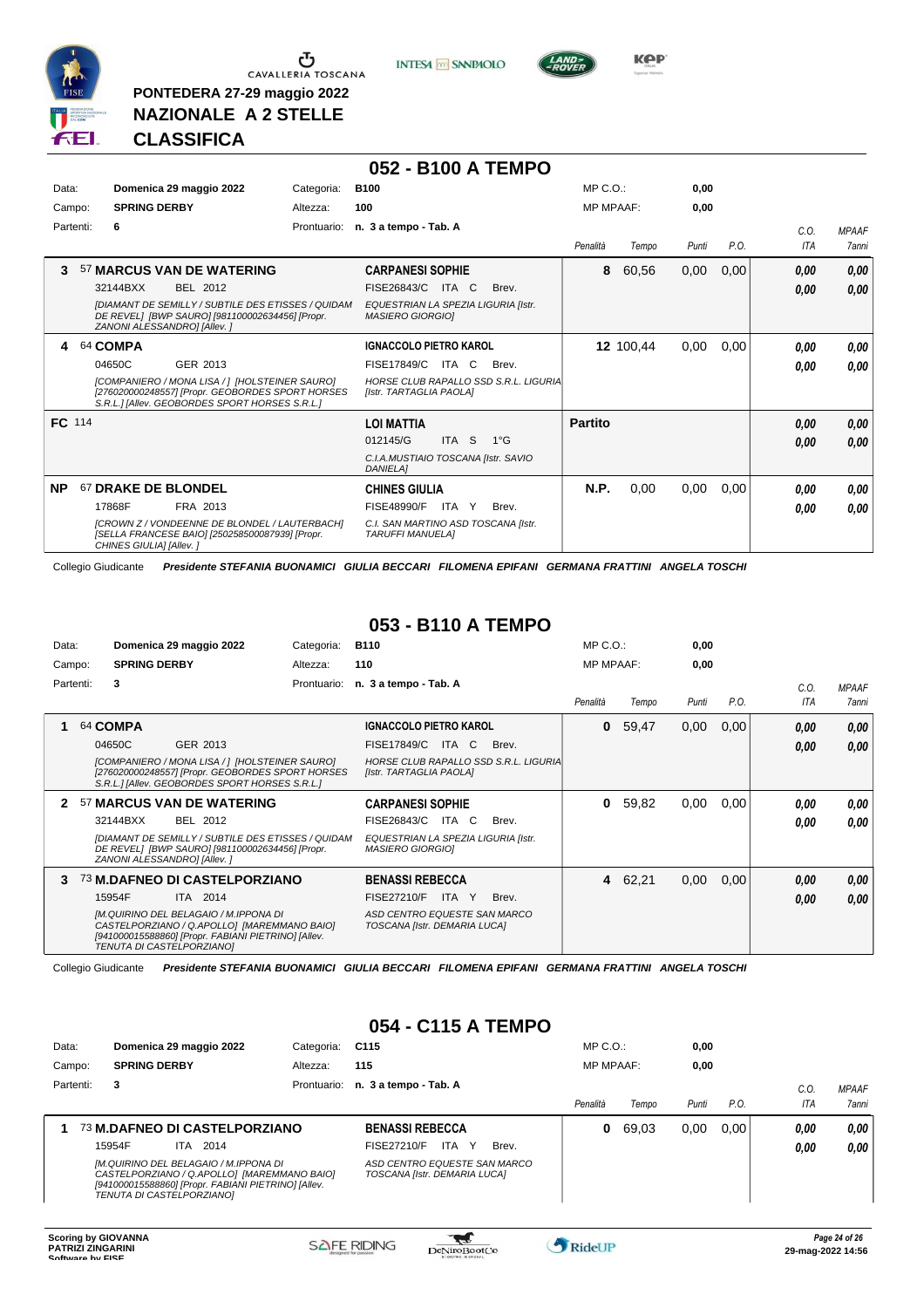

**PONTEDERA 27-29 maggio 2022 NAZIONALE A 2 STELLE**

**INTESA** M SANPAOLO



**Kep** 

# **CLASSIFICA**

|           |           |                             |                                                                                                                                                      |             | 052 - B100 A TEMPO                                             |           |                                       |                  |           |       |      |            |              |
|-----------|-----------|-----------------------------|------------------------------------------------------------------------------------------------------------------------------------------------------|-------------|----------------------------------------------------------------|-----------|---------------------------------------|------------------|-----------|-------|------|------------|--------------|
| Data:     |           |                             | Domenica 29 maggio 2022                                                                                                                              | Categoria:  | <b>B100</b>                                                    |           |                                       | $MP C. O.$ :     |           | 0,00  |      |            |              |
| Campo:    |           | <b>SPRING DERBY</b>         |                                                                                                                                                      | Altezza:    | 100                                                            |           |                                       | <b>MP MPAAF:</b> |           | 0,00  |      |            |              |
|           | Partenti: | 6                           |                                                                                                                                                      | Prontuario: | n. 3 a tempo - Tab. A                                          |           |                                       |                  |           |       |      | C.0.       | <b>MPAAF</b> |
|           |           |                             |                                                                                                                                                      |             |                                                                |           |                                       | Penalità         | Tempo     | Punti | P.O. | <b>ITA</b> | 7anni        |
| 3         |           |                             | 57 MARCUS VAN DE WATERING                                                                                                                            |             | <b>CARPANESI SOPHIE</b>                                        |           |                                       | 8                | 60,56     | 0,00  | 0,00 | 0,00       | 0,00         |
|           |           | 32144BXX                    | BEL 2012                                                                                                                                             |             | FISE26843/C                                                    | ITA<br>C. | Brev.                                 |                  |           |       |      | 0,00       | 0.00         |
|           |           | ZANONI ALESSANDRO] [Allev.] | [DIAMANT DE SEMILLY / SUBTILE DES ETISSES / QUIDAM<br>DE REVEL] [BWP SAURO] [981100002634456] [Propr.                                                |             | EQUESTRIAN LA SPEZIA LIGURIA [Istr.<br><b>MASIERO GIORGIO]</b> |           |                                       |                  |           |       |      |            |              |
| 4         |           | 64 COMPA                    |                                                                                                                                                      |             | <b>IGNACCOLO PIETRO KAROL</b>                                  |           |                                       |                  | 12 100,44 | 0,00  | 0,00 | 0.00       | 0,00         |
|           |           | 04650C                      | GER 2013                                                                                                                                             |             | <b>FISE17849/C ITA C</b>                                       |           | Brev.                                 |                  |           |       |      | 0.00       | 0.00         |
|           |           |                             | [COMPANIERO / MONA LISA / ] [HOLSTEINER SAURO]<br>[276020000248557] [Propr. GEOBORDES SPORT HORSES<br>S.R.L.] [Allev. GEOBORDES SPORT HORSES S.R.L.] |             | [Istr. TARTAGLIA PAOLA]                                        |           | HORSE CLUB RAPALLO SSD S.R.L. LIGURIA |                  |           |       |      |            |              |
| FC 114    |           |                             |                                                                                                                                                      |             | <b>LOI MATTIA</b>                                              |           |                                       | <b>Partito</b>   |           |       |      | 0.00       | 0,00         |
|           |           |                             |                                                                                                                                                      |             | 012145/G                                                       | ITA S     | $1^{\circ}G$                          |                  |           |       |      | 0.00       | 0,00         |
|           |           |                             |                                                                                                                                                      |             | C.I.A.MUSTIAIO TOSCANA [Istr. SAVIO<br><b>DANIELA1</b>         |           |                                       |                  |           |       |      |            |              |
| <b>NP</b> |           | 67 DRAKE DE BLONDEL         |                                                                                                                                                      |             | <b>CHINES GIULIA</b>                                           |           |                                       | N.P.             | 0,00      | 0,00  | 0,00 | 0.00       | 0.00         |
|           |           | 17868F                      | FRA 2013                                                                                                                                             |             | FISE48990/F                                                    | ITA Y     | Brev.                                 |                  |           |       |      | 0.00       | 0.00         |
|           |           | CHINES GIULIA] [Allev.]     | [CROWN Z / VONDEENNE DE BLONDEL / LAUTERBACH]<br>[SELLA FRANCESE BAIO] [250258500087939] [Propr.                                                     |             | C.I. SAN MARTINO ASD TOSCANA [Istr.<br><b>TARUFFI MANUELAI</b> |           |                                       |                  |           |       |      |            |              |

Collegio Giudicante *Presidente STEFANIA BUONAMICI GIULIA BECCARI FILOMENA EPIFANI GERMANA FRATTINI ANGELA TOSCHI*

#### **053 - B110 A TEMPO**

| Data:  |           |                     | Domenica 29 maggio 2022                                                                                                                                                  | Categoria:  | <b>B110</b>                                                    |       |                                       | $MP C. O.$ :     |         | 0.00  |      |      |              |
|--------|-----------|---------------------|--------------------------------------------------------------------------------------------------------------------------------------------------------------------------|-------------|----------------------------------------------------------------|-------|---------------------------------------|------------------|---------|-------|------|------|--------------|
| Campo: |           | <b>SPRING DERBY</b> |                                                                                                                                                                          | Altezza:    | 110                                                            |       |                                       | <b>MP MPAAF:</b> |         | 0,00  |      |      |              |
|        | Partenti: | 3                   |                                                                                                                                                                          | Prontuario: | n. 3 a tempo - Tab. A                                          |       |                                       |                  |         |       |      | C.O. | <b>MPAAF</b> |
|        |           |                     |                                                                                                                                                                          |             |                                                                |       |                                       | Penalità         | Tempo   | Punti | P.O. | ITA  | <b>7anni</b> |
|        |           | 64 COMPA            |                                                                                                                                                                          |             | <b>IGNACCOLO PIETRO KAROL</b>                                  |       |                                       | 0                | 59.47   | 0,00  | 0,00 | 0.00 | 0,00         |
|        |           | 04650C              | GER 2013                                                                                                                                                                 |             | FISE17849/C                                                    | ITA C | Brev.                                 |                  |         |       |      | 0.00 | 0.00         |
|        |           |                     | [COMPANIERO / MONA LISA / 1 [HOLSTEINER SAURO]<br>[276020000248557] [Propr. GEOBORDES SPORT HORSES<br>S.R.L.] [Allev. GEOBORDES SPORT HORSES S.R.L.]                     |             | [Istr. TARTAGLIA PAOLA]                                        |       | HORSE CLUB RAPALLO SSD S.R.L. LIGURIA |                  |         |       |      |      |              |
|        |           |                     | 57 MARCUS VAN DE WATERING                                                                                                                                                |             | <b>CARPANESI SOPHIE</b>                                        |       |                                       | 0                | 59,82   | 0,00  | 0,00 | 0.00 | 0.00         |
|        |           | 32144BXX            | BEL 2012                                                                                                                                                                 |             | FISE26843/C                                                    | ITA C | Brev.                                 |                  |         |       |      | 0.00 | 0.00         |
|        |           |                     | [DIAMANT DE SEMILLY / SUBTILE DES ETISSES / QUIDAM<br>DE REVEL] [BWP SAURO] [981100002634456] [Propr.<br>ZANONI ALESSANDRO] [Allev.]                                     |             | EQUESTRIAN LA SPEZIA LIGURIA [Istr.<br><b>MASIERO GIORGIOI</b> |       |                                       |                  |         |       |      |      |              |
| 3      |           |                     | 73 M.DAFNEO DI CASTELPORZIANO                                                                                                                                            |             | <b>BENASSI REBECCA</b>                                         |       |                                       |                  | 4 62,21 | 0,00  | 0,00 | 0.00 | 0,00         |
|        |           | 15954F              | ITA 2014                                                                                                                                                                 |             | FISE27210/F                                                    | ITA Y | Brev.                                 |                  |         |       |      | 0.00 | 0.00         |
|        |           |                     | [M.QUIRINO DEL BELAGAIO / M.IPPONA DI<br>CASTELPORZIANO / Q.APOLLO] [MAREMMANO BAIO]<br>[941000015588860] [Propr. FABIANI PIETRINO] [Allev.<br>TENUTA DI CASTELPORZIANO] |             | ASD CENTRO EQUESTE SAN MARCO<br>TOSCANA [Istr. DEMARIA LUCA]   |       |                                       |                  |         |       |      |      |              |

Collegio Giudicante *Presidente STEFANIA BUONAMICI GIULIA BECCARI FILOMENA EPIFANI GERMANA FRATTINI ANGELA TOSCHI*

#### **054 - C115 A TEMPO**

| Data:     | Domenica 29 maggio 2022                                                                                                                                                  | Categoria:  | C115                                                         | $MP C. O.$ :     |       | 0,00  |      |                |                       |
|-----------|--------------------------------------------------------------------------------------------------------------------------------------------------------------------------|-------------|--------------------------------------------------------------|------------------|-------|-------|------|----------------|-----------------------|
| Campo:    | <b>SPRING DERBY</b>                                                                                                                                                      | Altezza:    | 115                                                          | <b>MP MPAAF:</b> |       | 0,00  |      |                |                       |
| Partenti: | 3                                                                                                                                                                        | Prontuario: | n. 3 a tempo - Tab. A                                        | Penalità         | Tempo | Punti | P.O. | $C_{0}$<br>ITA | <b>MPAAF</b><br>7anni |
|           | 73 M.DAFNEO DI CASTELPORZIANO                                                                                                                                            |             | <b>BENASSI REBECCA</b>                                       | 0                | 69.03 | 0,00  | 0.00 | 0,00           | $0,00$                |
|           | 15954F<br>2014<br>ITA.                                                                                                                                                   |             | FISE27210/F<br>ITA<br>Brev.<br>Y                             |                  |       |       |      | 0.00           | 0,00                  |
|           | [M.QUIRINO DEL BELAGAIO / M.IPPONA DI<br>CASTELPORZIANO / Q.APOLLO] [MAREMMANO BAIO]<br>[941000015588860] [Propr. FABIANI PIETRINO] [Allev.<br>TENUTA DI CASTELPORZIANO] |             | ASD CENTRO EQUESTE SAN MARCO<br>TOSCANA [Istr. DEMARIA LUCA] |                  |       |       |      |                |                       |

 $\mathcal{L}$ 

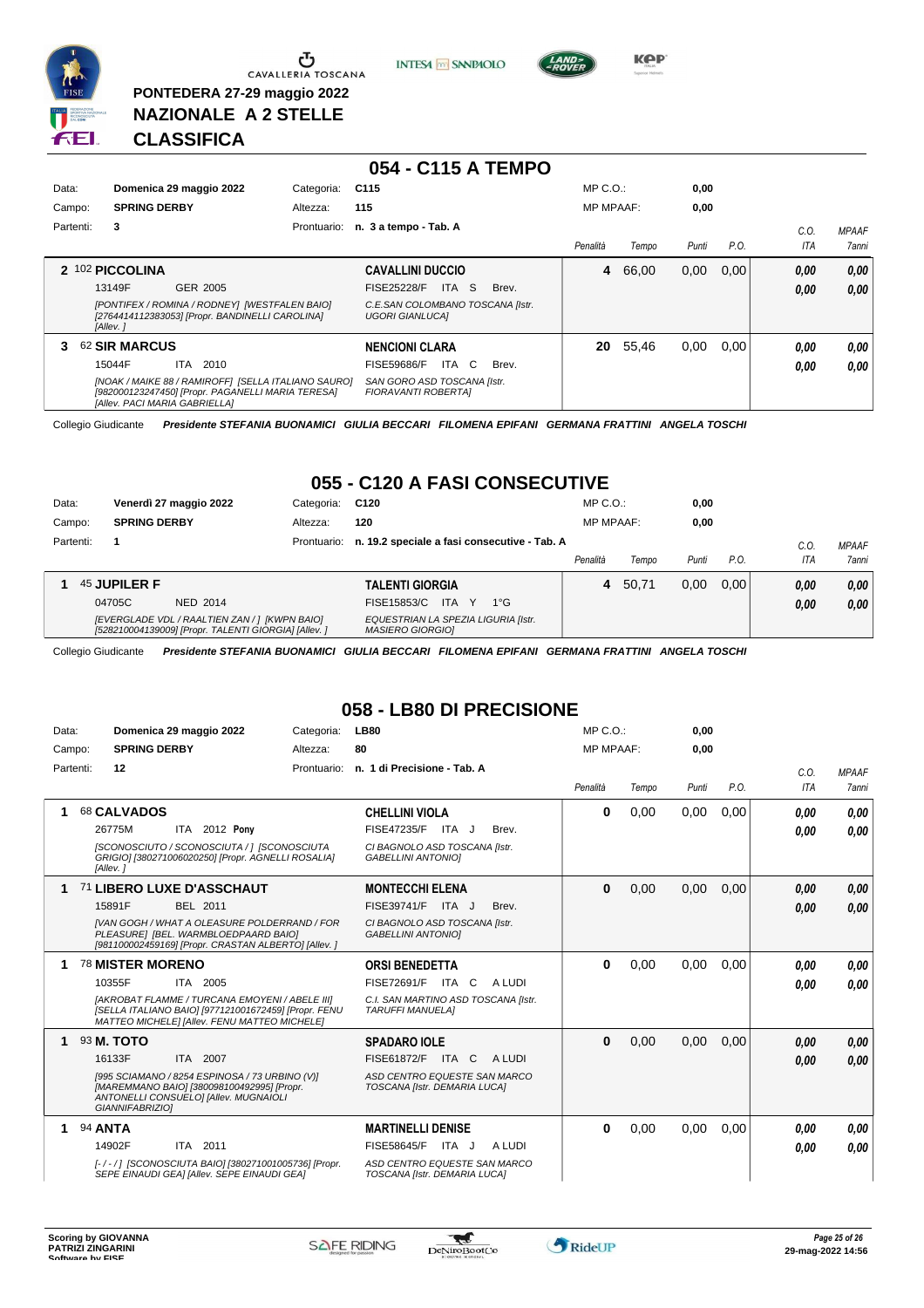

**PONTEDERA 27-29 maggio 2022 NAZIONALE A 2 STELLE**





**Kep** 

# **CLASSIFICA**

|           |                               |                                                                                                          |             | 054 - C115 A TEMPO                                         |       |                  |       |       |      |      |              |
|-----------|-------------------------------|----------------------------------------------------------------------------------------------------------|-------------|------------------------------------------------------------|-------|------------------|-------|-------|------|------|--------------|
| Data:     |                               | Domenica 29 maggio 2022                                                                                  | Categoria:  | C <sub>115</sub>                                           |       | $MP C. O.$ :     |       | 0,00  |      |      |              |
| Campo:    | <b>SPRING DERBY</b>           |                                                                                                          | Altezza:    | 115                                                        |       | <b>MP MPAAF:</b> |       | 0,00  |      |      |              |
| Partenti: | 3                             |                                                                                                          | Prontuario: | n. 3 a tempo - Tab. A                                      |       |                  |       |       |      | C.O. | <b>MPAAF</b> |
|           |                               |                                                                                                          |             |                                                            |       | Penalità         | Tempo | Punti | P.O. | ITA  | 7anni        |
|           | 2 102 PICCOLINA               |                                                                                                          |             | <b>CAVALLINI DUCCIO</b>                                    |       | 4                | 66.00 | 0,00  | 0.00 | 0,00 | 0,00         |
|           | 13149F                        | GER 2005                                                                                                 |             | ITA S<br><b>FISE25228/F</b>                                | Brev. |                  |       |       |      | 0.00 | 0.00         |
|           | [Allev.]                      | [PONTIFEX / ROMINA / RODNEY] [WESTFALEN BAIO]<br>[2764414112383053] [Propr. BANDINELLI CAROLINA]         |             | C.E.SAN COLOMBANO TOSCANA [Istr.<br><b>UGORI GIANLUCAI</b> |       |                  |       |       |      |      |              |
| 3         | 62 SIR MARCUS                 |                                                                                                          |             | <b>NENCIONI CLARA</b>                                      |       | 20               | 55,46 | 0,00  | 0.00 | 0.00 | 0.00         |
|           | 15044F                        | ITA.<br>2010                                                                                             |             | ITA C<br><b>FISE59686/F</b>                                | Brev. |                  |       |       |      | 0.00 | 0.00         |
|           | [Allev. PACI MARIA GABRIELLA] | [NOAK / MAIKE 88 / RAMIROFF] [SELLA ITALIANO SAURO]<br>[982000123247450] [Propr. PAGANELLI MARIA TERESA] |             | SAN GORO ASD TOSCANA [Istr.<br>FIORAVANTI ROBERTAI         |       |                  |       |       |      |      |              |

Collegio Giudicante *Presidente STEFANIA BUONAMICI GIULIA BECCARI FILOMENA EPIFANI GERMANA FRATTINI ANGELA TOSCHI*

# **055 - C120 A FASI CONSECUTIVE**

| Data:     |                     | Venerdì 27 maggio 2022                                                                               | Categoria:  | C120                                                           | $MP C. O.$ :     |       | 0,00  |      |            |              |
|-----------|---------------------|------------------------------------------------------------------------------------------------------|-------------|----------------------------------------------------------------|------------------|-------|-------|------|------------|--------------|
| Campo:    | <b>SPRING DERBY</b> |                                                                                                      | Altezza:    | 120                                                            | <b>MP MPAAF:</b> |       | 0,00  |      |            |              |
| Partenti: |                     |                                                                                                      | Prontuario: | n. 19.2 speciale a fasi consecutive - Tab. A                   |                  |       |       |      | C.O        | <b>MPAAF</b> |
|           |                     |                                                                                                      |             |                                                                | Penalità         | Tempo | Punti | P.O. | <b>ITA</b> | <b>7anni</b> |
|           | 45 JUPILER F        |                                                                                                      |             | <b>TALENTI GIORGIA</b>                                         | 4                | 50.71 | 0.00  | 0.00 | 0.00       | 0.00         |
|           | 04705C              | NED 2014                                                                                             |             | <b>ITA</b><br>FISE15853/C<br>$1^{\circ}G$                      |                  |       |       |      | 0.00       | 0,00         |
|           |                     | [EVERGLADE VDL / RAALTIEN ZAN / ] [KWPN BAIO]<br>[528210004139009] [Propr. TALENTI GIORGIA] [Allev.] |             | EQUESTRIAN LA SPEZIA LIGURIA [Istr.<br><b>MASIERO GIORGIOI</b> |                  |       |       |      |            |              |

Collegio Giudicante *Presidente STEFANIA BUONAMICI GIULIA BECCARI FILOMENA EPIFANI GERMANA FRATTINI ANGELA TOSCHI*

# **058 - LB80 DI PRECISIONE**

| Data:     |                |                         | Domenica 29 maggio 2022                                                                                                                                       | Categoria:  | <b>LB80</b>                                                    | $MP C. O.$ :     |       | 0,00  |      |      |              |
|-----------|----------------|-------------------------|---------------------------------------------------------------------------------------------------------------------------------------------------------------|-------------|----------------------------------------------------------------|------------------|-------|-------|------|------|--------------|
| Campo:    |                | <b>SPRING DERBY</b>     |                                                                                                                                                               | Altezza:    | 80                                                             | <b>MP MPAAF:</b> |       | 0.00  |      |      |              |
| Partenti: |                | 12                      |                                                                                                                                                               | Prontuario: | n. 1 di Precisione - Tab. A                                    |                  |       |       |      | C.O. | <b>MPAAF</b> |
|           |                |                         |                                                                                                                                                               |             |                                                                | Penalità         | Tempo | Punti | P.O. | ITA  | 7anni        |
| 1         |                | 68 CALVADOS             |                                                                                                                                                               |             | <b>CHELLINI VIOLA</b>                                          | $\bf{0}$         | 0,00  | 0,00  | 0,00 | 0.00 | 0.00         |
|           |                | 26775M                  | ITA 2012 Pony                                                                                                                                                 |             | <b>FISE47235/F</b><br>ITA J<br>Brev.                           |                  |       |       |      | 0.00 | 0.00         |
|           |                | [Allev.]                | [SCONOSCIUTO / SCONOSCIUTA / ] [SCONOSCIUTA<br>GRIGIO] [380271006020250] [Propr. AGNELLI ROSALIA]                                                             |             | CI BAGNOLO ASD TOSCANA [Istr.<br><b>GABELLINI ANTONIOI</b>     |                  |       |       |      |      |              |
| 1         |                |                         | 71 LIBERO LUXE D'ASSCHAUT                                                                                                                                     |             | <b>MONTECCHI ELENA</b>                                         | $\bf{0}$         | 0,00  | 0,00  | 0,00 | 0,00 | 0,00         |
|           |                | 15891F                  | BEL 2011                                                                                                                                                      |             | FISE39741/F ITA J<br>Brev.                                     |                  |       |       |      | 0.00 | 0.00         |
|           |                |                         | [VAN GOGH / WHAT A OLEASURE POLDERRAND / FOR<br>PLEASURE] [BEL. WARMBLOEDPAARD BAIO]<br>[981100002459169] [Propr. CRASTAN ALBERTO] [Allev. ]                  |             | CI BAGNOLO ASD TOSCANA [Istr.<br><b>GABELLINI ANTONIOI</b>     |                  |       |       |      |      |              |
|           |                | <b>78 MISTER MORENO</b> |                                                                                                                                                               |             | <b>ORSI BENEDETTA</b>                                          | $\bf{0}$         | 0,00  | 0,00  | 0,00 | 0.00 | 0.00         |
|           |                | 10355F                  | ITA 2005                                                                                                                                                      |             | FISE72691/F ITA C<br>A LUDI                                    |                  |       |       |      | 0.00 | 0.00         |
|           |                |                         | <b>IAKROBAT FLAMME / TURCANA EMOYENI / ABELE IIII</b><br>[SELLA ITALIANO BAIO] [977121001672459] [Propr. FENU<br>MATTEO MICHELE] [Allev. FENU MATTEO MICHELE] |             | C.I. SAN MARTINO ASD TOSCANA [Istr.<br><b>TARUFFI MANUELAI</b> |                  |       |       |      |      |              |
| 1         |                | 93 M. TOTO              |                                                                                                                                                               |             | <b>SPADARO IOLE</b>                                            | $\bf{0}$         | 0,00  | 0,00  | 0,00 | 0.00 | 0,00         |
|           |                | 16133F                  | ITA 2007                                                                                                                                                      |             | FISE61872/F<br>ITA C<br>A LUDI                                 |                  |       |       |      | 0.00 | 0.00         |
|           |                | GIANNIFABRIZIOI         | [995 SCIAMANO / 8254 ESPINOSA / 73 URBINO (V)]<br>[MAREMMANO BAIO] [380098100492995] [Propr.<br>ANTONELLI CONSUELO] [Allev. MUGNAIOLI                         |             | ASD CENTRO EQUESTE SAN MARCO<br>TOSCANA [Istr. DEMARIA LUCA]   |                  |       |       |      |      |              |
|           | 94 <b>ANTA</b> |                         |                                                                                                                                                               |             | <b>MARTINELLI DENISE</b>                                       | 0                | 0,00  | 0.00  | 0,00 | 0.00 | 0,00         |
|           |                | 14902F                  | ITA 2011                                                                                                                                                      |             | ITA J<br><b>FISE58645/F</b><br>A LUDI                          |                  |       |       |      | 0.00 | 0.00         |
|           |                |                         | [-/-/] [SCONOSCIUTA BAIO] [380271001005736] [Propr.<br>SEPE EINAUDI GEA] [Allev. SEPE EINAUDI GEA]                                                            |             | ASD CENTRO EQUESTE SAN MARCO<br>TOSCANA [Istr. DEMARIA LUCA]   |                  |       |       |      |      |              |

 $\tau$